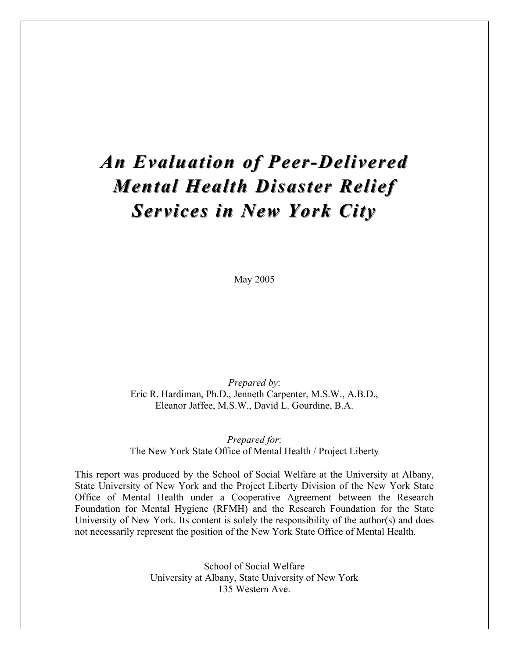# *An Evaluation of Peer-Delivered Mental Health Disaster Relief Services in New York City*

May 2005

*Prepared by*: Eric R. Hardiman, Ph.D., Jenneth Carpenter, M.S.W., A.B.D., Eleanor Jaffee, M.S.W., David L. Gourdine, B.A.

*Prepared for*: The New York State Office of Mental Health / Project Liberty

This report was produced by the School of Social Welfare at the University at Albany, State University of New York and the Project Liberty Division of the New York State Office of Mental Health under a Cooperative Agreement between the Research Foundation for Mental Hygiene (RFMH) and the Research Foundation for the State University of New York. Its content is solely the responsibility of the author(s) and does not necessarily represent the position of the New York State Office of Mental Health.

> School of Social Welfare University at Albany, State University of New York 135 Western Ave.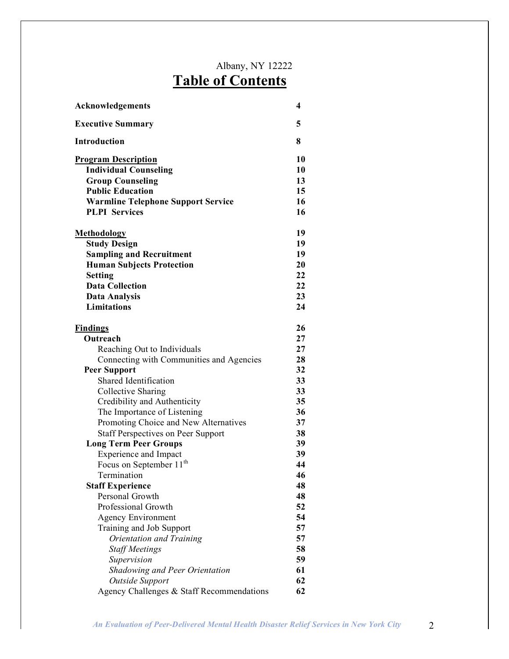## Albany, NY 12222 **Table of Contents**

| <b>Acknowledgements</b>                   | 4  |
|-------------------------------------------|----|
| <b>Executive Summary</b>                  | 5  |
| <b>Introduction</b>                       | 8  |
| <b>Program Description</b>                | 10 |
| <b>Individual Counseling</b>              | 10 |
| <b>Group Counseling</b>                   | 13 |
| <b>Public Education</b>                   | 15 |
| <b>Warmline Telephone Support Service</b> | 16 |
| <b>PLPI</b> Services                      | 16 |
| <u>Methodology</u>                        | 19 |
| <b>Study Design</b>                       | 19 |
| <b>Sampling and Recruitment</b>           | 19 |
| <b>Human Subjects Protection</b>          | 20 |
| <b>Setting</b>                            | 22 |
| <b>Data Collection</b>                    | 22 |
| <b>Data Analysis</b>                      | 23 |
| <b>Limitations</b>                        | 24 |
| <b>Findings</b>                           | 26 |
| Outreach                                  | 27 |
| Reaching Out to Individuals               | 27 |
| Connecting with Communities and Agencies  | 28 |
| <b>Peer Support</b>                       | 32 |
| Shared Identification                     | 33 |
| Collective Sharing                        | 33 |
| Credibility and Authenticity              | 35 |
| The Importance of Listening               | 36 |
| Promoting Choice and New Alternatives     | 37 |
| <b>Staff Perspectives on Peer Support</b> | 38 |
| <b>Long Term Peer Groups</b>              | 39 |
| <b>Experience and Impact</b>              | 39 |
| Focus on September 11 <sup>th</sup>       | 44 |
| Termination                               | 46 |
| <b>Staff Experience</b>                   | 48 |
| Personal Growth                           | 48 |
| Professional Growth                       | 52 |
| <b>Agency Environment</b>                 | 54 |
| Training and Job Support                  | 57 |
| Orientation and Training                  | 57 |
| <b>Staff Meetings</b>                     | 58 |
| Supervision                               | 59 |
| <b>Shadowing and Peer Orientation</b>     | 61 |
| Outside Support                           | 62 |
| Agency Challenges & Staff Recommendations | 62 |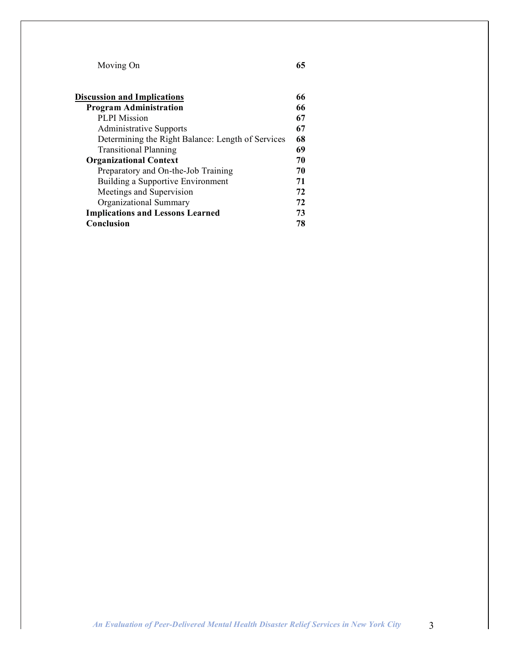Moving On **65**

| <b>Discussion and Implications</b>                | 66 |
|---------------------------------------------------|----|
| <b>Program Administration</b>                     | 66 |
| <b>PLPI</b> Mission                               | 67 |
| <b>Administrative Supports</b>                    | 67 |
| Determining the Right Balance: Length of Services | 68 |
| <b>Transitional Planning</b>                      | 69 |
| <b>Organizational Context</b>                     | 70 |
| Preparatory and On-the-Job Training               | 70 |
| Building a Supportive Environment                 | 71 |
| Meetings and Supervision                          | 72 |
| Organizational Summary                            | 72 |
| <b>Implications and Lessons Learned</b>           | 73 |
| <b>Conclusion</b>                                 | 78 |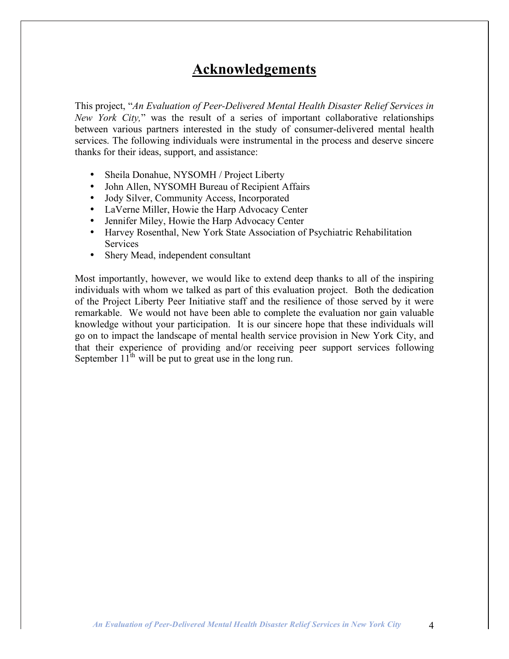## **Acknowledgements**

This project, "*An Evaluation of Peer-Delivered Mental Health Disaster Relief Services in New York City,*" was the result of a series of important collaborative relationships between various partners interested in the study of consumer-delivered mental health services. The following individuals were instrumental in the process and deserve sincere thanks for their ideas, support, and assistance:

- Sheila Donahue, NYSOMH / Project Liberty
- John Allen, NYSOMH Bureau of Recipient Affairs
- Jody Silver, Community Access, Incorporated
- LaVerne Miller, Howie the Harp Advocacy Center
- Jennifer Miley, Howie the Harp Advocacy Center
- Harvey Rosenthal, New York State Association of Psychiatric Rehabilitation Services
- Shery Mead, independent consultant

Most importantly, however, we would like to extend deep thanks to all of the inspiring individuals with whom we talked as part of this evaluation project. Both the dedication of the Project Liberty Peer Initiative staff and the resilience of those served by it were remarkable. We would not have been able to complete the evaluation nor gain valuable knowledge without your participation. It is our sincere hope that these individuals will go on to impact the landscape of mental health service provision in New York City, and that their experience of providing and/or receiving peer support services following September  $11<sup>th</sup>$  will be put to great use in the long run.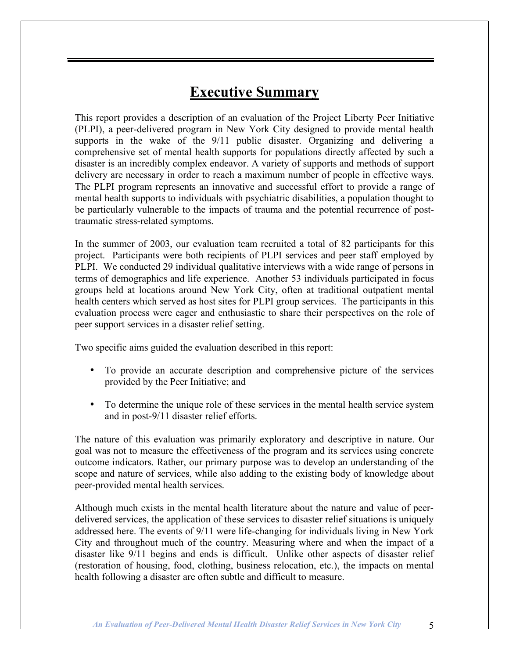## **Executive Summary**

This report provides a description of an evaluation of the Project Liberty Peer Initiative (PLPI), a peer-delivered program in New York City designed to provide mental health supports in the wake of the 9/11 public disaster. Organizing and delivering a comprehensive set of mental health supports for populations directly affected by such a disaster is an incredibly complex endeavor. A variety of supports and methods of support delivery are necessary in order to reach a maximum number of people in effective ways. The PLPI program represents an innovative and successful effort to provide a range of mental health supports to individuals with psychiatric disabilities, a population thought to be particularly vulnerable to the impacts of trauma and the potential recurrence of posttraumatic stress-related symptoms.

In the summer of 2003, our evaluation team recruited a total of 82 participants for this project. Participants were both recipients of PLPI services and peer staff employed by PLPI. We conducted 29 individual qualitative interviews with a wide range of persons in terms of demographics and life experience. Another 53 individuals participated in focus groups held at locations around New York City, often at traditional outpatient mental health centers which served as host sites for PLPI group services. The participants in this evaluation process were eager and enthusiastic to share their perspectives on the role of peer support services in a disaster relief setting.

Two specific aims guided the evaluation described in this report:

- To provide an accurate description and comprehensive picture of the services provided by the Peer Initiative; and
- To determine the unique role of these services in the mental health service system and in post-9/11 disaster relief efforts.

The nature of this evaluation was primarily exploratory and descriptive in nature. Our goal was not to measure the effectiveness of the program and its services using concrete outcome indicators. Rather, our primary purpose was to develop an understanding of the scope and nature of services, while also adding to the existing body of knowledge about peer-provided mental health services.

Although much exists in the mental health literature about the nature and value of peerdelivered services, the application of these services to disaster relief situations is uniquely addressed here. The events of 9/11 were life-changing for individuals living in New York City and throughout much of the country. Measuring where and when the impact of a disaster like 9/11 begins and ends is difficult. Unlike other aspects of disaster relief (restoration of housing, food, clothing, business relocation, etc.), the impacts on mental health following a disaster are often subtle and difficult to measure.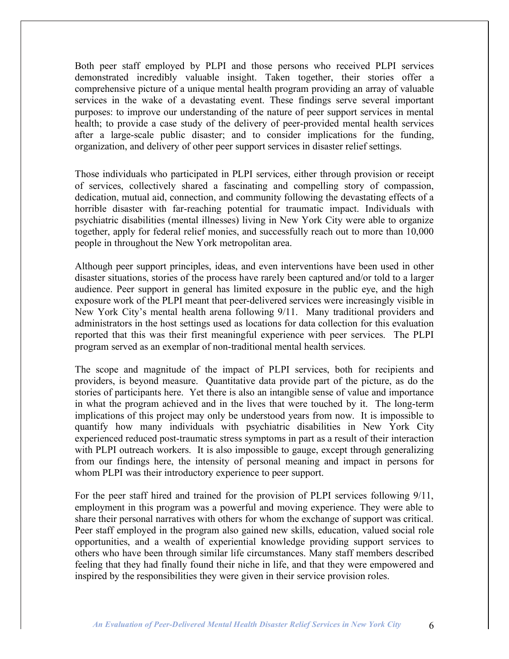Both peer staff employed by PLPI and those persons who received PLPI services demonstrated incredibly valuable insight. Taken together, their stories offer a comprehensive picture of a unique mental health program providing an array of valuable services in the wake of a devastating event. These findings serve several important purposes: to improve our understanding of the nature of peer support services in mental health; to provide a case study of the delivery of peer-provided mental health services after a large-scale public disaster; and to consider implications for the funding, organization, and delivery of other peer support services in disaster relief settings.

Those individuals who participated in PLPI services, either through provision or receipt of services, collectively shared a fascinating and compelling story of compassion, dedication, mutual aid, connection, and community following the devastating effects of a horrible disaster with far-reaching potential for traumatic impact. Individuals with psychiatric disabilities (mental illnesses) living in New York City were able to organize together, apply for federal relief monies, and successfully reach out to more than 10,000 people in throughout the New York metropolitan area.

Although peer support principles, ideas, and even interventions have been used in other disaster situations, stories of the process have rarely been captured and/or told to a larger audience. Peer support in general has limited exposure in the public eye, and the high exposure work of the PLPI meant that peer-delivered services were increasingly visible in New York City's mental health arena following 9/11. Many traditional providers and administrators in the host settings used as locations for data collection for this evaluation reported that this was their first meaningful experience with peer services. The PLPI program served as an exemplar of non-traditional mental health services.

The scope and magnitude of the impact of PLPI services, both for recipients and providers, is beyond measure. Quantitative data provide part of the picture, as do the stories of participants here. Yet there is also an intangible sense of value and importance in what the program achieved and in the lives that were touched by it. The long-term implications of this project may only be understood years from now. It is impossible to quantify how many individuals with psychiatric disabilities in New York City experienced reduced post-traumatic stress symptoms in part as a result of their interaction with PLPI outreach workers. It is also impossible to gauge, except through generalizing from our findings here, the intensity of personal meaning and impact in persons for whom PLPI was their introductory experience to peer support.

For the peer staff hired and trained for the provision of PLPI services following 9/11, employment in this program was a powerful and moving experience. They were able to share their personal narratives with others for whom the exchange of support was critical. Peer staff employed in the program also gained new skills, education, valued social role opportunities, and a wealth of experiential knowledge providing support services to others who have been through similar life circumstances. Many staff members described feeling that they had finally found their niche in life, and that they were empowered and inspired by the responsibilities they were given in their service provision roles.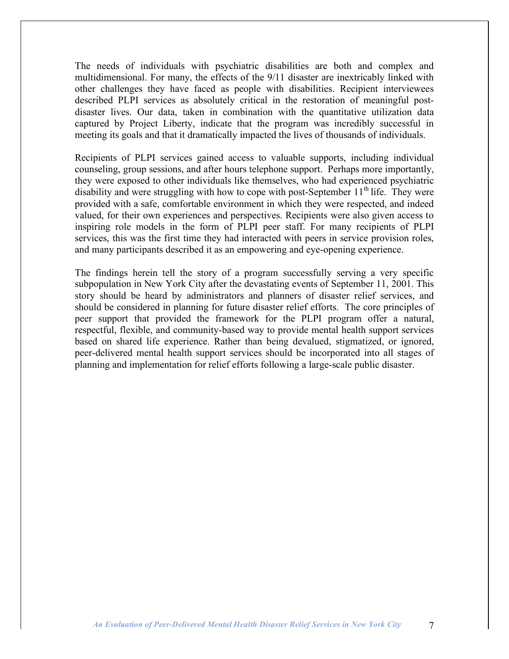The needs of individuals with psychiatric disabilities are both and complex and multidimensional. For many, the effects of the 9/11 disaster are inextricably linked with other challenges they have faced as people with disabilities. Recipient interviewees described PLPI services as absolutely critical in the restoration of meaningful postdisaster lives. Our data, taken in combination with the quantitative utilization data captured by Project Liberty, indicate that the program was incredibly successful in meeting its goals and that it dramatically impacted the lives of thousands of individuals.

Recipients of PLPI services gained access to valuable supports, including individual counseling, group sessions, and after hours telephone support. Perhaps more importantly, they were exposed to other individuals like themselves, who had experienced psychiatric disability and were struggling with how to cope with post-September  $11<sup>th</sup>$  life. They were provided with a safe, comfortable environment in which they were respected, and indeed valued, for their own experiences and perspectives. Recipients were also given access to inspiring role models in the form of PLPI peer staff. For many recipients of PLPI services, this was the first time they had interacted with peers in service provision roles, and many participants described it as an empowering and eye-opening experience.

The findings herein tell the story of a program successfully serving a very specific subpopulation in New York City after the devastating events of September 11, 2001. This story should be heard by administrators and planners of disaster relief services, and should be considered in planning for future disaster relief efforts. The core principles of peer support that provided the framework for the PLPI program offer a natural, respectful, flexible, and community-based way to provide mental health support services based on shared life experience. Rather than being devalued, stigmatized, or ignored, peer-delivered mental health support services should be incorporated into all stages of planning and implementation for relief efforts following a large-scale public disaster.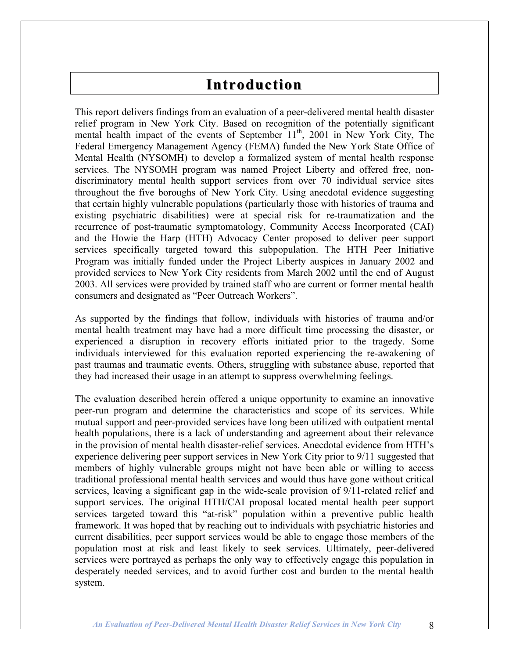## **Introduction**

This report delivers findings from an evaluation of a peer-delivered mental health disaster relief program in New York City. Based on recognition of the potentially significant mental health impact of the events of September 11<sup>th</sup>, 2001 in New York City, The Federal Emergency Management Agency (FEMA) funded the New York State Office of Mental Health (NYSOMH) to develop a formalized system of mental health response services. The NYSOMH program was named Project Liberty and offered free, nondiscriminatory mental health support services from over 70 individual service sites throughout the five boroughs of New York City. Using anecdotal evidence suggesting that certain highly vulnerable populations (particularly those with histories of trauma and existing psychiatric disabilities) were at special risk for re-traumatization and the recurrence of post-traumatic symptomatology, Community Access Incorporated (CAI) and the Howie the Harp (HTH) Advocacy Center proposed to deliver peer support services specifically targeted toward this subpopulation. The HTH Peer Initiative Program was initially funded under the Project Liberty auspices in January 2002 and provided services to New York City residents from March 2002 until the end of August 2003. All services were provided by trained staff who are current or former mental health consumers and designated as "Peer Outreach Workers".

As supported by the findings that follow, individuals with histories of trauma and/or mental health treatment may have had a more difficult time processing the disaster, or experienced a disruption in recovery efforts initiated prior to the tragedy. Some individuals interviewed for this evaluation reported experiencing the re-awakening of past traumas and traumatic events. Others, struggling with substance abuse, reported that they had increased their usage in an attempt to suppress overwhelming feelings.

The evaluation described herein offered a unique opportunity to examine an innovative peer-run program and determine the characteristics and scope of its services. While mutual support and peer-provided services have long been utilized with outpatient mental health populations, there is a lack of understanding and agreement about their relevance in the provision of mental health disaster-relief services. Anecdotal evidence from HTH's experience delivering peer support services in New York City prior to 9/11 suggested that members of highly vulnerable groups might not have been able or willing to access traditional professional mental health services and would thus have gone without critical services, leaving a significant gap in the wide-scale provision of 9/11-related relief and support services. The original HTH/CAI proposal located mental health peer support services targeted toward this "at-risk" population within a preventive public health framework. It was hoped that by reaching out to individuals with psychiatric histories and current disabilities, peer support services would be able to engage those members of the population most at risk and least likely to seek services. Ultimately, peer-delivered services were portrayed as perhaps the only way to effectively engage this population in desperately needed services, and to avoid further cost and burden to the mental health system.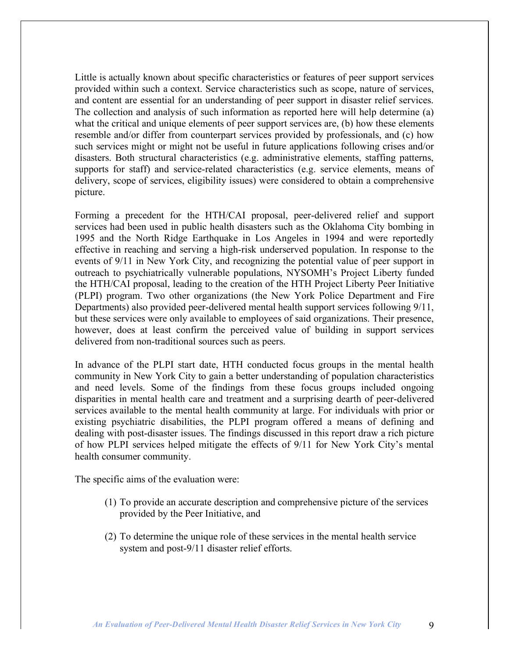Little is actually known about specific characteristics or features of peer support services provided within such a context. Service characteristics such as scope, nature of services, and content are essential for an understanding of peer support in disaster relief services. The collection and analysis of such information as reported here will help determine (a) what the critical and unique elements of peer support services are, (b) how these elements resemble and/or differ from counterpart services provided by professionals, and (c) how such services might or might not be useful in future applications following crises and/or disasters. Both structural characteristics (e.g. administrative elements, staffing patterns, supports for staff) and service-related characteristics (e.g. service elements, means of delivery, scope of services, eligibility issues) were considered to obtain a comprehensive picture.

Forming a precedent for the HTH/CAI proposal, peer-delivered relief and support services had been used in public health disasters such as the Oklahoma City bombing in 1995 and the North Ridge Earthquake in Los Angeles in 1994 and were reportedly effective in reaching and serving a high-risk underserved population. In response to the events of 9/11 in New York City, and recognizing the potential value of peer support in outreach to psychiatrically vulnerable populations, NYSOMH's Project Liberty funded the HTH/CAI proposal, leading to the creation of the HTH Project Liberty Peer Initiative (PLPI) program. Two other organizations (the New York Police Department and Fire Departments) also provided peer-delivered mental health support services following 9/11, but these services were only available to employees of said organizations. Their presence, however, does at least confirm the perceived value of building in support services delivered from non-traditional sources such as peers.

In advance of the PLPI start date, HTH conducted focus groups in the mental health community in New York City to gain a better understanding of population characteristics and need levels. Some of the findings from these focus groups included ongoing disparities in mental health care and treatment and a surprising dearth of peer-delivered services available to the mental health community at large. For individuals with prior or existing psychiatric disabilities, the PLPI program offered a means of defining and dealing with post-disaster issues. The findings discussed in this report draw a rich picture of how PLPI services helped mitigate the effects of 9/11 for New York City's mental health consumer community.

The specific aims of the evaluation were:

- (1) To provide an accurate description and comprehensive picture of the services provided by the Peer Initiative, and
- (2) To determine the unique role of these services in the mental health service system and post-9/11 disaster relief efforts.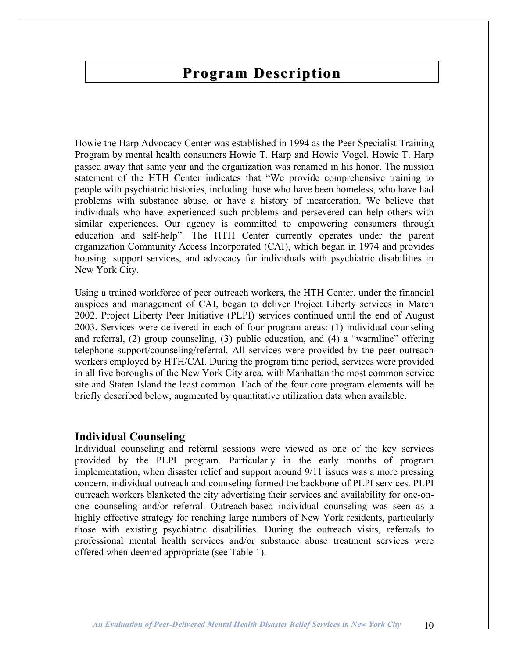## **Program Description**

Howie the Harp Advocacy Center was established in 1994 as the Peer Specialist Training Program by mental health consumers Howie T. Harp and Howie Vogel. Howie T. Harp passed away that same year and the organization was renamed in his honor. The mission statement of the HTH Center indicates that "We provide comprehensive training to people with psychiatric histories, including those who have been homeless, who have had problems with substance abuse, or have a history of incarceration. We believe that individuals who have experienced such problems and persevered can help others with similar experiences. Our agency is committed to empowering consumers through education and self-help". The HTH Center currently operates under the parent organization Community Access Incorporated (CAI), which began in 1974 and provides housing, support services, and advocacy for individuals with psychiatric disabilities in New York City.

Using a trained workforce of peer outreach workers, the HTH Center, under the financial auspices and management of CAI, began to deliver Project Liberty services in March 2002. Project Liberty Peer Initiative (PLPI) services continued until the end of August 2003. Services were delivered in each of four program areas: (1) individual counseling and referral, (2) group counseling, (3) public education, and (4) a "warmline" offering telephone support/counseling/referral. All services were provided by the peer outreach workers employed by HTH/CAI. During the program time period, services were provided in all five boroughs of the New York City area, with Manhattan the most common service site and Staten Island the least common. Each of the four core program elements will be briefly described below, augmented by quantitative utilization data when available.

#### **Individual Counseling**

Individual counseling and referral sessions were viewed as one of the key services provided by the PLPI program. Particularly in the early months of program implementation, when disaster relief and support around 9/11 issues was a more pressing concern, individual outreach and counseling formed the backbone of PLPI services. PLPI outreach workers blanketed the city advertising their services and availability for one-onone counseling and/or referral. Outreach-based individual counseling was seen as a highly effective strategy for reaching large numbers of New York residents, particularly those with existing psychiatric disabilities. During the outreach visits, referrals to professional mental health services and/or substance abuse treatment services were offered when deemed appropriate (see Table 1).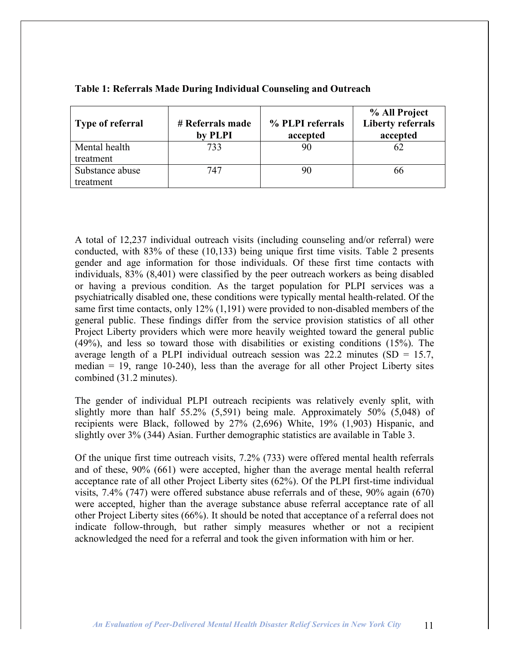| Type of referral | # Referrals made<br>by PLPI | % PLPI referrals<br>accepted | % All Project<br><b>Liberty referrals</b><br>accepted |
|------------------|-----------------------------|------------------------------|-------------------------------------------------------|
| Mental health    | 733                         |                              | 62                                                    |
| treatment        |                             |                              |                                                       |
| Substance abuse  | 747                         |                              | 66                                                    |
| treatment        |                             |                              |                                                       |

#### **Table 1: Referrals Made During Individual Counseling and Outreach**

A total of 12,237 individual outreach visits (including counseling and/or referral) were conducted, with 83% of these (10,133) being unique first time visits. Table 2 presents gender and age information for those individuals. Of these first time contacts with individuals, 83% (8,401) were classified by the peer outreach workers as being disabled or having a previous condition. As the target population for PLPI services was a psychiatrically disabled one, these conditions were typically mental health-related. Of the same first time contacts, only 12% (1,191) were provided to non-disabled members of the general public. These findings differ from the service provision statistics of all other Project Liberty providers which were more heavily weighted toward the general public (49%), and less so toward those with disabilities or existing conditions (15%). The average length of a PLPI individual outreach session was 22.2 minutes  $(SD = 15.7)$ , median  $= 19$ , range 10-240), less than the average for all other Project Liberty sites combined (31.2 minutes).

The gender of individual PLPI outreach recipients was relatively evenly split, with slightly more than half 55.2% (5,591) being male. Approximately 50% (5,048) of recipients were Black, followed by 27% (2,696) White, 19% (1,903) Hispanic, and slightly over 3% (344) Asian. Further demographic statistics are available in Table 3.

Of the unique first time outreach visits, 7.2% (733) were offered mental health referrals and of these, 90% (661) were accepted, higher than the average mental health referral acceptance rate of all other Project Liberty sites (62%). Of the PLPI first-time individual visits, 7.4% (747) were offered substance abuse referrals and of these, 90% again (670) were accepted, higher than the average substance abuse referral acceptance rate of all other Project Liberty sites (66%). It should be noted that acceptance of a referral does not indicate follow-through, but rather simply measures whether or not a recipient acknowledged the need for a referral and took the given information with him or her.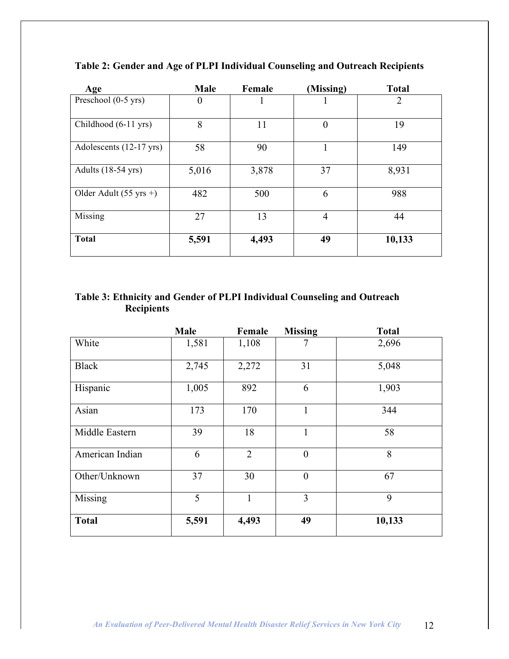| Age                               | Male     | Female | (Missing)      | <b>Total</b>   |
|-----------------------------------|----------|--------|----------------|----------------|
| Preschool (0-5 yrs)               | $\theta$ |        |                | $\overline{2}$ |
| Childhood (6-11 yrs)              | 8        | 11     | $\theta$       | 19             |
| Adolescents (12-17 yrs)           | 58       | 90     | Т.             | 149            |
| Adults (18-54 yrs)                | 5,016    | 3,878  | 37             | 8,931          |
| Older Adult $(55 \text{ yrs} + )$ | 482      | 500    | 6              | 988            |
| Missing                           | 27       | 13     | $\overline{4}$ | 44             |
| <b>Total</b>                      | 5,591    | 4,493  | 49             | 10,133         |

**Table 2: Gender and Age of PLPI Individual Counseling and Outreach Recipients**

#### **Table 3: Ethnicity and Gender of PLPI Individual Counseling and Outreach Recipients**

|                 | Male  | Female         | <b>Missing</b>   | <b>Total</b> |
|-----------------|-------|----------------|------------------|--------------|
| White           | 1,581 | 1,108          | 7                | 2,696        |
| <b>Black</b>    | 2,745 | 2,272          | 31               | 5,048        |
| Hispanic        | 1,005 | 892            | 6                | 1,903        |
| Asian           | 173   | 170            | $\mathbf{1}$     | 344          |
| Middle Eastern  | 39    | 18             | 1                | 58           |
| American Indian | 6     | $\overline{2}$ | $\boldsymbol{0}$ | 8            |
| Other/Unknown   | 37    | 30             | $\theta$         | 67           |
| Missing         | 5     | $\mathbf{1}$   | 3                | 9            |
| <b>Total</b>    | 5,591 | 4,493          | 49               | 10,133       |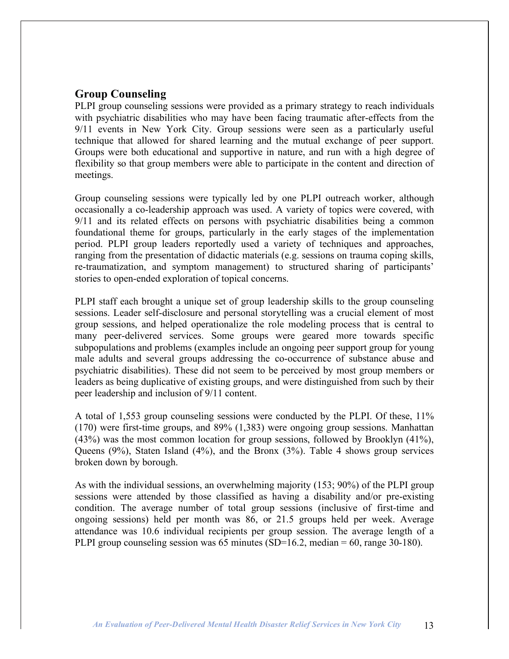## **Group Counseling**

PLPI group counseling sessions were provided as a primary strategy to reach individuals with psychiatric disabilities who may have been facing traumatic after-effects from the 9/11 events in New York City. Group sessions were seen as a particularly useful technique that allowed for shared learning and the mutual exchange of peer support. Groups were both educational and supportive in nature, and run with a high degree of flexibility so that group members were able to participate in the content and direction of meetings.

Group counseling sessions were typically led by one PLPI outreach worker, although occasionally a co-leadership approach was used. A variety of topics were covered, with 9/11 and its related effects on persons with psychiatric disabilities being a common foundational theme for groups, particularly in the early stages of the implementation period. PLPI group leaders reportedly used a variety of techniques and approaches, ranging from the presentation of didactic materials (e.g. sessions on trauma coping skills, re-traumatization, and symptom management) to structured sharing of participants' stories to open-ended exploration of topical concerns.

PLPI staff each brought a unique set of group leadership skills to the group counseling sessions. Leader self-disclosure and personal storytelling was a crucial element of most group sessions, and helped operationalize the role modeling process that is central to many peer-delivered services. Some groups were geared more towards specific subpopulations and problems (examples include an ongoing peer support group for young male adults and several groups addressing the co-occurrence of substance abuse and psychiatric disabilities). These did not seem to be perceived by most group members or leaders as being duplicative of existing groups, and were distinguished from such by their peer leadership and inclusion of 9/11 content.

A total of 1,553 group counseling sessions were conducted by the PLPI. Of these, 11% (170) were first-time groups, and 89% (1,383) were ongoing group sessions. Manhattan (43%) was the most common location for group sessions, followed by Brooklyn (41%), Queens (9%), Staten Island (4%), and the Bronx (3%). Table 4 shows group services broken down by borough.

As with the individual sessions, an overwhelming majority (153; 90%) of the PLPI group sessions were attended by those classified as having a disability and/or pre-existing condition. The average number of total group sessions (inclusive of first-time and ongoing sessions) held per month was 86, or 21.5 groups held per week. Average attendance was 10.6 individual recipients per group session. The average length of a PLPI group counseling session was 65 minutes (SD=16.2, median = 60, range 30-180).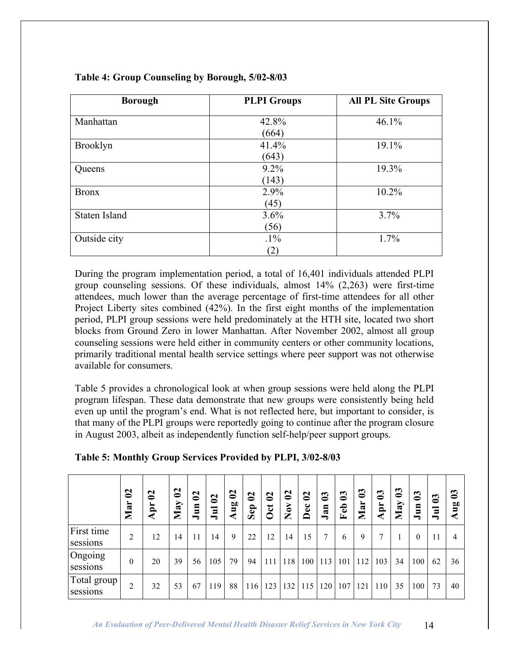| <b>Borough</b>  | <b>PLPI</b> Groups | <b>All PL Site Groups</b> |
|-----------------|--------------------|---------------------------|
| Manhattan       | 42.8%              | 46.1%                     |
|                 | (664)              |                           |
| <b>Brooklyn</b> | 41.4%              | 19.1%                     |
|                 | (643)              |                           |
| Queens          | 9.2%               | 19.3%                     |
|                 | (143)              |                           |
| <b>Bronx</b>    | 2.9%               | 10.2%                     |
|                 | (45)               |                           |
| Staten Island   | 3.6%               | 3.7%                      |
|                 | (56)               |                           |
| Outside city    | $.1\%$             | 1.7%                      |
|                 | (2)                |                           |

#### **Table 4: Group Counseling by Borough, 5/02-8/03**

During the program implementation period, a total of 16,401 individuals attended PLPI group counseling sessions. Of these individuals, almost 14% (2,263) were first-time attendees, much lower than the average percentage of first-time attendees for all other Project Liberty sites combined (42%). In the first eight months of the implementation period, PLPI group sessions were held predominately at the HTH site, located two short blocks from Ground Zero in lower Manhattan. After November 2002, almost all group counseling sessions were held either in community centers or other community locations, primarily traditional mental health service settings where peer support was not otherwise available for consumers.

Table 5 provides a chronological look at when group sessions were held along the PLPI program lifespan. These data demonstrate that new groups were consistently being held even up until the program's end. What is not reflected here, but important to consider, is that many of the PLPI groups were reportedly going to continue after the program closure in August 2003, albeit as independently function self-help/peer support groups.

|                         | $\mathbf{S}$<br>Mar | $\boldsymbol{S}$<br>Apr | $\boldsymbol{\mathsf{S}}$<br>May | $\mathbf{S}$<br>Jun | $\mathbf{S}$<br>$\Xi$ | $\boldsymbol{S}$<br>ηã<br>₹ | $\boldsymbol{S}$<br>Sep | $\mathbf{C}$<br><b>Oct</b> | $\boldsymbol{S}$<br>Nov | $\boldsymbol{S}$<br>Dec | $\boldsymbol{3}$<br>Jan | $\boldsymbol{3}$<br>Feb | $\boldsymbol{3}$<br>Mar | $\boldsymbol{3}$<br>Apr | $\boldsymbol{3}$<br>May | $\boldsymbol{03}$<br>Jun | $\boldsymbol{\mathbb{S}}$<br>∍ | $\boldsymbol{c}$<br>50<br>∍<br>◀ |
|-------------------------|---------------------|-------------------------|----------------------------------|---------------------|-----------------------|-----------------------------|-------------------------|----------------------------|-------------------------|-------------------------|-------------------------|-------------------------|-------------------------|-------------------------|-------------------------|--------------------------|--------------------------------|----------------------------------|
| First time<br>sessions  | 2                   | 12                      | 14                               | 11                  | 14                    | 9                           | 22                      | 12                         | 14                      | 15                      | 7                       | 6                       | 9                       | ⇁                       |                         | $\theta$                 | 11                             | 4                                |
| Ongoing<br>sessions     | $\theta$            | 20                      | 39                               | 56                  | 105                   | 79                          | 94                      | 111                        | 118                     | 100                     | 113                     | 101                     | 112                     | 103                     | 34                      | 100                      | 62                             | 36                               |
| Total group<br>sessions | 2                   | 32                      | 53                               | 67                  | 119                   | 88                          | 116                     | 123                        | 132                     | 115                     | 120                     | 107                     | 121                     | 110                     | 35                      | 100                      | 73                             | 40                               |

|  |  | Table 5: Monthly Group Services Provided by PLPI, 3/02-8/03 |
|--|--|-------------------------------------------------------------|
|  |  |                                                             |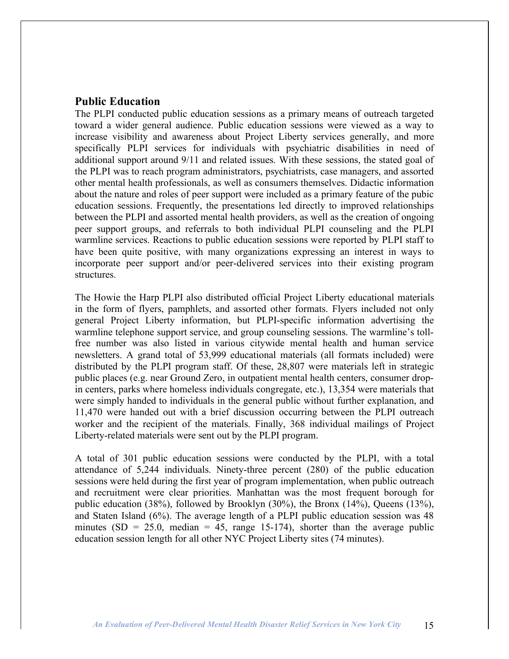### **Public Education**

The PLPI conducted public education sessions as a primary means of outreach targeted toward a wider general audience. Public education sessions were viewed as a way to increase visibility and awareness about Project Liberty services generally, and more specifically PLPI services for individuals with psychiatric disabilities in need of additional support around 9/11 and related issues. With these sessions, the stated goal of the PLPI was to reach program administrators, psychiatrists, case managers, and assorted other mental health professionals, as well as consumers themselves. Didactic information about the nature and roles of peer support were included as a primary feature of the pubic education sessions. Frequently, the presentations led directly to improved relationships between the PLPI and assorted mental health providers, as well as the creation of ongoing peer support groups, and referrals to both individual PLPI counseling and the PLPI warmline services. Reactions to public education sessions were reported by PLPI staff to have been quite positive, with many organizations expressing an interest in ways to incorporate peer support and/or peer-delivered services into their existing program structures.

The Howie the Harp PLPI also distributed official Project Liberty educational materials in the form of flyers, pamphlets, and assorted other formats. Flyers included not only general Project Liberty information, but PLPI-specific information advertising the warmline telephone support service, and group counseling sessions. The warmline's tollfree number was also listed in various citywide mental health and human service newsletters. A grand total of 53,999 educational materials (all formats included) were distributed by the PLPI program staff. Of these, 28,807 were materials left in strategic public places (e.g. near Ground Zero, in outpatient mental health centers, consumer dropin centers, parks where homeless individuals congregate, etc.), 13,354 were materials that were simply handed to individuals in the general public without further explanation, and 11,470 were handed out with a brief discussion occurring between the PLPI outreach worker and the recipient of the materials. Finally, 368 individual mailings of Project Liberty-related materials were sent out by the PLPI program.

A total of 301 public education sessions were conducted by the PLPI, with a total attendance of 5,244 individuals. Ninety-three percent (280) of the public education sessions were held during the first year of program implementation, when public outreach and recruitment were clear priorities. Manhattan was the most frequent borough for public education (38%), followed by Brooklyn (30%), the Bronx (14%), Queens (13%), and Staten Island (6%). The average length of a PLPI public education session was 48 minutes (SD = 25.0, median = 45, range 15-174), shorter than the average public education session length for all other NYC Project Liberty sites (74 minutes).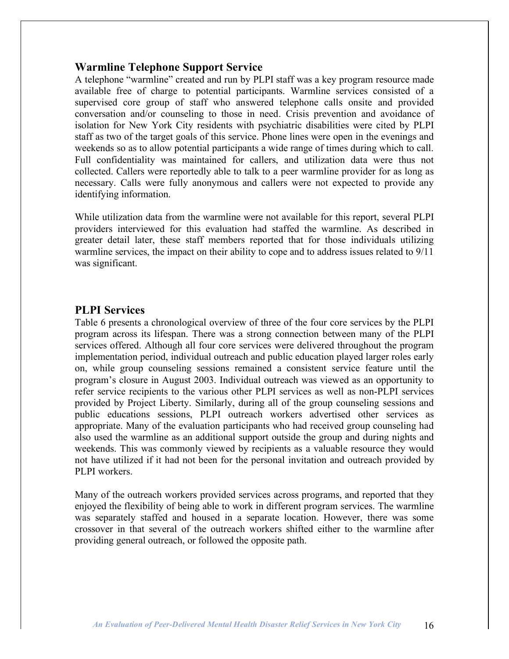### **Warmline Telephone Support Service**

A telephone "warmline" created and run by PLPI staff was a key program resource made available free of charge to potential participants. Warmline services consisted of a supervised core group of staff who answered telephone calls onsite and provided conversation and/or counseling to those in need. Crisis prevention and avoidance of isolation for New York City residents with psychiatric disabilities were cited by PLPI staff as two of the target goals of this service. Phone lines were open in the evenings and weekends so as to allow potential participants a wide range of times during which to call. Full confidentiality was maintained for callers, and utilization data were thus not collected. Callers were reportedly able to talk to a peer warmline provider for as long as necessary. Calls were fully anonymous and callers were not expected to provide any identifying information.

While utilization data from the warmline were not available for this report, several PLPI providers interviewed for this evaluation had staffed the warmline. As described in greater detail later, these staff members reported that for those individuals utilizing warmline services, the impact on their ability to cope and to address issues related to 9/11 was significant.

### **PLPI Services**

Table 6 presents a chronological overview of three of the four core services by the PLPI program across its lifespan. There was a strong connection between many of the PLPI services offered. Although all four core services were delivered throughout the program implementation period, individual outreach and public education played larger roles early on, while group counseling sessions remained a consistent service feature until the program's closure in August 2003. Individual outreach was viewed as an opportunity to refer service recipients to the various other PLPI services as well as non-PLPI services provided by Project Liberty. Similarly, during all of the group counseling sessions and public educations sessions, PLPI outreach workers advertised other services as appropriate. Many of the evaluation participants who had received group counseling had also used the warmline as an additional support outside the group and during nights and weekends. This was commonly viewed by recipients as a valuable resource they would not have utilized if it had not been for the personal invitation and outreach provided by PLPI workers.

Many of the outreach workers provided services across programs, and reported that they enjoyed the flexibility of being able to work in different program services. The warmline was separately staffed and housed in a separate location. However, there was some crossover in that several of the outreach workers shifted either to the warmline after providing general outreach, or followed the opposite path.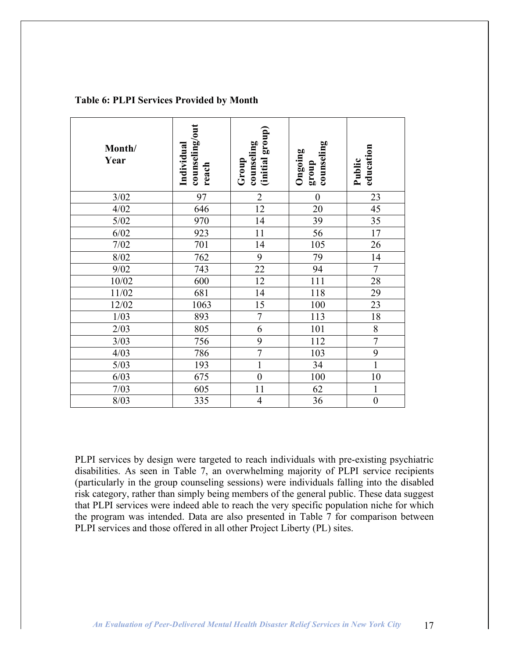| Month/<br>Year | counseling/out<br>Individual<br>reach | (initial group)<br>counseling<br>Group | counseling<br>Ongoing<br>dno.18 | education<br>Public |
|----------------|---------------------------------------|----------------------------------------|---------------------------------|---------------------|
| 3/02           | 97                                    | $\overline{2}$                         | $\mathbf{0}$                    | 23                  |
| 4/02           | 646                                   | $\overline{12}$                        | 20                              | 45                  |
| $5/02$         | 970                                   | 14                                     | 39                              | 35                  |
| 6/02           | 923                                   | 11                                     | $\overline{56}$                 | $17$                |
| $7/02$         | 701                                   | 14                                     | 105                             | 26                  |
| 8/02           | 762                                   | $\overline{9}$                         | 79                              | 14                  |
| 9/02           | 743                                   | $\overline{22}$                        | 94                              | $\overline{7}$      |
| 10/02          | 600                                   | 12                                     | 111                             | 28                  |
| 11/02          | 681                                   | 14                                     | 118                             | 29                  |
| 12/02          | 1063                                  | 15                                     | 100                             | 23                  |
| 1/03           | 893                                   | $\overline{7}$                         | 113                             | $18\,$              |
| 2/03           | 805                                   | $\overline{6}$                         | 101                             | $\overline{8}$      |
| 3/03           | 756                                   | 9                                      | 112                             | $\overline{7}$      |
| 4/03           | 786                                   | $\overline{7}$                         | 103                             | 9                   |
| $5/03$         | 193                                   | $\mathbf{1}$                           | 34                              | $\mathbf{1}$        |
| 6/03           | 675                                   | $\overline{0}$                         | 100                             | 10                  |
| 7/03           | 605                                   | 11                                     | 62                              | $\mathbf{1}$        |
| 8/03           | 335                                   | $\overline{4}$                         | 36                              | $\overline{0}$      |

#### **Table 6: PLPI Services Provided by Month**

PLPI services by design were targeted to reach individuals with pre-existing psychiatric disabilities. As seen in Table 7, an overwhelming majority of PLPI service recipients (particularly in the group counseling sessions) were individuals falling into the disabled risk category, rather than simply being members of the general public. These data suggest that PLPI services were indeed able to reach the very specific population niche for which the program was intended. Data are also presented in Table 7 for comparison between PLPI services and those offered in all other Project Liberty (PL) sites.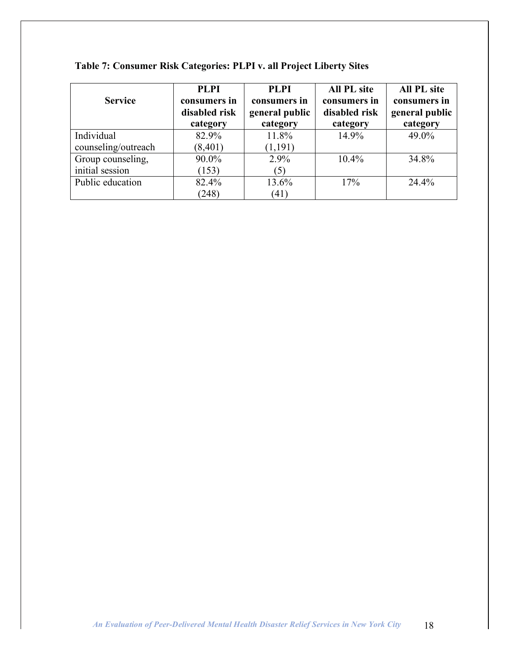| <b>Service</b>      | <b>PLPI</b><br>consumers in | <b>PLPI</b><br>consumers in | <b>All PL site</b><br>consumers in | <b>All PL site</b><br>consumers in |
|---------------------|-----------------------------|-----------------------------|------------------------------------|------------------------------------|
|                     | disabled risk               | general public              | disabled risk                      | general public                     |
|                     | category                    | category                    | category                           | category                           |
| Individual          | 82.9%                       | 11.8%                       | 14.9%                              | 49.0%                              |
| counseling/outreach | (8, 401)                    | (1,191)                     |                                    |                                    |
| Group counseling,   | 90.0%                       | 2.9%                        | 10.4%                              | 34.8%                              |
| initial session     | (153)                       | (5)                         |                                    |                                    |
| Public education    | 82.4%                       | 13.6%                       | 17%                                | 24.4%                              |
|                     | (248)                       | (41)                        |                                    |                                    |

## **Table 7: Consumer Risk Categories: PLPI v. all Project Liberty Sites**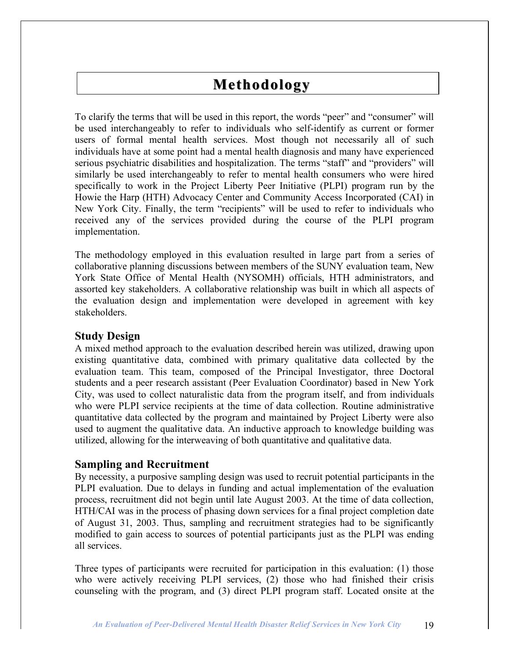## **Methodology**

To clarify the terms that will be used in this report, the words "peer" and "consumer" will be used interchangeably to refer to individuals who self-identify as current or former users of formal mental health services. Most though not necessarily all of such individuals have at some point had a mental health diagnosis and many have experienced serious psychiatric disabilities and hospitalization. The terms "staff" and "providers" will similarly be used interchangeably to refer to mental health consumers who were hired specifically to work in the Project Liberty Peer Initiative (PLPI) program run by the Howie the Harp (HTH) Advocacy Center and Community Access Incorporated (CAI) in New York City. Finally, the term "recipients" will be used to refer to individuals who received any of the services provided during the course of the PLPI program implementation.

The methodology employed in this evaluation resulted in large part from a series of collaborative planning discussions between members of the SUNY evaluation team, New York State Office of Mental Health (NYSOMH) officials, HTH administrators, and assorted key stakeholders. A collaborative relationship was built in which all aspects of the evaluation design and implementation were developed in agreement with key stakeholders.

### **Study Design**

A mixed method approach to the evaluation described herein was utilized, drawing upon existing quantitative data, combined with primary qualitative data collected by the evaluation team. This team, composed of the Principal Investigator, three Doctoral students and a peer research assistant (Peer Evaluation Coordinator) based in New York City, was used to collect naturalistic data from the program itself, and from individuals who were PLPI service recipients at the time of data collection. Routine administrative quantitative data collected by the program and maintained by Project Liberty were also used to augment the qualitative data. An inductive approach to knowledge building was utilized, allowing for the interweaving of both quantitative and qualitative data.

### **Sampling and Recruitment**

By necessity, a purposive sampling design was used to recruit potential participants in the PLPI evaluation. Due to delays in funding and actual implementation of the evaluation process, recruitment did not begin until late August 2003. At the time of data collection, HTH/CAI was in the process of phasing down services for a final project completion date of August 31, 2003. Thus, sampling and recruitment strategies had to be significantly modified to gain access to sources of potential participants just as the PLPI was ending all services.

Three types of participants were recruited for participation in this evaluation: (1) those who were actively receiving PLPI services, (2) those who had finished their crisis counseling with the program, and (3) direct PLPI program staff. Located onsite at the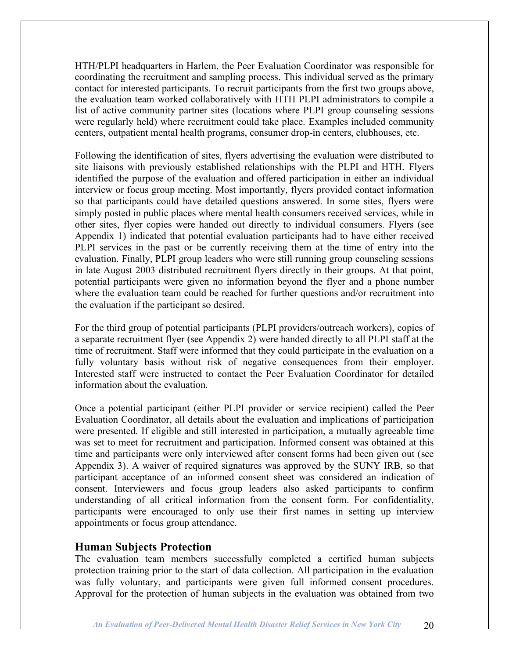HTH/PLPI headquarters in Harlem, the Peer Evaluation Coordinator was responsible for coordinating the recruitment and sampling process. This individual served as the primary contact for interested participants. To recruit participants from the first two groups above, the evaluation team worked collaboratively with HTH PLPI administrators to compile a list of active community partner sites (locations where PLPI group counseling sessions were regularly held) where recruitment could take place. Examples included community centers, outpatient mental health programs, consumer drop-in centers, clubhouses, etc.

Following the identification of sites, flyers advertising the evaluation were distributed to site liaisons with previously established relationships with the PLPI and HTH. Flyers identified the purpose of the evaluation and offered participation in either an individual interview or focus group meeting. Most importantly, flyers provided contact information so that participants could have detailed questions answered. In some sites, flyers were simply posted in public places where mental health consumers received services, while in other sites, flyer copies were handed out directly to individual consumers. Flyers (see Appendix 1) indicated that potential evaluation participants had to have either received PLPI services in the past or be currently receiving them at the time of entry into the evaluation. Finally, PLPI group leaders who were still running group counseling sessions in late August 2003 distributed recruitment flyers directly in their groups. At that point, potential participants were given no information beyond the flyer and a phone number where the evaluation team could be reached for further questions and/or recruitment into the evaluation if the participant so desired.

For the third group of potential participants (PLPI providers/outreach workers), copies of a separate recruitment flyer (see Appendix 2) were handed directly to all PLPI staff at the time of recruitment. Staff were informed that they could participate in the evaluation on a fully voluntary basis without risk of negative consequences from their employer. Interested staff were instructed to contact the Peer Evaluation Coordinator for detailed information about the evaluation.

Once a potential participant (either PLPI provider or service recipient) called the Peer Evaluation Coordinator, all details about the evaluation and implications of participation were presented. If eligible and still interested in participation, a mutually agreeable time was set to meet for recruitment and participation. Informed consent was obtained at this time and participants were only interviewed after consent forms had been given out (see Appendix 3). A waiver of required signatures was approved by the SUNY IRB, so that participant acceptance of an informed consent sheet was considered an indication of consent. Interviewers and focus group leaders also asked participants to confirm understanding of all critical information from the consent form. For confidentiality, participants were encouraged to only use their first names in setting up interview appointments or focus group attendance.

### **Human Subjects Protection**

The evaluation team members successfully completed a certified human subjects protection training prior to the start of data collection. All participation in the evaluation was fully voluntary, and participants were given full informed consent procedures. Approval for the protection of human subjects in the evaluation was obtained from two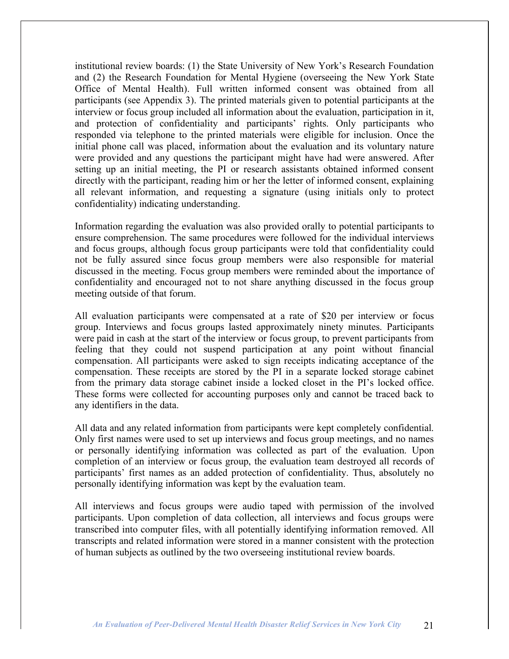institutional review boards: (1) the State University of New York's Research Foundation and (2) the Research Foundation for Mental Hygiene (overseeing the New York State Office of Mental Health). Full written informed consent was obtained from all participants (see Appendix 3). The printed materials given to potential participants at the interview or focus group included all information about the evaluation, participation in it, and protection of confidentiality and participants' rights. Only participants who responded via telephone to the printed materials were eligible for inclusion. Once the initial phone call was placed, information about the evaluation and its voluntary nature were provided and any questions the participant might have had were answered. After setting up an initial meeting, the PI or research assistants obtained informed consent directly with the participant, reading him or her the letter of informed consent, explaining all relevant information, and requesting a signature (using initials only to protect confidentiality) indicating understanding.

Information regarding the evaluation was also provided orally to potential participants to ensure comprehension. The same procedures were followed for the individual interviews and focus groups, although focus group participants were told that confidentiality could not be fully assured since focus group members were also responsible for material discussed in the meeting. Focus group members were reminded about the importance of confidentiality and encouraged not to not share anything discussed in the focus group meeting outside of that forum.

All evaluation participants were compensated at a rate of \$20 per interview or focus group. Interviews and focus groups lasted approximately ninety minutes. Participants were paid in cash at the start of the interview or focus group, to prevent participants from feeling that they could not suspend participation at any point without financial compensation. All participants were asked to sign receipts indicating acceptance of the compensation. These receipts are stored by the PI in a separate locked storage cabinet from the primary data storage cabinet inside a locked closet in the PI's locked office. These forms were collected for accounting purposes only and cannot be traced back to any identifiers in the data.

All data and any related information from participants were kept completely confidential. Only first names were used to set up interviews and focus group meetings, and no names or personally identifying information was collected as part of the evaluation. Upon completion of an interview or focus group, the evaluation team destroyed all records of participants' first names as an added protection of confidentiality. Thus, absolutely no personally identifying information was kept by the evaluation team.

All interviews and focus groups were audio taped with permission of the involved participants. Upon completion of data collection, all interviews and focus groups were transcribed into computer files, with all potentially identifying information removed. All transcripts and related information were stored in a manner consistent with the protection of human subjects as outlined by the two overseeing institutional review boards.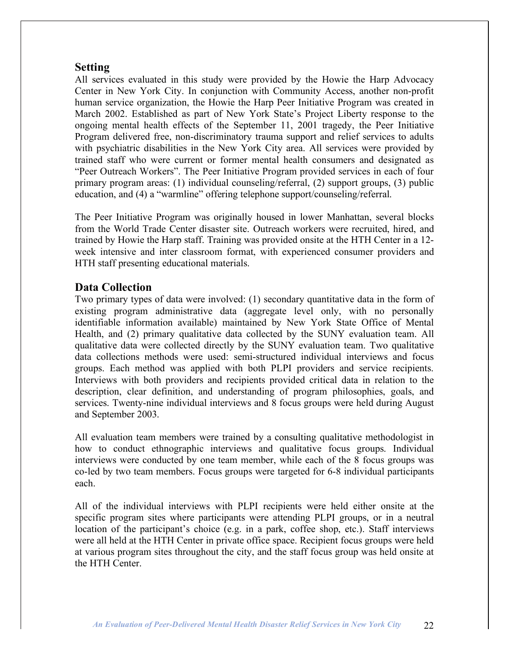## **Setting**

All services evaluated in this study were provided by the Howie the Harp Advocacy Center in New York City. In conjunction with Community Access, another non-profit human service organization, the Howie the Harp Peer Initiative Program was created in March 2002. Established as part of New York State's Project Liberty response to the ongoing mental health effects of the September 11, 2001 tragedy, the Peer Initiative Program delivered free, non-discriminatory trauma support and relief services to adults with psychiatric disabilities in the New York City area. All services were provided by trained staff who were current or former mental health consumers and designated as "Peer Outreach Workers". The Peer Initiative Program provided services in each of four primary program areas: (1) individual counseling/referral, (2) support groups, (3) public education, and (4) a "warmline" offering telephone support/counseling/referral.

The Peer Initiative Program was originally housed in lower Manhattan, several blocks from the World Trade Center disaster site. Outreach workers were recruited, hired, and trained by Howie the Harp staff. Training was provided onsite at the HTH Center in a 12 week intensive and inter classroom format, with experienced consumer providers and HTH staff presenting educational materials.

## **Data Collection**

Two primary types of data were involved: (1) secondary quantitative data in the form of existing program administrative data (aggregate level only, with no personally identifiable information available) maintained by New York State Office of Mental Health, and (2) primary qualitative data collected by the SUNY evaluation team. All qualitative data were collected directly by the SUNY evaluation team. Two qualitative data collections methods were used: semi-structured individual interviews and focus groups. Each method was applied with both PLPI providers and service recipients. Interviews with both providers and recipients provided critical data in relation to the description, clear definition, and understanding of program philosophies, goals, and services. Twenty-nine individual interviews and 8 focus groups were held during August and September 2003.

All evaluation team members were trained by a consulting qualitative methodologist in how to conduct ethnographic interviews and qualitative focus groups. Individual interviews were conducted by one team member, while each of the 8 focus groups was co-led by two team members. Focus groups were targeted for 6-8 individual participants each.

All of the individual interviews with PLPI recipients were held either onsite at the specific program sites where participants were attending PLPI groups, or in a neutral location of the participant's choice (e.g. in a park, coffee shop, etc.). Staff interviews were all held at the HTH Center in private office space. Recipient focus groups were held at various program sites throughout the city, and the staff focus group was held onsite at the HTH Center.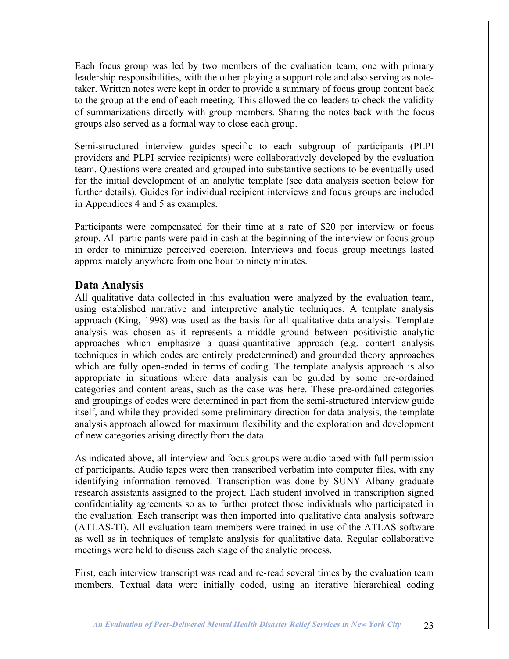Each focus group was led by two members of the evaluation team, one with primary leadership responsibilities, with the other playing a support role and also serving as notetaker. Written notes were kept in order to provide a summary of focus group content back to the group at the end of each meeting. This allowed the co-leaders to check the validity of summarizations directly with group members. Sharing the notes back with the focus groups also served as a formal way to close each group.

Semi-structured interview guides specific to each subgroup of participants (PLPI providers and PLPI service recipients) were collaboratively developed by the evaluation team. Questions were created and grouped into substantive sections to be eventually used for the initial development of an analytic template (see data analysis section below for further details). Guides for individual recipient interviews and focus groups are included in Appendices 4 and 5 as examples.

Participants were compensated for their time at a rate of \$20 per interview or focus group. All participants were paid in cash at the beginning of the interview or focus group in order to minimize perceived coercion. Interviews and focus group meetings lasted approximately anywhere from one hour to ninety minutes.

## **Data Analysis**

All qualitative data collected in this evaluation were analyzed by the evaluation team, using established narrative and interpretive analytic techniques. A template analysis approach (King, 1998) was used as the basis for all qualitative data analysis. Template analysis was chosen as it represents a middle ground between positivistic analytic approaches which emphasize a quasi-quantitative approach (e.g. content analysis techniques in which codes are entirely predetermined) and grounded theory approaches which are fully open-ended in terms of coding. The template analysis approach is also appropriate in situations where data analysis can be guided by some pre-ordained categories and content areas, such as the case was here. These pre-ordained categories and groupings of codes were determined in part from the semi-structured interview guide itself, and while they provided some preliminary direction for data analysis, the template analysis approach allowed for maximum flexibility and the exploration and development of new categories arising directly from the data.

As indicated above, all interview and focus groups were audio taped with full permission of participants. Audio tapes were then transcribed verbatim into computer files, with any identifying information removed. Transcription was done by SUNY Albany graduate research assistants assigned to the project. Each student involved in transcription signed confidentiality agreements so as to further protect those individuals who participated in the evaluation. Each transcript was then imported into qualitative data analysis software (ATLAS-TI). All evaluation team members were trained in use of the ATLAS software as well as in techniques of template analysis for qualitative data. Regular collaborative meetings were held to discuss each stage of the analytic process.

First, each interview transcript was read and re-read several times by the evaluation team members. Textual data were initially coded, using an iterative hierarchical coding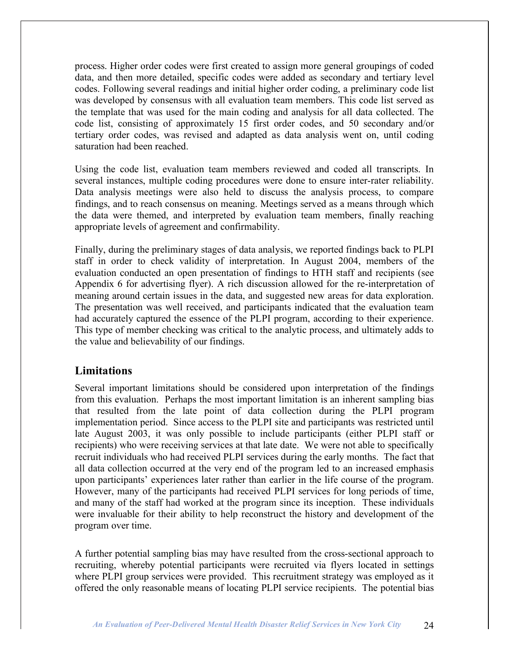process. Higher order codes were first created to assign more general groupings of coded data, and then more detailed, specific codes were added as secondary and tertiary level codes. Following several readings and initial higher order coding, a preliminary code list was developed by consensus with all evaluation team members. This code list served as the template that was used for the main coding and analysis for all data collected. The code list, consisting of approximately 15 first order codes, and 50 secondary and/or tertiary order codes, was revised and adapted as data analysis went on, until coding saturation had been reached.

Using the code list, evaluation team members reviewed and coded all transcripts. In several instances, multiple coding procedures were done to ensure inter-rater reliability. Data analysis meetings were also held to discuss the analysis process, to compare findings, and to reach consensus on meaning. Meetings served as a means through which the data were themed, and interpreted by evaluation team members, finally reaching appropriate levels of agreement and confirmability.

Finally, during the preliminary stages of data analysis, we reported findings back to PLPI staff in order to check validity of interpretation. In August 2004, members of the evaluation conducted an open presentation of findings to HTH staff and recipients (see Appendix 6 for advertising flyer). A rich discussion allowed for the re-interpretation of meaning around certain issues in the data, and suggested new areas for data exploration. The presentation was well received, and participants indicated that the evaluation team had accurately captured the essence of the PLPI program, according to their experience. This type of member checking was critical to the analytic process, and ultimately adds to the value and believability of our findings.

## **Limitations**

Several important limitations should be considered upon interpretation of the findings from this evaluation. Perhaps the most important limitation is an inherent sampling bias that resulted from the late point of data collection during the PLPI program implementation period. Since access to the PLPI site and participants was restricted until late August 2003, it was only possible to include participants (either PLPI staff or recipients) who were receiving services at that late date. We were not able to specifically recruit individuals who had received PLPI services during the early months. The fact that all data collection occurred at the very end of the program led to an increased emphasis upon participants' experiences later rather than earlier in the life course of the program. However, many of the participants had received PLPI services for long periods of time, and many of the staff had worked at the program since its inception. These individuals were invaluable for their ability to help reconstruct the history and development of the program over time.

A further potential sampling bias may have resulted from the cross-sectional approach to recruiting, whereby potential participants were recruited via flyers located in settings where PLPI group services were provided. This recruitment strategy was employed as it offered the only reasonable means of locating PLPI service recipients. The potential bias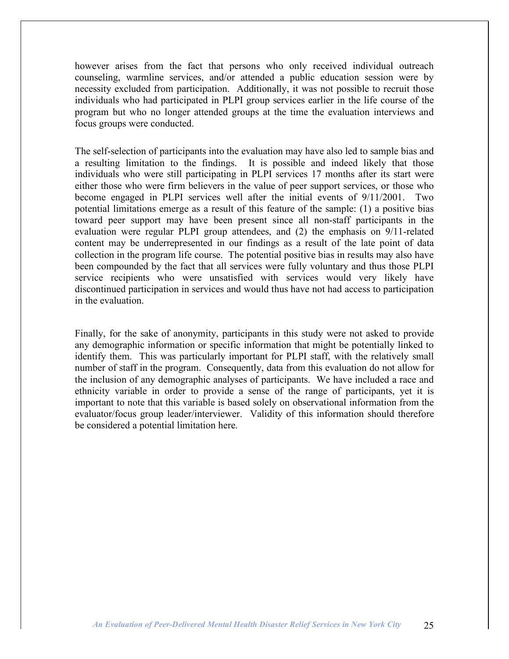however arises from the fact that persons who only received individual outreach counseling, warmline services, and/or attended a public education session were by necessity excluded from participation. Additionally, it was not possible to recruit those individuals who had participated in PLPI group services earlier in the life course of the program but who no longer attended groups at the time the evaluation interviews and focus groups were conducted.

The self-selection of participants into the evaluation may have also led to sample bias and a resulting limitation to the findings. It is possible and indeed likely that those individuals who were still participating in PLPI services 17 months after its start were either those who were firm believers in the value of peer support services, or those who become engaged in PLPI services well after the initial events of 9/11/2001. Two potential limitations emerge as a result of this feature of the sample: (1) a positive bias toward peer support may have been present since all non-staff participants in the evaluation were regular PLPI group attendees, and (2) the emphasis on 9/11-related content may be underrepresented in our findings as a result of the late point of data collection in the program life course. The potential positive bias in results may also have been compounded by the fact that all services were fully voluntary and thus those PLPI service recipients who were unsatisfied with services would very likely have discontinued participation in services and would thus have not had access to participation in the evaluation.

Finally, for the sake of anonymity, participants in this study were not asked to provide any demographic information or specific information that might be potentially linked to identify them. This was particularly important for PLPI staff, with the relatively small number of staff in the program. Consequently, data from this evaluation do not allow for the inclusion of any demographic analyses of participants. We have included a race and ethnicity variable in order to provide a sense of the range of participants, yet it is important to note that this variable is based solely on observational information from the evaluator/focus group leader/interviewer. Validity of this information should therefore be considered a potential limitation here.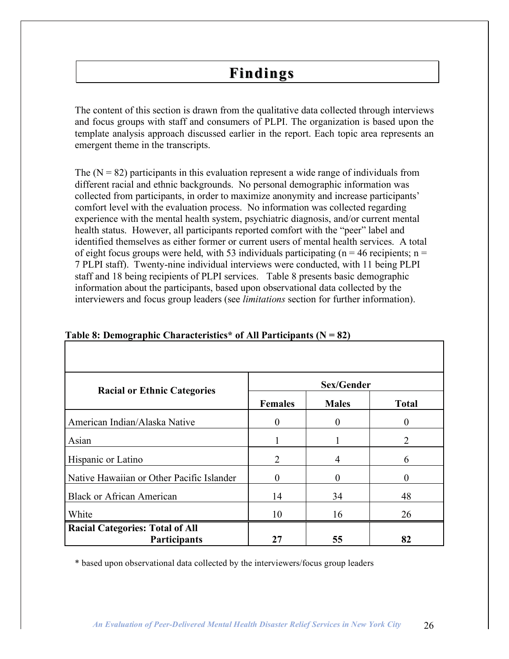## **Findings**

The content of this section is drawn from the qualitative data collected through interviews and focus groups with staff and consumers of PLPI. The organization is based upon the template analysis approach discussed earlier in the report. Each topic area represents an emergent theme in the transcripts.

The  $(N = 82)$  participants in this evaluation represent a wide range of individuals from different racial and ethnic backgrounds. No personal demographic information was collected from participants, in order to maximize anonymity and increase participants' comfort level with the evaluation process. No information was collected regarding experience with the mental health system, psychiatric diagnosis, and/or current mental health status. However, all participants reported comfort with the "peer" label and identified themselves as either former or current users of mental health services. A total of eight focus groups were held, with 53 individuals participating ( $n = 46$  recipients;  $n =$ 7 PLPI staff). Twenty-nine individual interviews were conducted, with 11 being PLPI staff and 18 being recipients of PLPI services. Table 8 presents basic demographic information about the participants, based upon observational data collected by the interviewers and focus group leaders (see *limitations* section for further information).

| <b>Racial or Ethnic Categories</b>                            | Sex/Gender     |              |                             |  |  |  |
|---------------------------------------------------------------|----------------|--------------|-----------------------------|--|--|--|
|                                                               | <b>Females</b> | <b>Males</b> | <b>Total</b>                |  |  |  |
| American Indian/Alaska Native                                 | $\Omega$       | $\Omega$     |                             |  |  |  |
| Asian                                                         |                |              | $\mathcal{D}_{\mathcal{L}}$ |  |  |  |
| Hispanic or Latino                                            | 2              | 4            | 6                           |  |  |  |
| Native Hawaiian or Other Pacific Islander                     |                | 0            |                             |  |  |  |
| <b>Black or African American</b>                              | 14             | 34           | 48                          |  |  |  |
| White                                                         | 10             | 16           | 26                          |  |  |  |
| <b>Racial Categories: Total of All</b><br><b>Participants</b> | 27             | 55           | 82                          |  |  |  |

|  | Table 8: Demographic Characteristics* of All Participants ( $N = 82$ ) |  |  |
|--|------------------------------------------------------------------------|--|--|
|  |                                                                        |  |  |

\* based upon observational data collected by the interviewers/focus group leaders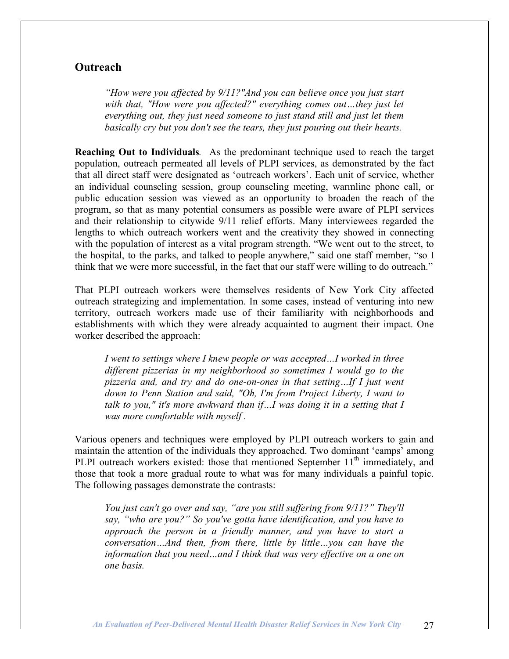## **Outreach**

*"How were you affected by 9/11?"And you can believe once you just start with that, "How were you affected?" everything comes out…they just let everything out, they just need someone to just stand still and just let them basically cry but you don't see the tears, they just pouring out their hearts.*

**Reaching Out to Individuals***.* As the predominant technique used to reach the target population, outreach permeated all levels of PLPI services, as demonstrated by the fact that all direct staff were designated as 'outreach workers'. Each unit of service, whether an individual counseling session, group counseling meeting, warmline phone call, or public education session was viewed as an opportunity to broaden the reach of the program, so that as many potential consumers as possible were aware of PLPI services and their relationship to citywide 9/11 relief efforts. Many interviewees regarded the lengths to which outreach workers went and the creativity they showed in connecting with the population of interest as a vital program strength. "We went out to the street, to the hospital, to the parks, and talked to people anywhere," said one staff member, "so I think that we were more successful, in the fact that our staff were willing to do outreach."

That PLPI outreach workers were themselves residents of New York City affected outreach strategizing and implementation. In some cases, instead of venturing into new territory, outreach workers made use of their familiarity with neighborhoods and establishments with which they were already acquainted to augment their impact. One worker described the approach:

*I went to settings where I knew people or was accepted…I worked in three different pizzerias in my neighborhood so sometimes I would go to the pizzeria and, and try and do one-on-ones in that setting…If I just went down to Penn Station and said, "Oh, I'm from Project Liberty, I want to talk to you," it's more awkward than if…I was doing it in a setting that I was more comfortable with myself .*

Various openers and techniques were employed by PLPI outreach workers to gain and maintain the attention of the individuals they approached. Two dominant 'camps' among PLPI outreach workers existed: those that mentioned September 11<sup>th</sup> immediately, and those that took a more gradual route to what was for many individuals a painful topic. The following passages demonstrate the contrasts:

*You just can't go over and say, "are you still suffering from 9/11?" They'll say, "who are you?" So you've gotta have identification, and you have to approach the person in a friendly manner, and you have to start a conversation…And then, from there, little by little…you can have the information that you need…and I think that was very effective on a one on one basis.*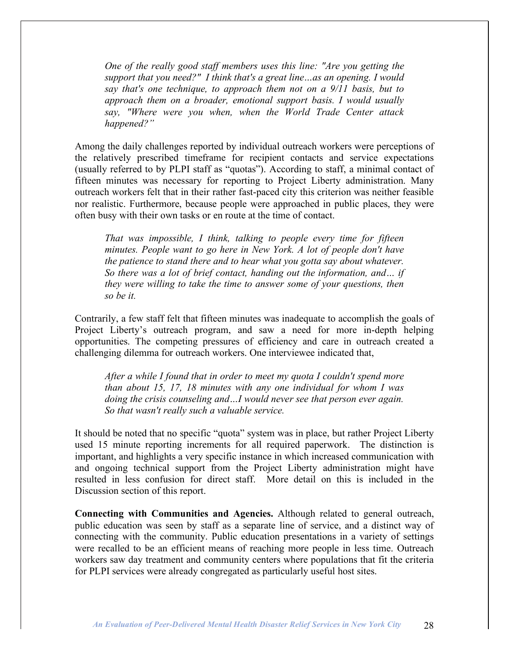*One of the really good staff members uses this line: "Are you getting the support that you need?" I think that's a great line…as an opening. I would say that's one technique, to approach them not on a 9/11 basis, but to approach them on a broader, emotional support basis. I would usually say, "Where were you when, when the World Trade Center attack happened?"*

Among the daily challenges reported by individual outreach workers were perceptions of the relatively prescribed timeframe for recipient contacts and service expectations (usually referred to by PLPI staff as "quotas"). According to staff, a minimal contact of fifteen minutes was necessary for reporting to Project Liberty administration. Many outreach workers felt that in their rather fast-paced city this criterion was neither feasible nor realistic. Furthermore, because people were approached in public places, they were often busy with their own tasks or en route at the time of contact.

*That was impossible, I think, talking to people every time for fifteen minutes. People want to go here in New York. A lot of people don't have the patience to stand there and to hear what you gotta say about whatever. So there was a lot of brief contact, handing out the information, and… if they were willing to take the time to answer some of your questions, then so be it.*

Contrarily, a few staff felt that fifteen minutes was inadequate to accomplish the goals of Project Liberty's outreach program, and saw a need for more in-depth helping opportunities. The competing pressures of efficiency and care in outreach created a challenging dilemma for outreach workers. One interviewee indicated that,

*After a while I found that in order to meet my quota I couldn't spend more than about 15, 17, 18 minutes with any one individual for whom I was doing the crisis counseling and…I would never see that person ever again. So that wasn't really such a valuable service.*

It should be noted that no specific "quota" system was in place, but rather Project Liberty used 15 minute reporting increments for all required paperwork. The distinction is important, and highlights a very specific instance in which increased communication with and ongoing technical support from the Project Liberty administration might have resulted in less confusion for direct staff. More detail on this is included in the Discussion section of this report.

**Connecting with Communities and Agencies.** Although related to general outreach, public education was seen by staff as a separate line of service, and a distinct way of connecting with the community. Public education presentations in a variety of settings were recalled to be an efficient means of reaching more people in less time. Outreach workers saw day treatment and community centers where populations that fit the criteria for PLPI services were already congregated as particularly useful host sites.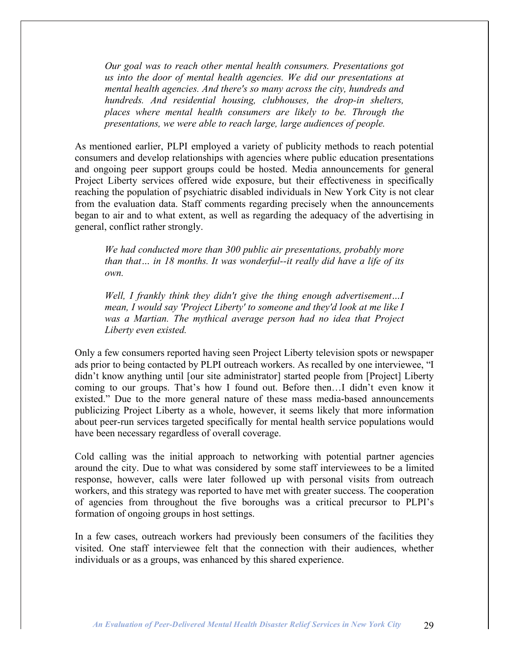*Our goal was to reach other mental health consumers. Presentations got us into the door of mental health agencies. We did our presentations at mental health agencies. And there's so many across the city, hundreds and hundreds. And residential housing, clubhouses, the drop-in shelters, places where mental health consumers are likely to be. Through the presentations, we were able to reach large, large audiences of people.*

As mentioned earlier, PLPI employed a variety of publicity methods to reach potential consumers and develop relationships with agencies where public education presentations and ongoing peer support groups could be hosted. Media announcements for general Project Liberty services offered wide exposure, but their effectiveness in specifically reaching the population of psychiatric disabled individuals in New York City is not clear from the evaluation data. Staff comments regarding precisely when the announcements began to air and to what extent, as well as regarding the adequacy of the advertising in general, conflict rather strongly.

*We had conducted more than 300 public air presentations, probably more than that… in 18 months. It was wonderful--it really did have a life of its own.*

*Well, I frankly think they didn't give the thing enough advertisement…I mean, I would say 'Project Liberty' to someone and they'd look at me like I was a Martian. The mythical average person had no idea that Project Liberty even existed.*

Only a few consumers reported having seen Project Liberty television spots or newspaper ads prior to being contacted by PLPI outreach workers. As recalled by one interviewee, "I didn't know anything until [our site administrator] started people from [Project] Liberty coming to our groups. That's how I found out. Before then…I didn't even know it existed." Due to the more general nature of these mass media-based announcements publicizing Project Liberty as a whole, however, it seems likely that more information about peer-run services targeted specifically for mental health service populations would have been necessary regardless of overall coverage.

Cold calling was the initial approach to networking with potential partner agencies around the city. Due to what was considered by some staff interviewees to be a limited response, however, calls were later followed up with personal visits from outreach workers, and this strategy was reported to have met with greater success. The cooperation of agencies from throughout the five boroughs was a critical precursor to PLPI's formation of ongoing groups in host settings.

In a few cases, outreach workers had previously been consumers of the facilities they visited. One staff interviewee felt that the connection with their audiences, whether individuals or as a groups, was enhanced by this shared experience.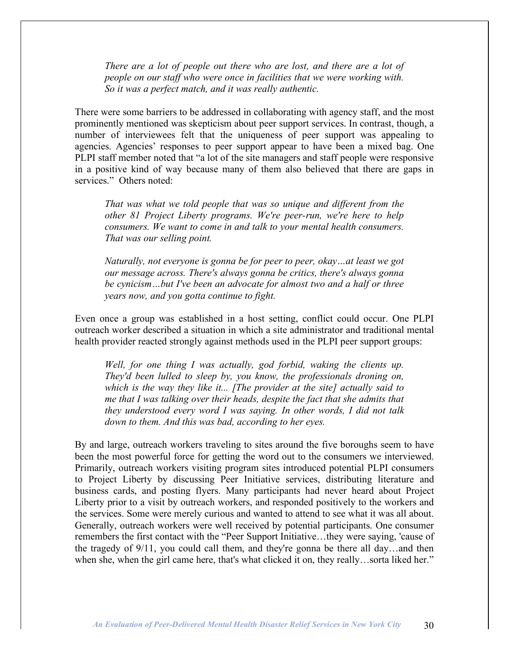*There are a lot of people out there who are lost, and there are a lot of people on our staff who were once in facilities that we were working with. So it was a perfect match, and it was really authentic.*

There were some barriers to be addressed in collaborating with agency staff, and the most prominently mentioned was skepticism about peer support services. In contrast, though, a number of interviewees felt that the uniqueness of peer support was appealing to agencies. Agencies' responses to peer support appear to have been a mixed bag. One PLPI staff member noted that "a lot of the site managers and staff people were responsive in a positive kind of way because many of them also believed that there are gaps in services." Others noted:

*That was what we told people that was so unique and different from the other 81 Project Liberty programs. We're peer-run, we're here to help consumers. We want to come in and talk to your mental health consumers. That was our selling point.*

*Naturally, not everyone is gonna be for peer to peer, okay…at least we got our message across. There's always gonna be critics, there's always gonna be cynicism…but I've been an advocate for almost two and a half or three years now, and you gotta continue to fight.*

Even once a group was established in a host setting, conflict could occur. One PLPI outreach worker described a situation in which a site administrator and traditional mental health provider reacted strongly against methods used in the PLPI peer support groups:

*Well, for one thing I was actually, god forbid, waking the clients up. They'd been lulled to sleep by, you know, the professionals droning on, which is the way they like it... [The provider at the site] actually said to me that I was talking over their heads, despite the fact that she admits that they understood every word I was saying. In other words, I did not talk down to them. And this was bad, according to her eyes.*

By and large, outreach workers traveling to sites around the five boroughs seem to have been the most powerful force for getting the word out to the consumers we interviewed. Primarily, outreach workers visiting program sites introduced potential PLPI consumers to Project Liberty by discussing Peer Initiative services, distributing literature and business cards, and posting flyers. Many participants had never heard about Project Liberty prior to a visit by outreach workers, and responded positively to the workers and the services. Some were merely curious and wanted to attend to see what it was all about. Generally, outreach workers were well received by potential participants. One consumer remembers the first contact with the "Peer Support Initiative…they were saying, 'cause of the tragedy of 9/11, you could call them, and they're gonna be there all day…and then when she, when the girl came here, that's what clicked it on, they really...sorta liked her."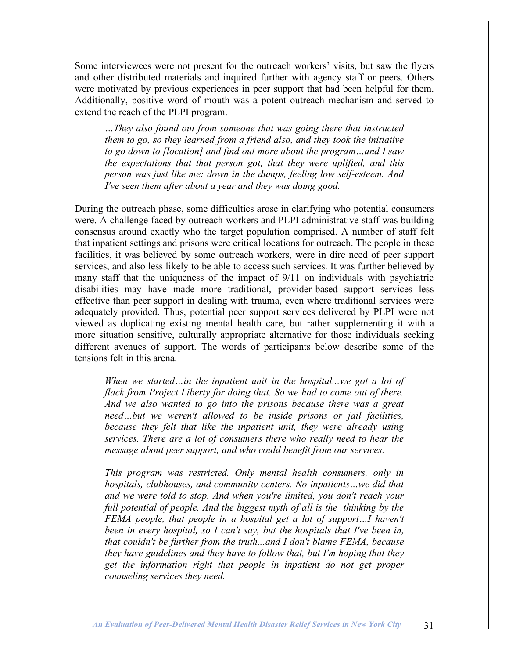Some interviewees were not present for the outreach workers' visits, but saw the flyers and other distributed materials and inquired further with agency staff or peers. Others were motivated by previous experiences in peer support that had been helpful for them. Additionally, positive word of mouth was a potent outreach mechanism and served to extend the reach of the PLPI program.

*…They also found out from someone that was going there that instructed them to go, so they learned from a friend also, and they took the initiative to go down to [location] and find out more about the program…and I saw the expectations that that person got, that they were uplifted, and this person was just like me: down in the dumps, feeling low self-esteem. And I've seen them after about a year and they was doing good.*

During the outreach phase, some difficulties arose in clarifying who potential consumers were. A challenge faced by outreach workers and PLPI administrative staff was building consensus around exactly who the target population comprised. A number of staff felt that inpatient settings and prisons were critical locations for outreach. The people in these facilities, it was believed by some outreach workers, were in dire need of peer support services, and also less likely to be able to access such services. It was further believed by many staff that the uniqueness of the impact of 9/11 on individuals with psychiatric disabilities may have made more traditional, provider-based support services less effective than peer support in dealing with trauma, even where traditional services were adequately provided. Thus, potential peer support services delivered by PLPI were not viewed as duplicating existing mental health care, but rather supplementing it with a more situation sensitive, culturally appropriate alternative for those individuals seeking different avenues of support. The words of participants below describe some of the tensions felt in this arena.

*When we started…in the inpatient unit in the hospital...we got a lot of flack from Project Liberty for doing that. So we had to come out of there. And we also wanted to go into the prisons because there was a great need…but we weren't allowed to be inside prisons or jail facilities, because they felt that like the inpatient unit, they were already using services. There are a lot of consumers there who really need to hear the message about peer support, and who could benefit from our services.*

*This program was restricted. Only mental health consumers, only in hospitals, clubhouses, and community centers. No inpatients…we did that and we were told to stop. And when you're limited, you don't reach your full potential of people. And the biggest myth of all is the thinking by the FEMA people, that people in a hospital get a lot of support…I haven't been in every hospital, so I can't say, but the hospitals that I've been in, that couldn't be further from the truth...and I don't blame FEMA, because they have guidelines and they have to follow that, but I'm hoping that they get the information right that people in inpatient do not get proper counseling services they need.*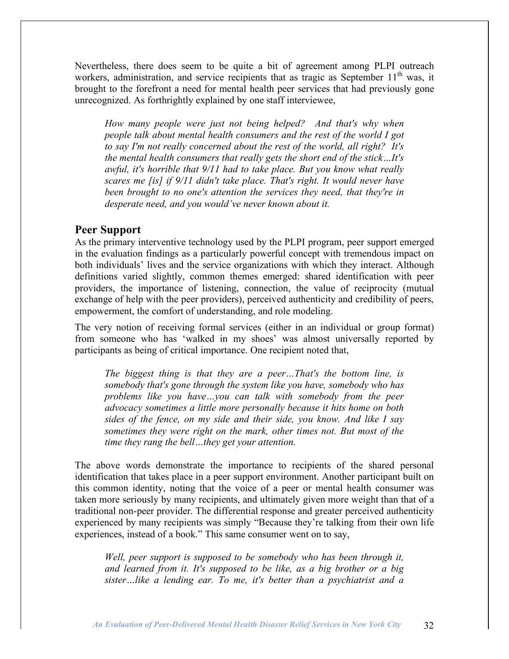Nevertheless, there does seem to be quite a bit of agreement among PLPI outreach workers, administration, and service recipients that as tragic as September  $11<sup>th</sup>$  was, it brought to the forefront a need for mental health peer services that had previously gone unrecognized. As forthrightly explained by one staff interviewee,

*How many people were just not being helped? And that's why when people talk about mental health consumers and the rest of the world I got to say I'm not really concerned about the rest of the world, all right? It's the mental health consumers that really gets the short end of the stick…It's awful, it's horrible that 9/11 had to take place. But you know what really scares me [is] if 9/11 didn't take place. That's right. It would never have been brought to no one's attention the services they need, that they're in desperate need, and you would've never known about it.*

### **Peer Support**

As the primary interventive technology used by the PLPI program, peer support emerged in the evaluation findings as a particularly powerful concept with tremendous impact on both individuals' lives and the service organizations with which they interact. Although definitions varied slightly, common themes emerged: shared identification with peer providers, the importance of listening, connection, the value of reciprocity (mutual exchange of help with the peer providers), perceived authenticity and credibility of peers, empowerment, the comfort of understanding, and role modeling.

The very notion of receiving formal services (either in an individual or group format) from someone who has 'walked in my shoes' was almost universally reported by participants as being of critical importance. One recipient noted that,

*The biggest thing is that they are a peer…That's the bottom line, is somebody that's gone through the system like you have, somebody who has problems like you have…you can talk with somebody from the peer advocacy sometimes a little more personally because it hits home on both sides of the fence, on my side and their side, you know. And like I say sometimes they were right on the mark, other times not. But most of the time they rang the bell…they get your attention.*

The above words demonstrate the importance to recipients of the shared personal identification that takes place in a peer support environment. Another participant built on this common identity, noting that the voice of a peer or mental health consumer was taken more seriously by many recipients, and ultimately given more weight than that of a traditional non-peer provider. The differential response and greater perceived authenticity experienced by many recipients was simply "Because they're talking from their own life experiences, instead of a book." This same consumer went on to say,

*Well, peer support is supposed to be somebody who has been through it, and learned from it. It's supposed to be like, as a big brother or a big sister…like a lending ear. To me, it's better than a psychiatrist and a*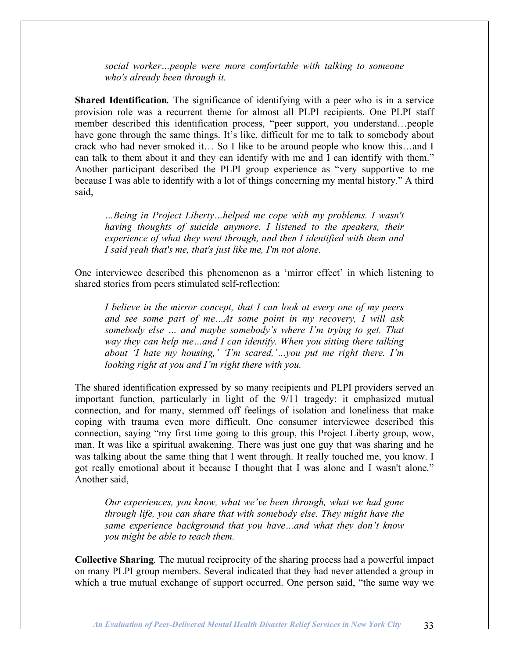*social worker…people were more comfortable with talking to someone who's already been through it.*

**Shared Identification***.* The significance of identifying with a peer who is in a service provision role was a recurrent theme for almost all PLPI recipients. One PLPI staff member described this identification process, "peer support, you understand…people have gone through the same things. It's like, difficult for me to talk to somebody about crack who had never smoked it… So I like to be around people who know this…and I can talk to them about it and they can identify with me and I can identify with them." Another participant described the PLPI group experience as "very supportive to me because I was able to identify with a lot of things concerning my mental history." A third said,

*…Being in Project Liberty…helped me cope with my problems. I wasn't having thoughts of suicide anymore. I listened to the speakers, their experience of what they went through, and then I identified with them and I said yeah that's me, that's just like me, I'm not alone.*

One interviewee described this phenomenon as a 'mirror effect' in which listening to shared stories from peers stimulated self-reflection:

*I believe in the mirror concept, that I can look at every one of my peers and see some part of me…At some point in my recovery, I will ask somebody else … and maybe somebody's where I'm trying to get. That way they can help me…and I can identify. When you sitting there talking about 'I hate my housing,' 'I'm scared,'…you put me right there. I'm looking right at you and I'm right there with you.*

The shared identification expressed by so many recipients and PLPI providers served an important function, particularly in light of the 9/11 tragedy: it emphasized mutual connection, and for many, stemmed off feelings of isolation and loneliness that make coping with trauma even more difficult. One consumer interviewee described this connection, saying "my first time going to this group, this Project Liberty group, wow, man. It was like a spiritual awakening. There was just one guy that was sharing and he was talking about the same thing that I went through. It really touched me, you know. I got really emotional about it because I thought that I was alone and I wasn't alone." Another said,

*Our experiences, you know, what we've been through, what we had gone through life, you can share that with somebody else. They might have the same experience background that you have…and what they don't know you might be able to teach them.*

**Collective Sharing***.* The mutual reciprocity of the sharing process had a powerful impact on many PLPI group members. Several indicated that they had never attended a group in which a true mutual exchange of support occurred. One person said, "the same way we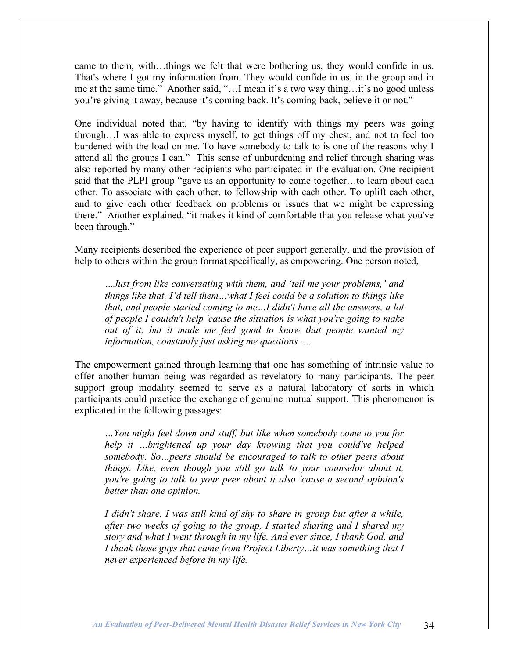came to them, with…things we felt that were bothering us, they would confide in us. That's where I got my information from. They would confide in us, in the group and in me at the same time." Another said, "…I mean it's a two way thing…it's no good unless you're giving it away, because it's coming back. It's coming back, believe it or not."

One individual noted that, "by having to identify with things my peers was going through…I was able to express myself, to get things off my chest, and not to feel too burdened with the load on me. To have somebody to talk to is one of the reasons why I attend all the groups I can." This sense of unburdening and relief through sharing was also reported by many other recipients who participated in the evaluation. One recipient said that the PLPI group "gave us an opportunity to come together…to learn about each other. To associate with each other, to fellowship with each other. To uplift each other, and to give each other feedback on problems or issues that we might be expressing there." Another explained, "it makes it kind of comfortable that you release what you've been through."

Many recipients described the experience of peer support generally, and the provision of help to others within the group format specifically, as empowering. One person noted,

*…Just from like conversating with them, and 'tell me your problems,' and things like that, I'd tell them…what I feel could be a solution to things like that, and people started coming to me…I didn't have all the answers, a lot of people I couldn't help 'cause the situation is what you're going to make out of it, but it made me feel good to know that people wanted my information, constantly just asking me questions ….*

The empowerment gained through learning that one has something of intrinsic value to offer another human being was regarded as revelatory to many participants. The peer support group modality seemed to serve as a natural laboratory of sorts in which participants could practice the exchange of genuine mutual support. This phenomenon is explicated in the following passages:

*…You might feel down and stuff, but like when somebody come to you for help it …brightened up your day knowing that you could've helped somebody. So…peers should be encouraged to talk to other peers about things. Like, even though you still go talk to your counselor about it, you're going to talk to your peer about it also 'cause a second opinion's better than one opinion.*

*I didn't share. I was still kind of shy to share in group but after a while, after two weeks of going to the group, I started sharing and I shared my story and what I went through in my life. And ever since, I thank God, and I thank those guys that came from Project Liberty…it was something that I never experienced before in my life.*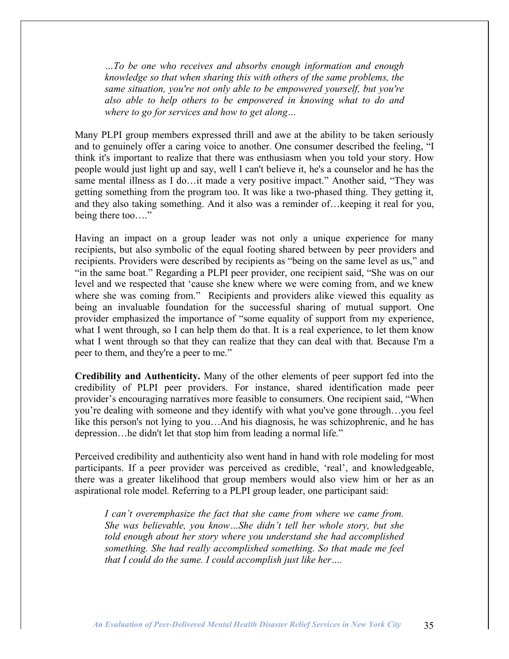*…To be one who receives and absorbs enough information and enough knowledge so that when sharing this with others of the same problems, the same situation, you're not only able to be empowered yourself, but you're also able to help others to be empowered in knowing what to do and where to go for services and how to get along…*

Many PLPI group members expressed thrill and awe at the ability to be taken seriously and to genuinely offer a caring voice to another. One consumer described the feeling, "I think it's important to realize that there was enthusiasm when you told your story. How people would just light up and say, well I can't believe it, he's a counselor and he has the same mental illness as I do…it made a very positive impact." Another said, "They was getting something from the program too. It was like a two-phased thing. They getting it, and they also taking something. And it also was a reminder of…keeping it real for you, being there too...."

Having an impact on a group leader was not only a unique experience for many recipients, but also symbolic of the equal footing shared between by peer providers and recipients. Providers were described by recipients as "being on the same level as us," and "in the same boat." Regarding a PLPI peer provider, one recipient said, "She was on our level and we respected that 'cause she knew where we were coming from, and we knew where she was coming from." Recipients and providers alike viewed this equality as being an invaluable foundation for the successful sharing of mutual support. One provider emphasized the importance of "some equality of support from my experience, what I went through, so I can help them do that. It is a real experience, to let them know what I went through so that they can realize that they can deal with that. Because I'm a peer to them, and they're a peer to me."

**Credibility and Authenticity.** Many of the other elements of peer support fed into the credibility of PLPI peer providers. For instance, shared identification made peer provider's encouraging narratives more feasible to consumers. One recipient said, "When you're dealing with someone and they identify with what you've gone through…you feel like this person's not lying to you…And his diagnosis, he was schizophrenic, and he has depression…he didn't let that stop him from leading a normal life."

Perceived credibility and authenticity also went hand in hand with role modeling for most participants. If a peer provider was perceived as credible, 'real', and knowledgeable, there was a greater likelihood that group members would also view him or her as an aspirational role model. Referring to a PLPI group leader, one participant said:

*I can't overemphasize the fact that she came from where we came from. She was believable, you know…She didn't tell her whole story, but she told enough about her story where you understand she had accomplished something. She had really accomplished something. So that made me feel that I could do the same. I could accomplish just like her….*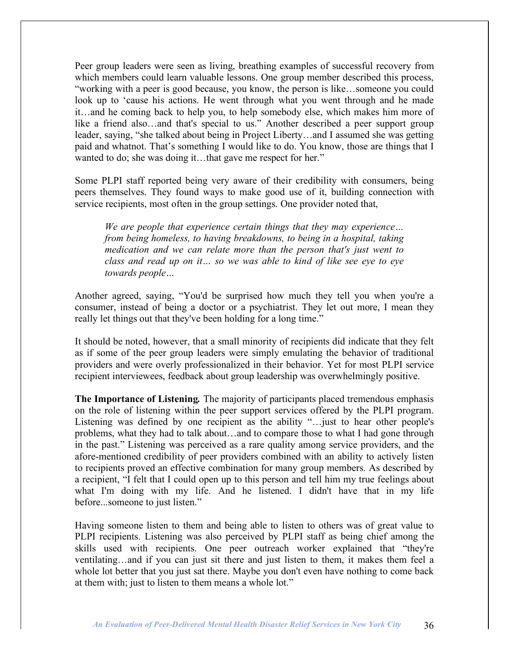Peer group leaders were seen as living, breathing examples of successful recovery from which members could learn valuable lessons. One group member described this process, "working with a peer is good because, you know, the person is like…someone you could look up to 'cause his actions. He went through what you went through and he made it…and he coming back to help you, to help somebody else, which makes him more of like a friend also…and that's special to us." Another described a peer support group leader, saying, "she talked about being in Project Liberty…and I assumed she was getting paid and whatnot. That's something I would like to do. You know, those are things that I wanted to do; she was doing it...that gave me respect for her."

Some PLPI staff reported being very aware of their credibility with consumers, being peers themselves. They found ways to make good use of it, building connection with service recipients, most often in the group settings. One provider noted that,

*We are people that experience certain things that they may experience… from being homeless, to having breakdowns, to being in a hospital, taking medication and we can relate more than the person that's just went to class and read up on it… so we was able to kind of like see eye to eye towards people…*

Another agreed, saying, "You'd be surprised how much they tell you when you're a consumer, instead of being a doctor or a psychiatrist. They let out more, I mean they really let things out that they've been holding for a long time."

It should be noted, however, that a small minority of recipients did indicate that they felt as if some of the peer group leaders were simply emulating the behavior of traditional providers and were overly professionalized in their behavior. Yet for most PLPI service recipient interviewees, feedback about group leadership was overwhelmingly positive.

**The Importance of Listening***.* The majority of participants placed tremendous emphasis on the role of listening within the peer support services offered by the PLPI program. Listening was defined by one recipient as the ability "…just to hear other people's problems, what they had to talk about…and to compare those to what I had gone through in the past." Listening was perceived as a rare quality among service providers, and the afore-mentioned credibility of peer providers combined with an ability to actively listen to recipients proved an effective combination for many group members. As described by a recipient, "I felt that I could open up to this person and tell him my true feelings about what I'm doing with my life. And he listened. I didn't have that in my life before...someone to just listen."

Having someone listen to them and being able to listen to others was of great value to PLPI recipients. Listening was also perceived by PLPI staff as being chief among the skills used with recipients. One peer outreach worker explained that "they're ventilating…and if you can just sit there and just listen to them, it makes them feel a whole lot better that you just sat there. Maybe you don't even have nothing to come back at them with; just to listen to them means a whole lot."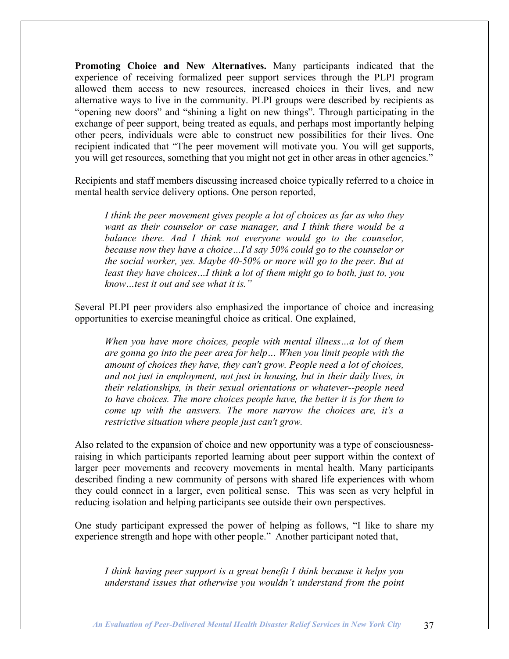**Promoting Choice and New Alternatives.** Many participants indicated that the experience of receiving formalized peer support services through the PLPI program allowed them access to new resources, increased choices in their lives, and new alternative ways to live in the community. PLPI groups were described by recipients as "opening new doors" and "shining a light on new things". Through participating in the exchange of peer support, being treated as equals, and perhaps most importantly helping other peers, individuals were able to construct new possibilities for their lives. One recipient indicated that "The peer movement will motivate you. You will get supports, you will get resources, something that you might not get in other areas in other agencies."

Recipients and staff members discussing increased choice typically referred to a choice in mental health service delivery options. One person reported,

*I think the peer movement gives people a lot of choices as far as who they want as their counselor or case manager, and I think there would be a balance there. And I think not everyone would go to the counselor, because now they have a choice…I'd say 50% could go to the counselor or the social worker, yes. Maybe 40-50% or more will go to the peer. But at least they have choices…I think a lot of them might go to both, just to, you know…test it out and see what it is."*

Several PLPI peer providers also emphasized the importance of choice and increasing opportunities to exercise meaningful choice as critical. One explained,

*When you have more choices, people with mental illness…a lot of them are gonna go into the peer area for help… When you limit people with the amount of choices they have, they can't grow. People need a lot of choices, and not just in employment, not just in housing, but in their daily lives, in their relationships, in their sexual orientations or whatever--people need to have choices. The more choices people have, the better it is for them to come up with the answers. The more narrow the choices are, it's a restrictive situation where people just can't grow.*

Also related to the expansion of choice and new opportunity was a type of consciousnessraising in which participants reported learning about peer support within the context of larger peer movements and recovery movements in mental health. Many participants described finding a new community of persons with shared life experiences with whom they could connect in a larger, even political sense. This was seen as very helpful in reducing isolation and helping participants see outside their own perspectives.

One study participant expressed the power of helping as follows, "I like to share my experience strength and hope with other people." Another participant noted that,

*I think having peer support is a great benefit I think because it helps you understand issues that otherwise you wouldn't understand from the point*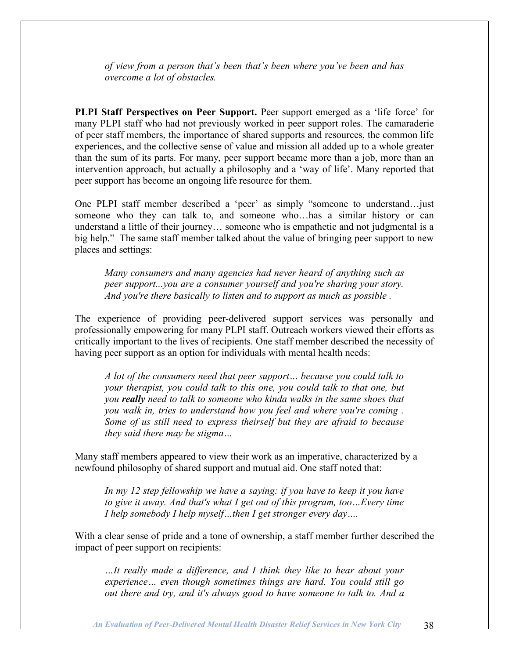*of view from a person that's been that's been where you've been and has overcome a lot of obstacles.*

**PLPI Staff Perspectives on Peer Support.** Peer support emerged as a 'life force' for many PLPI staff who had not previously worked in peer support roles. The camaraderie of peer staff members, the importance of shared supports and resources, the common life experiences, and the collective sense of value and mission all added up to a whole greater than the sum of its parts. For many, peer support became more than a job, more than an intervention approach, but actually a philosophy and a 'way of life'. Many reported that peer support has become an ongoing life resource for them.

One PLPI staff member described a 'peer' as simply "someone to understand…just someone who they can talk to, and someone who…has a similar history or can understand a little of their journey… someone who is empathetic and not judgmental is a big help." The same staff member talked about the value of bringing peer support to new places and settings:

*Many consumers and many agencies had never heard of anything such as peer support...you are a consumer yourself and you're sharing your story. And you're there basically to listen and to support as much as possible .*

The experience of providing peer-delivered support services was personally and professionally empowering for many PLPI staff. Outreach workers viewed their efforts as critically important to the lives of recipients. One staff member described the necessity of having peer support as an option for individuals with mental health needs:

*A lot of the consumers need that peer support… because you could talk to your therapist, you could talk to this one, you could talk to that one, but you really need to talk to someone who kinda walks in the same shoes that you walk in, tries to understand how you feel and where you're coming . Some of us still need to express theirself but they are afraid to because they said there may be stigma…*

Many staff members appeared to view their work as an imperative, characterized by a newfound philosophy of shared support and mutual aid. One staff noted that:

*In my 12 step fellowship we have a saying: if you have to keep it you have to give it away. And that's what I get out of this program, too…Every time I help somebody I help myself…then I get stronger every day….*

With a clear sense of pride and a tone of ownership, a staff member further described the impact of peer support on recipients:

*…It really made a difference, and I think they like to hear about your experience… even though sometimes things are hard. You could still go out there and try, and it's always good to have someone to talk to. And a*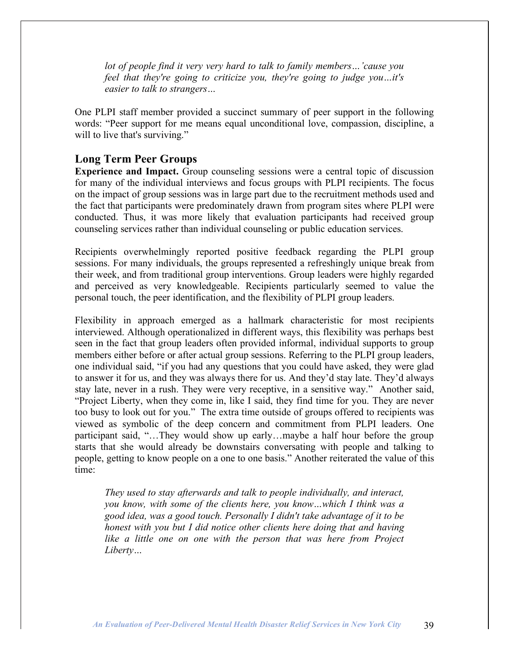*lot of people find it very very hard to talk to family members…'cause you feel that they're going to criticize you, they're going to judge you…it's easier to talk to strangers…*

One PLPI staff member provided a succinct summary of peer support in the following words: "Peer support for me means equal unconditional love, compassion, discipline, a will to live that's surviving."

### **Long Term Peer Groups**

**Experience and Impact.** Group counseling sessions were a central topic of discussion for many of the individual interviews and focus groups with PLPI recipients. The focus on the impact of group sessions was in large part due to the recruitment methods used and the fact that participants were predominately drawn from program sites where PLPI were conducted. Thus, it was more likely that evaluation participants had received group counseling services rather than individual counseling or public education services.

Recipients overwhelmingly reported positive feedback regarding the PLPI group sessions. For many individuals, the groups represented a refreshingly unique break from their week, and from traditional group interventions. Group leaders were highly regarded and perceived as very knowledgeable. Recipients particularly seemed to value the personal touch, the peer identification, and the flexibility of PLPI group leaders.

Flexibility in approach emerged as a hallmark characteristic for most recipients interviewed. Although operationalized in different ways, this flexibility was perhaps best seen in the fact that group leaders often provided informal, individual supports to group members either before or after actual group sessions. Referring to the PLPI group leaders, one individual said, "if you had any questions that you could have asked, they were glad to answer it for us, and they was always there for us. And they'd stay late. They'd always stay late, never in a rush. They were very receptive, in a sensitive way." Another said, "Project Liberty, when they come in, like I said, they find time for you. They are never too busy to look out for you." The extra time outside of groups offered to recipients was viewed as symbolic of the deep concern and commitment from PLPI leaders. One participant said, "…They would show up early…maybe a half hour before the group starts that she would already be downstairs conversating with people and talking to people, getting to know people on a one to one basis." Another reiterated the value of this time:

*They used to stay afterwards and talk to people individually, and interact, you know, with some of the clients here, you know…which I think was a good idea, was a good touch. Personally I didn't take advantage of it to be honest with you but I did notice other clients here doing that and having like a little one on one with the person that was here from Project Liberty…*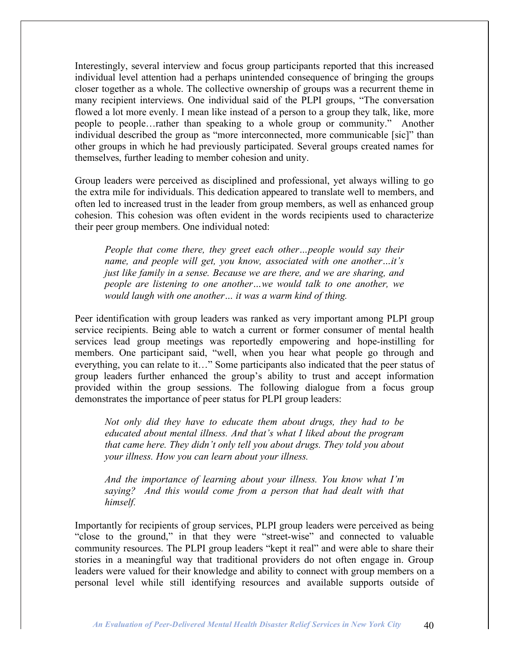Interestingly, several interview and focus group participants reported that this increased individual level attention had a perhaps unintended consequence of bringing the groups closer together as a whole. The collective ownership of groups was a recurrent theme in many recipient interviews. One individual said of the PLPI groups, "The conversation flowed a lot more evenly. I mean like instead of a person to a group they talk, like, more people to people…rather than speaking to a whole group or community." Another individual described the group as "more interconnected, more communicable [sic]" than other groups in which he had previously participated. Several groups created names for themselves, further leading to member cohesion and unity.

Group leaders were perceived as disciplined and professional, yet always willing to go the extra mile for individuals. This dedication appeared to translate well to members, and often led to increased trust in the leader from group members, as well as enhanced group cohesion. This cohesion was often evident in the words recipients used to characterize their peer group members. One individual noted:

*People that come there, they greet each other…people would say their name, and people will get, you know, associated with one another…it's just like family in a sense. Because we are there, and we are sharing, and people are listening to one another…we would talk to one another, we would laugh with one another… it was a warm kind of thing.*

Peer identification with group leaders was ranked as very important among PLPI group service recipients. Being able to watch a current or former consumer of mental health services lead group meetings was reportedly empowering and hope-instilling for members. One participant said, "well, when you hear what people go through and everything, you can relate to it…" Some participants also indicated that the peer status of group leaders further enhanced the group's ability to trust and accept information provided within the group sessions. The following dialogue from a focus group demonstrates the importance of peer status for PLPI group leaders:

*Not only did they have to educate them about drugs, they had to be educated about mental illness. And that's what I liked about the program that came here. They didn't only tell you about drugs. They told you about your illness. How you can learn about your illness.*

*And the importance of learning about your illness. You know what I'm saying? And this would come from a person that had dealt with that himself.*

Importantly for recipients of group services, PLPI group leaders were perceived as being "close to the ground," in that they were "street-wise" and connected to valuable community resources. The PLPI group leaders "kept it real" and were able to share their stories in a meaningful way that traditional providers do not often engage in. Group leaders were valued for their knowledge and ability to connect with group members on a personal level while still identifying resources and available supports outside of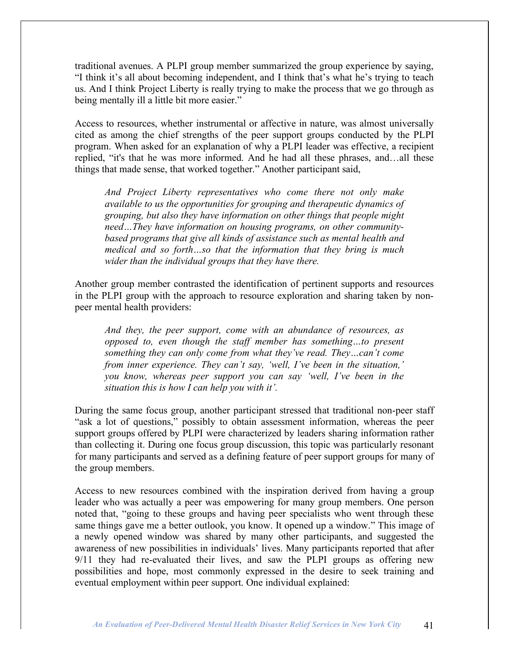traditional avenues. A PLPI group member summarized the group experience by saying, "I think it's all about becoming independent, and I think that's what he's trying to teach us. And I think Project Liberty is really trying to make the process that we go through as being mentally ill a little bit more easier."

Access to resources, whether instrumental or affective in nature, was almost universally cited as among the chief strengths of the peer support groups conducted by the PLPI program. When asked for an explanation of why a PLPI leader was effective, a recipient replied, "it's that he was more informed. And he had all these phrases, and…all these things that made sense, that worked together." Another participant said,

*And Project Liberty representatives who come there not only make available to us the opportunities for grouping and therapeutic dynamics of grouping, but also they have information on other things that people might need…They have information on housing programs, on other communitybased programs that give all kinds of assistance such as mental health and medical and so forth…so that the information that they bring is much wider than the individual groups that they have there.*

Another group member contrasted the identification of pertinent supports and resources in the PLPI group with the approach to resource exploration and sharing taken by nonpeer mental health providers:

*And they, the peer support, come with an abundance of resources, as opposed to, even though the staff member has something…to present something they can only come from what they've read. They…can't come from inner experience. They can't say, 'well, I've been in the situation,' you know, whereas peer support you can say 'well, I've been in the situation this is how I can help you with it'.*

During the same focus group, another participant stressed that traditional non-peer staff "ask a lot of questions," possibly to obtain assessment information, whereas the peer support groups offered by PLPI were characterized by leaders sharing information rather than collecting it. During one focus group discussion, this topic was particularly resonant for many participants and served as a defining feature of peer support groups for many of the group members.

Access to new resources combined with the inspiration derived from having a group leader who was actually a peer was empowering for many group members. One person noted that, "going to these groups and having peer specialists who went through these same things gave me a better outlook, you know. It opened up a window." This image of a newly opened window was shared by many other participants, and suggested the awareness of new possibilities in individuals' lives. Many participants reported that after 9/11 they had re-evaluated their lives, and saw the PLPI groups as offering new possibilities and hope, most commonly expressed in the desire to seek training and eventual employment within peer support. One individual explained: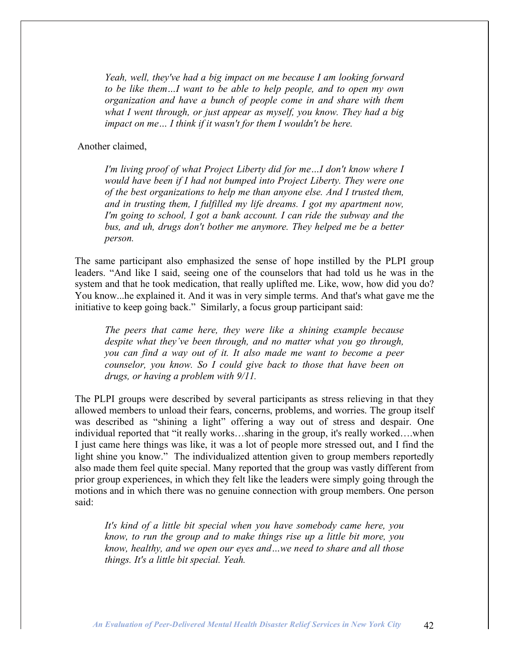*Yeah, well, they've had a big impact on me because I am looking forward to be like them…I want to be able to help people, and to open my own organization and have a bunch of people come in and share with them what I went through, or just appear as myself, you know. They had a big impact on me… I think if it wasn't for them I wouldn't be here.*

Another claimed,

*I'm living proof of what Project Liberty did for me…I don't know where I would have been if I had not bumped into Project Liberty. They were one of the best organizations to help me than anyone else. And I trusted them, and in trusting them, I fulfilled my life dreams. I got my apartment now, I'm going to school, I got a bank account. I can ride the subway and the bus, and uh, drugs don't bother me anymore. They helped me be a better person.*

The same participant also emphasized the sense of hope instilled by the PLPI group leaders. "And like I said, seeing one of the counselors that had told us he was in the system and that he took medication, that really uplifted me. Like, wow, how did you do? You know...he explained it. And it was in very simple terms. And that's what gave me the initiative to keep going back." Similarly, a focus group participant said:

*The peers that came here, they were like a shining example because despite what they've been through, and no matter what you go through, you can find a way out of it. It also made me want to become a peer counselor, you know. So I could give back to those that have been on drugs, or having a problem with 9/11.*

The PLPI groups were described by several participants as stress relieving in that they allowed members to unload their fears, concerns, problems, and worries. The group itself was described as "shining a light" offering a way out of stress and despair. One individual reported that "it really works…sharing in the group, it's really worked….when I just came here things was like, it was a lot of people more stressed out, and I find the light shine you know." The individualized attention given to group members reportedly also made them feel quite special. Many reported that the group was vastly different from prior group experiences, in which they felt like the leaders were simply going through the motions and in which there was no genuine connection with group members. One person said:

*It's kind of a little bit special when you have somebody came here, you know, to run the group and to make things rise up a little bit more, you know, healthy, and we open our eyes and…we need to share and all those things. It's a little bit special. Yeah.*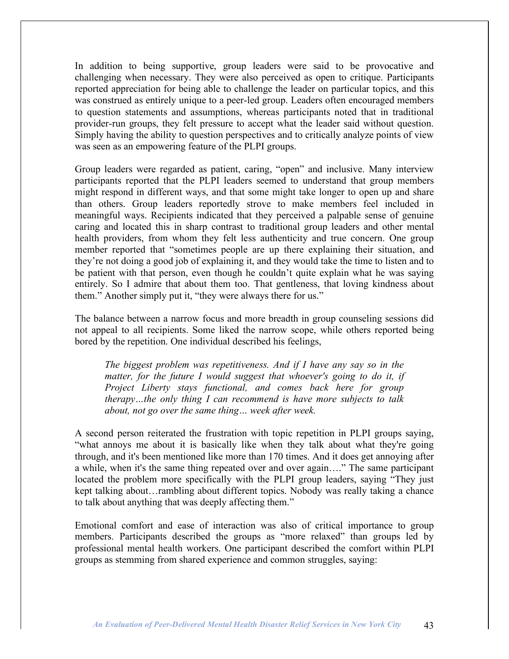In addition to being supportive, group leaders were said to be provocative and challenging when necessary. They were also perceived as open to critique. Participants reported appreciation for being able to challenge the leader on particular topics, and this was construed as entirely unique to a peer-led group. Leaders often encouraged members to question statements and assumptions, whereas participants noted that in traditional provider-run groups, they felt pressure to accept what the leader said without question. Simply having the ability to question perspectives and to critically analyze points of view was seen as an empowering feature of the PLPI groups.

Group leaders were regarded as patient, caring, "open" and inclusive. Many interview participants reported that the PLPI leaders seemed to understand that group members might respond in different ways, and that some might take longer to open up and share than others. Group leaders reportedly strove to make members feel included in meaningful ways. Recipients indicated that they perceived a palpable sense of genuine caring and located this in sharp contrast to traditional group leaders and other mental health providers, from whom they felt less authenticity and true concern. One group member reported that "sometimes people are up there explaining their situation, and they're not doing a good job of explaining it, and they would take the time to listen and to be patient with that person, even though he couldn't quite explain what he was saying entirely. So I admire that about them too. That gentleness, that loving kindness about them." Another simply put it, "they were always there for us."

The balance between a narrow focus and more breadth in group counseling sessions did not appeal to all recipients. Some liked the narrow scope, while others reported being bored by the repetition. One individual described his feelings,

*The biggest problem was repetitiveness. And if I have any say so in the matter, for the future I would suggest that whoever's going to do it, if Project Liberty stays functional, and comes back here for group therapy…the only thing I can recommend is have more subjects to talk about, not go over the same thing… week after week.*

A second person reiterated the frustration with topic repetition in PLPI groups saying, "what annoys me about it is basically like when they talk about what they're going through, and it's been mentioned like more than 170 times. And it does get annoying after a while, when it's the same thing repeated over and over again…." The same participant located the problem more specifically with the PLPI group leaders, saying "They just kept talking about…rambling about different topics. Nobody was really taking a chance to talk about anything that was deeply affecting them."

Emotional comfort and ease of interaction was also of critical importance to group members. Participants described the groups as "more relaxed" than groups led by professional mental health workers. One participant described the comfort within PLPI groups as stemming from shared experience and common struggles, saying: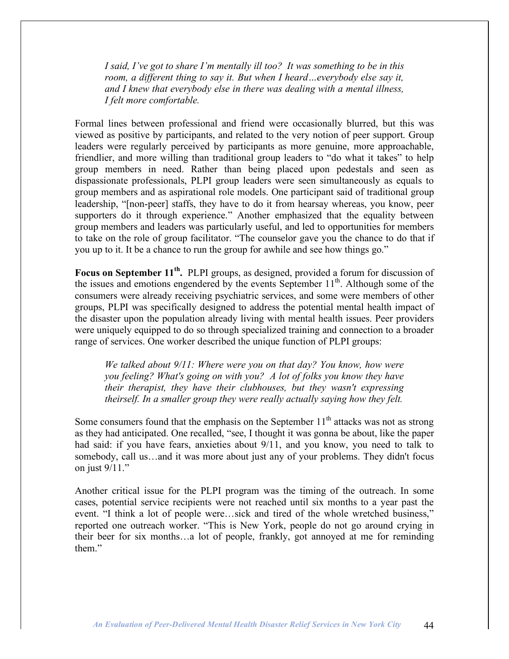*I said, I've got to share I'm mentally ill too? It was something to be in this room, a different thing to say it. But when I heard…everybody else say it, and I knew that everybody else in there was dealing with a mental illness, I felt more comfortable.*

Formal lines between professional and friend were occasionally blurred, but this was viewed as positive by participants, and related to the very notion of peer support. Group leaders were regularly perceived by participants as more genuine, more approachable, friendlier, and more willing than traditional group leaders to "do what it takes" to help group members in need. Rather than being placed upon pedestals and seen as dispassionate professionals, PLPI group leaders were seen simultaneously as equals to group members and as aspirational role models. One participant said of traditional group leadership, "[non-peer] staffs, they have to do it from hearsay whereas, you know, peer supporters do it through experience." Another emphasized that the equality between group members and leaders was particularly useful, and led to opportunities for members to take on the role of group facilitator. "The counselor gave you the chance to do that if you up to it. It be a chance to run the group for awhile and see how things go."

**Focus on September 11th.** PLPI groups, as designed, provided a forum for discussion of the issues and emotions engendered by the events September  $11<sup>th</sup>$ . Although some of the consumers were already receiving psychiatric services, and some were members of other groups, PLPI was specifically designed to address the potential mental health impact of the disaster upon the population already living with mental health issues. Peer providers were uniquely equipped to do so through specialized training and connection to a broader range of services. One worker described the unique function of PLPI groups:

*We talked about 9/11: Where were you on that day? You know, how were you feeling? What's going on with you? A lot of folks you know they have their therapist, they have their clubhouses, but they wasn't expressing theirself. In a smaller group they were really actually saying how they felt.*

Some consumers found that the emphasis on the September  $11<sup>th</sup>$  attacks was not as strong as they had anticipated. One recalled, "see, I thought it was gonna be about, like the paper had said: if you have fears, anxieties about 9/11, and you know, you need to talk to somebody, call us…and it was more about just any of your problems. They didn't focus on just 9/11."

Another critical issue for the PLPI program was the timing of the outreach. In some cases, potential service recipients were not reached until six months to a year past the event. "I think a lot of people were…sick and tired of the whole wretched business," reported one outreach worker. "This is New York, people do not go around crying in their beer for six months…a lot of people, frankly, got annoyed at me for reminding them"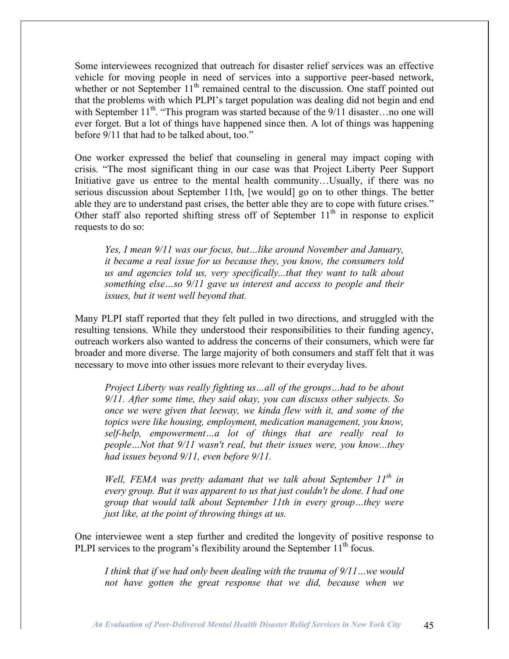Some interviewees recognized that outreach for disaster relief services was an effective vehicle for moving people in need of services into a supportive peer-based network, whether or not September  $11<sup>th</sup>$  remained central to the discussion. One staff pointed out that the problems with which PLPI's target population was dealing did not begin and end with September  $11^{th}$ . "This program was started because of the  $9/11$  disaster...no one will ever forget. But a lot of things have happened since then. A lot of things was happening before 9/11 that had to be talked about, too."

One worker expressed the belief that counseling in general may impact coping with crisis. "The most significant thing in our case was that Project Liberty Peer Support Initiative gave us entree to the mental health community…Usually, if there was no serious discussion about September 11th, [we would] go on to other things. The better able they are to understand past crises, the better able they are to cope with future crises." Other staff also reported shifting stress off of September  $11<sup>th</sup>$  in response to explicit requests to do so:

*Yes, I mean 9/11 was our focus, but…like around November and January, it became a real issue for us because they, you know, the consumers told us and agencies told us, very specifically...that they want to talk about something else…so 9/11 gave us interest and access to people and their issues, but it went well beyond that.*

Many PLPI staff reported that they felt pulled in two directions, and struggled with the resulting tensions. While they understood their responsibilities to their funding agency, outreach workers also wanted to address the concerns of their consumers, which were far broader and more diverse. The large majority of both consumers and staff felt that it was necessary to move into other issues more relevant to their everyday lives.

*Project Liberty was really fighting us…all of the groups…had to be about 9/11. After some time, they said okay, you can discuss other subjects. So once we were given that leeway, we kinda flew with it, and some of the topics were like housing, employment, medication management, you know, self-help, empowerment…a lot of things that are really real to people…Not that 9/11 wasn't real, but their issues were, you know...they had issues beyond 9/11, even before 9/11.*

*Well, FEMA was pretty adamant that we talk about September 11th in every group. But it was apparent to us that just couldn't be done. I had one group that would talk about September 11th in every group…they were just like, at the point of throwing things at us.*

One interviewee went a step further and credited the longevity of positive response to PLPI services to the program's flexibility around the September  $11<sup>th</sup>$  focus.

*I think that if we had only been dealing with the trauma of 9/11…we would not have gotten the great response that we did, because when we*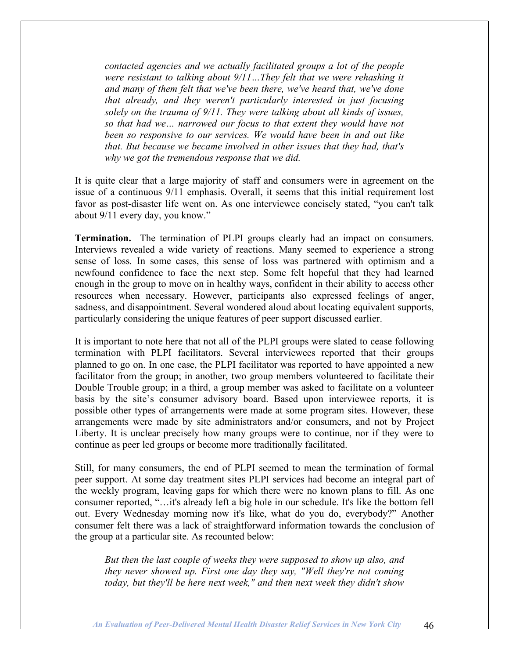*contacted agencies and we actually facilitated groups a lot of the people were resistant to talking about 9/11…They felt that we were rehashing it and many of them felt that we've been there, we've heard that, we've done that already, and they weren't particularly interested in just focusing solely on the trauma of 9/11. They were talking about all kinds of issues, so that had we… narrowed our focus to that extent they would have not been so responsive to our services. We would have been in and out like that. But because we became involved in other issues that they had, that's why we got the tremendous response that we did.*

It is quite clear that a large majority of staff and consumers were in agreement on the issue of a continuous 9/11 emphasis. Overall, it seems that this initial requirement lost favor as post-disaster life went on. As one interviewee concisely stated, "you can't talk about 9/11 every day, you know."

**Termination.** The termination of PLPI groups clearly had an impact on consumers. Interviews revealed a wide variety of reactions. Many seemed to experience a strong sense of loss. In some cases, this sense of loss was partnered with optimism and a newfound confidence to face the next step. Some felt hopeful that they had learned enough in the group to move on in healthy ways, confident in their ability to access other resources when necessary. However, participants also expressed feelings of anger, sadness, and disappointment. Several wondered aloud about locating equivalent supports, particularly considering the unique features of peer support discussed earlier.

It is important to note here that not all of the PLPI groups were slated to cease following termination with PLPI facilitators. Several interviewees reported that their groups planned to go on. In one case, the PLPI facilitator was reported to have appointed a new facilitator from the group; in another, two group members volunteered to facilitate their Double Trouble group; in a third, a group member was asked to facilitate on a volunteer basis by the site's consumer advisory board. Based upon interviewee reports, it is possible other types of arrangements were made at some program sites. However, these arrangements were made by site administrators and/or consumers, and not by Project Liberty. It is unclear precisely how many groups were to continue, nor if they were to continue as peer led groups or become more traditionally facilitated.

Still, for many consumers, the end of PLPI seemed to mean the termination of formal peer support. At some day treatment sites PLPI services had become an integral part of the weekly program, leaving gaps for which there were no known plans to fill. As one consumer reported, "…it's already left a big hole in our schedule. It's like the bottom fell out. Every Wednesday morning now it's like, what do you do, everybody?" Another consumer felt there was a lack of straightforward information towards the conclusion of the group at a particular site. As recounted below:

*But then the last couple of weeks they were supposed to show up also, and they never showed up. First one day they say, "Well they're not coming today, but they'll be here next week," and then next week they didn't show*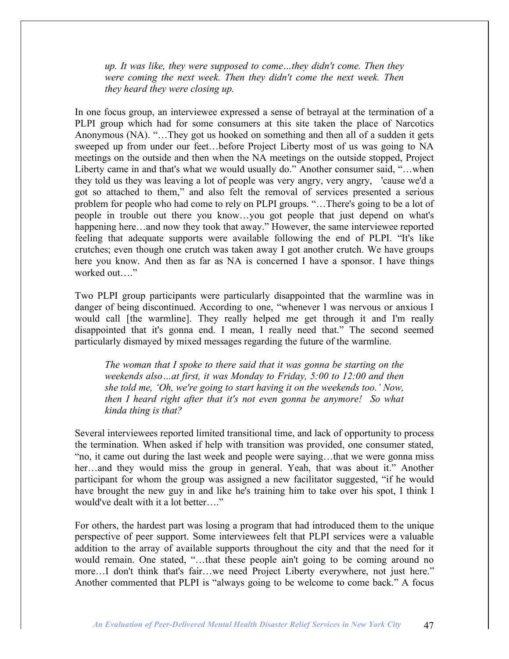*up. It was like, they were supposed to come…they didn't come. Then they were coming the next week. Then they didn't come the next week. Then they heard they were closing up.*

In one focus group, an interviewee expressed a sense of betrayal at the termination of a PLPI group which had for some consumers at this site taken the place of Narcotics Anonymous (NA). "…They got us hooked on something and then all of a sudden it gets sweeped up from under our feet…before Project Liberty most of us was going to NA meetings on the outside and then when the NA meetings on the outside stopped, Project Liberty came in and that's what we would usually do." Another consumer said, "…when they told us they was leaving a lot of people was very angry, very angry, 'cause we'd a got so attached to them," and also felt the removal of services presented a serious problem for people who had come to rely on PLPI groups. "…There's going to be a lot of people in trouble out there you know…you got people that just depend on what's happening here...and now they took that away." However, the same interviewee reported feeling that adequate supports were available following the end of PLPI. "It's like crutches; even though one crutch was taken away I got another crutch. We have groups here you know. And then as far as NA is concerned I have a sponsor. I have things worked out…."

Two PLPI group participants were particularly disappointed that the warmline was in danger of being discontinued. According to one, "whenever I was nervous or anxious I would call [the warmline]. They really helped me get through it and I'm really disappointed that it's gonna end. I mean, I really need that." The second seemed particularly dismayed by mixed messages regarding the future of the warmline.

*The woman that I spoke to there said that it was gonna be starting on the weekends also…at first, it was Monday to Friday, 5:00 to 12:00 and then she told me, 'Oh, we're going to start having it on the weekends too.' Now, then I heard right after that it's not even gonna be anymore! So what kinda thing is that?*

Several interviewees reported limited transitional time, and lack of opportunity to process the termination. When asked if help with transition was provided, one consumer stated, "no, it came out during the last week and people were saying…that we were gonna miss her…and they would miss the group in general. Yeah, that was about it." Another participant for whom the group was assigned a new facilitator suggested, "if he would have brought the new guy in and like he's training him to take over his spot, I think I would've dealt with it a lot better…."

For others, the hardest part was losing a program that had introduced them to the unique perspective of peer support. Some interviewees felt that PLPI services were a valuable addition to the array of available supports throughout the city and that the need for it would remain. One stated, "…that these people ain't going to be coming around no more…I don't think that's fair…we need Project Liberty everywhere, not just here." Another commented that PLPI is "always going to be welcome to come back." A focus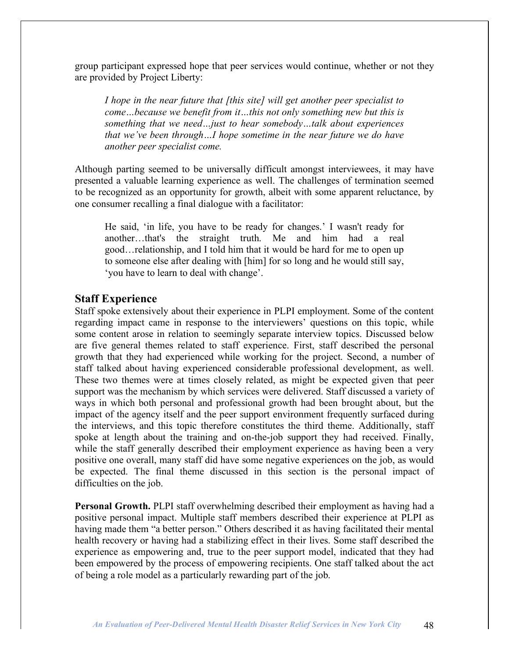group participant expressed hope that peer services would continue, whether or not they are provided by Project Liberty:

*I hope in the near future that [this site] will get another peer specialist to come…because we benefit from it…this not only something new but this is something that we need…just to hear somebody…talk about experiences that we've been through…I hope sometime in the near future we do have another peer specialist come.*

Although parting seemed to be universally difficult amongst interviewees, it may have presented a valuable learning experience as well. The challenges of termination seemed to be recognized as an opportunity for growth, albeit with some apparent reluctance, by one consumer recalling a final dialogue with a facilitator:

He said, 'in life, you have to be ready for changes.' I wasn't ready for another…that's the straight truth. Me and him had a real good…relationship, and I told him that it would be hard for me to open up to someone else after dealing with [him] for so long and he would still say, 'you have to learn to deal with change'.

#### **Staff Experience**

Staff spoke extensively about their experience in PLPI employment. Some of the content regarding impact came in response to the interviewers' questions on this topic, while some content arose in relation to seemingly separate interview topics. Discussed below are five general themes related to staff experience. First, staff described the personal growth that they had experienced while working for the project. Second, a number of staff talked about having experienced considerable professional development, as well. These two themes were at times closely related, as might be expected given that peer support was the mechanism by which services were delivered. Staff discussed a variety of ways in which both personal and professional growth had been brought about, but the impact of the agency itself and the peer support environment frequently surfaced during the interviews, and this topic therefore constitutes the third theme. Additionally, staff spoke at length about the training and on-the-job support they had received. Finally, while the staff generally described their employment experience as having been a very positive one overall, many staff did have some negative experiences on the job, as would be expected. The final theme discussed in this section is the personal impact of difficulties on the job.

**Personal Growth.** PLPI staff overwhelming described their employment as having had a positive personal impact. Multiple staff members described their experience at PLPI as having made them "a better person." Others described it as having facilitated their mental health recovery or having had a stabilizing effect in their lives. Some staff described the experience as empowering and, true to the peer support model, indicated that they had been empowered by the process of empowering recipients. One staff talked about the act of being a role model as a particularly rewarding part of the job.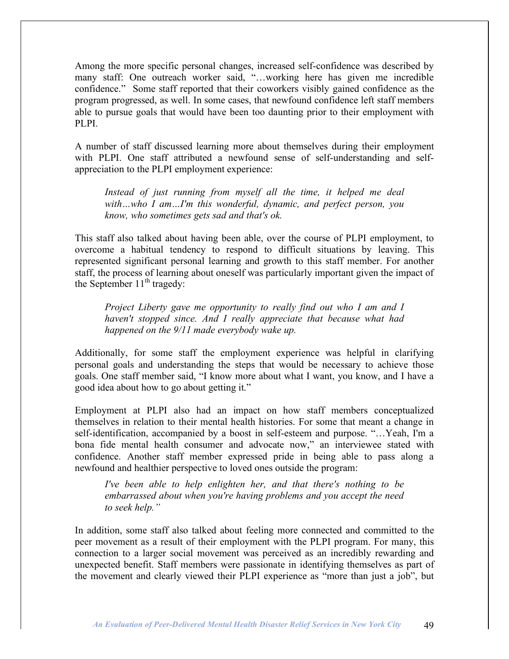Among the more specific personal changes, increased self-confidence was described by many staff: One outreach worker said, "…working here has given me incredible confidence." Some staff reported that their coworkers visibly gained confidence as the program progressed, as well. In some cases, that newfound confidence left staff members able to pursue goals that would have been too daunting prior to their employment with PLPI.

A number of staff discussed learning more about themselves during their employment with PLPI. One staff attributed a newfound sense of self-understanding and selfappreciation to the PLPI employment experience:

*Instead of just running from myself all the time, it helped me deal with…who I am…I'm this wonderful, dynamic, and perfect person, you know, who sometimes gets sad and that's ok.*

This staff also talked about having been able, over the course of PLPI employment, to overcome a habitual tendency to respond to difficult situations by leaving. This represented significant personal learning and growth to this staff member. For another staff, the process of learning about oneself was particularly important given the impact of the September  $11<sup>th</sup>$  tragedy:

*Project Liberty gave me opportunity to really find out who I am and I haven't stopped since. And I really appreciate that because what had happened on the 9/11 made everybody wake up.*

Additionally, for some staff the employment experience was helpful in clarifying personal goals and understanding the steps that would be necessary to achieve those goals. One staff member said, "I know more about what I want, you know, and I have a good idea about how to go about getting it."

Employment at PLPI also had an impact on how staff members conceptualized themselves in relation to their mental health histories. For some that meant a change in self-identification, accompanied by a boost in self-esteem and purpose. "…Yeah, I'm a bona fide mental health consumer and advocate now," an interviewee stated with confidence. Another staff member expressed pride in being able to pass along a newfound and healthier perspective to loved ones outside the program:

*I've been able to help enlighten her, and that there's nothing to be embarrassed about when you're having problems and you accept the need to seek help."*

In addition, some staff also talked about feeling more connected and committed to the peer movement as a result of their employment with the PLPI program. For many, this connection to a larger social movement was perceived as an incredibly rewarding and unexpected benefit. Staff members were passionate in identifying themselves as part of the movement and clearly viewed their PLPI experience as "more than just a job", but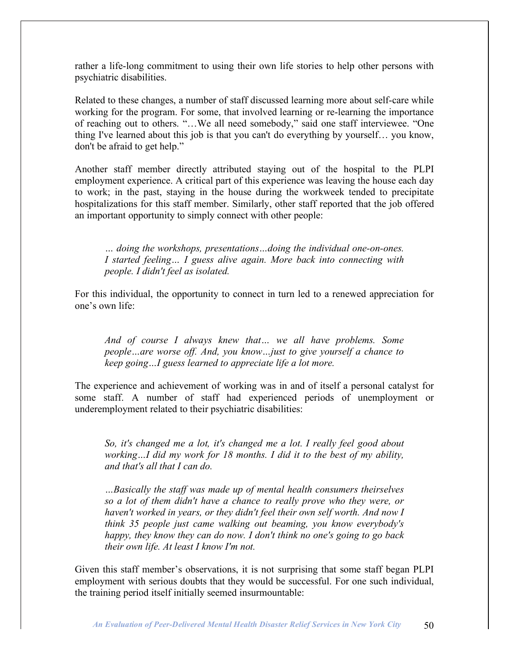rather a life-long commitment to using their own life stories to help other persons with psychiatric disabilities.

Related to these changes, a number of staff discussed learning more about self-care while working for the program. For some, that involved learning or re-learning the importance of reaching out to others. "…We all need somebody," said one staff interviewee. "One thing I've learned about this job is that you can't do everything by yourself… you know, don't be afraid to get help."

Another staff member directly attributed staying out of the hospital to the PLPI employment experience. A critical part of this experience was leaving the house each day to work; in the past, staying in the house during the workweek tended to precipitate hospitalizations for this staff member. Similarly, other staff reported that the job offered an important opportunity to simply connect with other people:

*… doing the workshops, presentations…doing the individual one-on-ones. I started feeling… I guess alive again. More back into connecting with people. I didn't feel as isolated.*

For this individual, the opportunity to connect in turn led to a renewed appreciation for one's own life:

*And of course I always knew that… we all have problems. Some people…are worse off. And, you know…just to give yourself a chance to keep going…I guess learned to appreciate life a lot more.*

The experience and achievement of working was in and of itself a personal catalyst for some staff. A number of staff had experienced periods of unemployment or underemployment related to their psychiatric disabilities:

*So, it's changed me a lot, it's changed me a lot. I really feel good about working…I did my work for 18 months. I did it to the best of my ability, and that's all that I can do.*

*…Basically the staff was made up of mental health consumers theirselves so a lot of them didn't have a chance to really prove who they were, or haven't worked in years, or they didn't feel their own self worth. And now I think 35 people just came walking out beaming, you know everybody's happy, they know they can do now. I don't think no one's going to go back their own life. At least I know I'm not.*

Given this staff member's observations, it is not surprising that some staff began PLPI employment with serious doubts that they would be successful. For one such individual, the training period itself initially seemed insurmountable: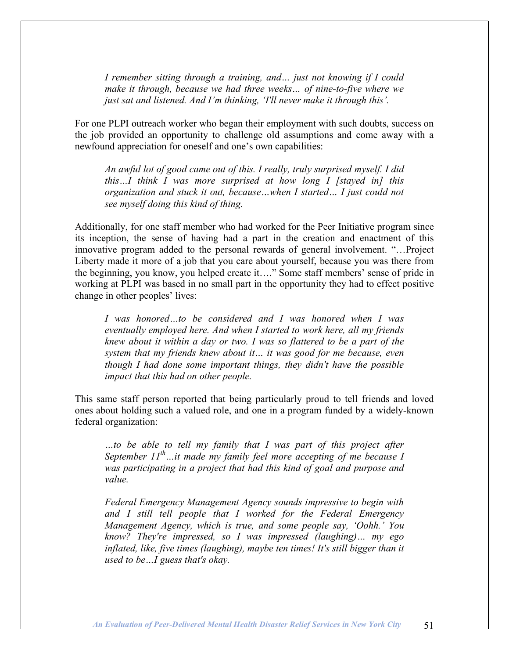*I remember sitting through a training, and… just not knowing if I could make it through, because we had three weeks… of nine-to-five where we just sat and listened. And I'm thinking, 'I'll never make it through this'.*

For one PLPI outreach worker who began their employment with such doubts, success on the job provided an opportunity to challenge old assumptions and come away with a newfound appreciation for oneself and one's own capabilities:

*An awful lot of good came out of this. I really, truly surprised myself. I did this…I think I was more surprised at how long I [stayed in] this organization and stuck it out, because…when I started… I just could not see myself doing this kind of thing.*

Additionally, for one staff member who had worked for the Peer Initiative program since its inception, the sense of having had a part in the creation and enactment of this innovative program added to the personal rewards of general involvement. "…Project Liberty made it more of a job that you care about yourself, because you was there from the beginning, you know, you helped create it…." Some staff members' sense of pride in working at PLPI was based in no small part in the opportunity they had to effect positive change in other peoples' lives:

*I was honored…to be considered and I was honored when I was eventually employed here. And when I started to work here, all my friends knew about it within a day or two. I was so flattered to be a part of the system that my friends knew about it… it was good for me because, even though I had done some important things, they didn't have the possible impact that this had on other people.*

This same staff person reported that being particularly proud to tell friends and loved ones about holding such a valued role, and one in a program funded by a widely-known federal organization:

*…to be able to tell my family that I was part of this project after September 11th …it made my family feel more accepting of me because I was participating in a project that had this kind of goal and purpose and value.*

*Federal Emergency Management Agency sounds impressive to begin with and I still tell people that I worked for the Federal Emergency Management Agency, which is true, and some people say, 'Oohh.' You know? They're impressed, so I was impressed (laughing)… my ego inflated, like, five times (laughing), maybe ten times! It's still bigger than it used to be…I guess that's okay.*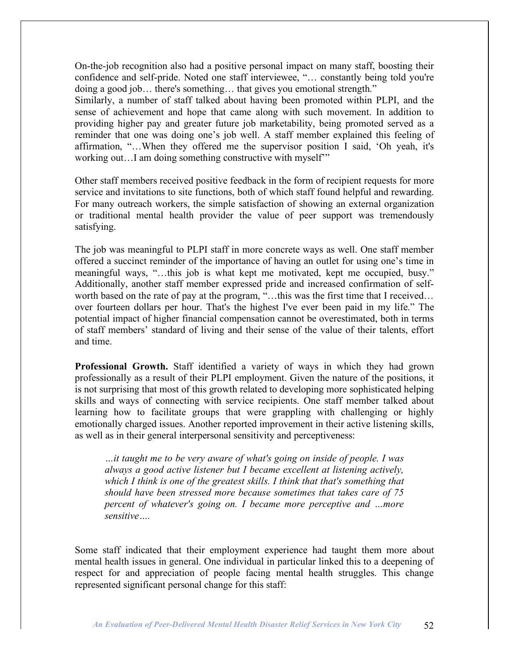On-the-job recognition also had a positive personal impact on many staff, boosting their confidence and self-pride. Noted one staff interviewee, "… constantly being told you're doing a good job… there's something… that gives you emotional strength."

Similarly, a number of staff talked about having been promoted within PLPI, and the sense of achievement and hope that came along with such movement. In addition to providing higher pay and greater future job marketability, being promoted served as a reminder that one was doing one's job well. A staff member explained this feeling of affirmation, "…When they offered me the supervisor position I said, 'Oh yeah, it's working out…I am doing something constructive with myself'"

Other staff members received positive feedback in the form of recipient requests for more service and invitations to site functions, both of which staff found helpful and rewarding. For many outreach workers, the simple satisfaction of showing an external organization or traditional mental health provider the value of peer support was tremendously satisfying.

The job was meaningful to PLPI staff in more concrete ways as well. One staff member offered a succinct reminder of the importance of having an outlet for using one's time in meaningful ways, "…this job is what kept me motivated, kept me occupied, busy." Additionally, another staff member expressed pride and increased confirmation of selfworth based on the rate of pay at the program, "...this was the first time that I received... over fourteen dollars per hour. That's the highest I've ever been paid in my life." The potential impact of higher financial compensation cannot be overestimated, both in terms of staff members' standard of living and their sense of the value of their talents, effort and time.

**Professional Growth.** Staff identified a variety of ways in which they had grown professionally as a result of their PLPI employment. Given the nature of the positions, it is not surprising that most of this growth related to developing more sophisticated helping skills and ways of connecting with service recipients. One staff member talked about learning how to facilitate groups that were grappling with challenging or highly emotionally charged issues. Another reported improvement in their active listening skills, as well as in their general interpersonal sensitivity and perceptiveness:

*…it taught me to be very aware of what's going on inside of people. I was always a good active listener but I became excellent at listening actively, which I think is one of the greatest skills. I think that that's something that should have been stressed more because sometimes that takes care of 75 percent of whatever's going on. I became more perceptive and …more sensitive….*

Some staff indicated that their employment experience had taught them more about mental health issues in general. One individual in particular linked this to a deepening of respect for and appreciation of people facing mental health struggles. This change represented significant personal change for this staff: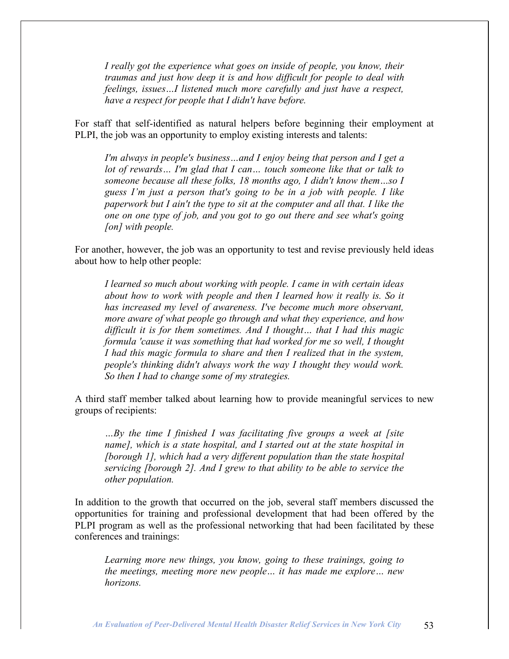*I really got the experience what goes on inside of people, you know, their traumas and just how deep it is and how difficult for people to deal with feelings, issues…I listened much more carefully and just have a respect, have a respect for people that I didn't have before.*

For staff that self-identified as natural helpers before beginning their employment at PLPI, the job was an opportunity to employ existing interests and talents:

*I'm always in people's business…and I enjoy being that person and I get a lot of rewards… I'm glad that I can… touch someone like that or talk to someone because all these folks, 18 months ago, I didn't know them…so I guess I'm just a person that's going to be in a job with people. I like paperwork but I ain't the type to sit at the computer and all that. I like the one on one type of job, and you got to go out there and see what's going [on] with people.*

For another, however, the job was an opportunity to test and revise previously held ideas about how to help other people:

*I learned so much about working with people. I came in with certain ideas about how to work with people and then I learned how it really is. So it has increased my level of awareness. I've become much more observant, more aware of what people go through and what they experience, and how difficult it is for them sometimes. And I thought… that I had this magic formula 'cause it was something that had worked for me so well, I thought I had this magic formula to share and then I realized that in the system, people's thinking didn't always work the way I thought they would work. So then I had to change some of my strategies.*

A third staff member talked about learning how to provide meaningful services to new groups of recipients:

*…By the time I finished I was facilitating five groups a week at [site name], which is a state hospital, and I started out at the state hospital in [borough 1], which had a very different population than the state hospital servicing [borough 2]. And I grew to that ability to be able to service the other population.*

In addition to the growth that occurred on the job, several staff members discussed the opportunities for training and professional development that had been offered by the PLPI program as well as the professional networking that had been facilitated by these conferences and trainings:

*Learning more new things, you know, going to these trainings, going to the meetings, meeting more new people… it has made me explore… new horizons.*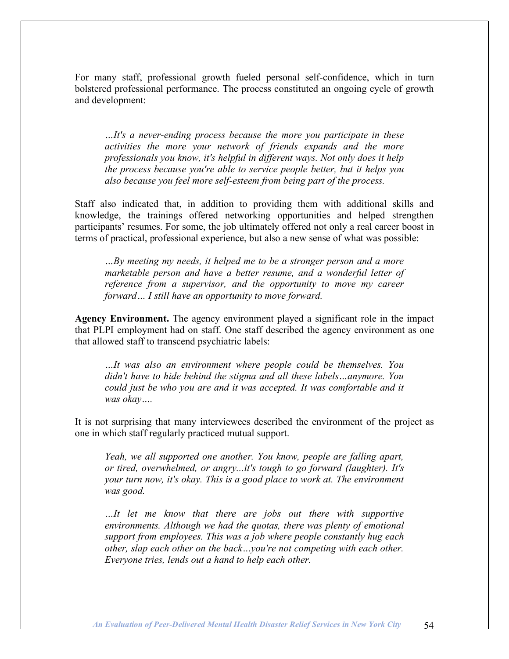For many staff, professional growth fueled personal self-confidence, which in turn bolstered professional performance. The process constituted an ongoing cycle of growth and development:

*…It's a never-ending process because the more you participate in these activities the more your network of friends expands and the more professionals you know, it's helpful in different ways. Not only does it help the process because you're able to service people better, but it helps you also because you feel more self-esteem from being part of the process.*

Staff also indicated that, in addition to providing them with additional skills and knowledge, the trainings offered networking opportunities and helped strengthen participants' resumes. For some, the job ultimately offered not only a real career boost in terms of practical, professional experience, but also a new sense of what was possible:

*…By meeting my needs, it helped me to be a stronger person and a more marketable person and have a better resume, and a wonderful letter of reference from a supervisor, and the opportunity to move my career forward… I still have an opportunity to move forward.*

**Agency Environment.** The agency environment played a significant role in the impact that PLPI employment had on staff. One staff described the agency environment as one that allowed staff to transcend psychiatric labels:

*…It was also an environment where people could be themselves. You didn't have to hide behind the stigma and all these labels…anymore. You could just be who you are and it was accepted. It was comfortable and it was okay….*

It is not surprising that many interviewees described the environment of the project as one in which staff regularly practiced mutual support.

*Yeah, we all supported one another. You know, people are falling apart, or tired, overwhelmed, or angry...it's tough to go forward (laughter). It's your turn now, it's okay. This is a good place to work at. The environment was good.*

*…It let me know that there are jobs out there with supportive environments. Although we had the quotas, there was plenty of emotional support from employees. This was a job where people constantly hug each other, slap each other on the back…you're not competing with each other. Everyone tries, lends out a hand to help each other.*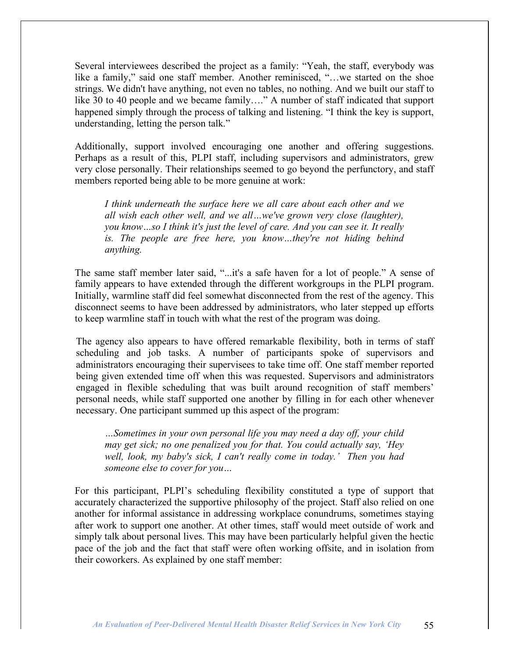Several interviewees described the project as a family: "Yeah, the staff, everybody was like a family," said one staff member. Another reminisced, "…we started on the shoe strings. We didn't have anything, not even no tables, no nothing. And we built our staff to like 30 to 40 people and we became family…." A number of staff indicated that support happened simply through the process of talking and listening. "I think the key is support, understanding, letting the person talk."

Additionally, support involved encouraging one another and offering suggestions. Perhaps as a result of this, PLPI staff, including supervisors and administrators, grew very close personally. Their relationships seemed to go beyond the perfunctory, and staff members reported being able to be more genuine at work:

*I think underneath the surface here we all care about each other and we all wish each other well, and we all…we've grown very close (laughter), you know…so I think it's just the level of care. And you can see it. It really is. The people are free here, you know…they're not hiding behind anything.*

The same staff member later said, "...it's a safe haven for a lot of people." A sense of family appears to have extended through the different workgroups in the PLPI program. Initially, warmline staff did feel somewhat disconnected from the rest of the agency. This disconnect seems to have been addressed by administrators, who later stepped up efforts to keep warmline staff in touch with what the rest of the program was doing.

The agency also appears to have offered remarkable flexibility, both in terms of staff scheduling and job tasks. A number of participants spoke of supervisors and administrators encouraging their supervisees to take time off. One staff member reported being given extended time off when this was requested. Supervisors and administrators engaged in flexible scheduling that was built around recognition of staff members' personal needs, while staff supported one another by filling in for each other whenever necessary. One participant summed up this aspect of the program:

*…Sometimes in your own personal life you may need a day off, your child may get sick; no one penalized you for that. You could actually say, 'Hey well, look, my baby's sick, I can't really come in today.' Then you had someone else to cover for you…*

For this participant, PLPI's scheduling flexibility constituted a type of support that accurately characterized the supportive philosophy of the project. Staff also relied on one another for informal assistance in addressing workplace conundrums, sometimes staying after work to support one another. At other times, staff would meet outside of work and simply talk about personal lives. This may have been particularly helpful given the hectic pace of the job and the fact that staff were often working offsite, and in isolation from their coworkers. As explained by one staff member: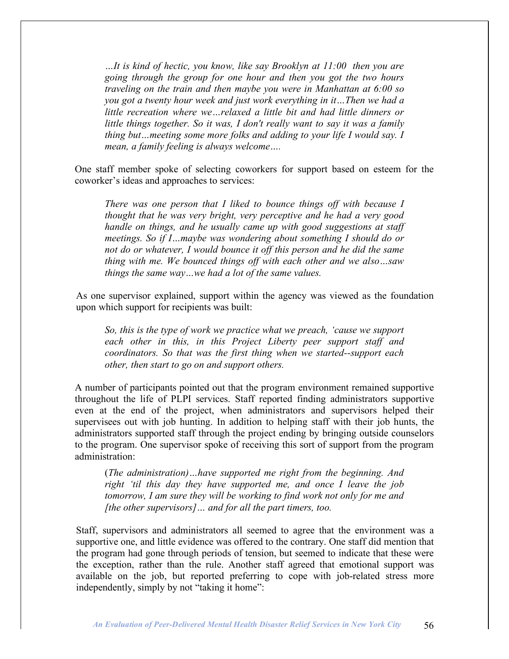*…It is kind of hectic, you know, like say Brooklyn at 11:00 then you are going through the group for one hour and then you got the two hours traveling on the train and then maybe you were in Manhattan at 6:00 so you got a twenty hour week and just work everything in it…Then we had a little recreation where we…relaxed a little bit and had little dinners or little things together. So it was, I don't really want to say it was a family thing but…meeting some more folks and adding to your life I would say. I mean, a family feeling is always welcome….*

One staff member spoke of selecting coworkers for support based on esteem for the coworker's ideas and approaches to services:

*There was one person that I liked to bounce things off with because I thought that he was very bright, very perceptive and he had a very good handle on things, and he usually came up with good suggestions at staff meetings. So if I…maybe was wondering about something I should do or not do or whatever, I would bounce it off this person and he did the same thing with me. We bounced things off with each other and we also…saw things the same way…we had a lot of the same values.*

As one supervisor explained, support within the agency was viewed as the foundation upon which support for recipients was built:

*So, this is the type of work we practice what we preach, 'cause we support each other in this, in this Project Liberty peer support staff and coordinators. So that was the first thing when we started--support each other, then start to go on and support others.*

A number of participants pointed out that the program environment remained supportive throughout the life of PLPI services. Staff reported finding administrators supportive even at the end of the project, when administrators and supervisors helped their supervisees out with job hunting. In addition to helping staff with their job hunts, the administrators supported staff through the project ending by bringing outside counselors to the program. One supervisor spoke of receiving this sort of support from the program administration:

(*The administration)…have supported me right from the beginning. And right 'til this day they have supported me, and once I leave the job tomorrow, I am sure they will be working to find work not only for me and [the other supervisors]… and for all the part timers, too.*

Staff, supervisors and administrators all seemed to agree that the environment was a supportive one, and little evidence was offered to the contrary. One staff did mention that the program had gone through periods of tension, but seemed to indicate that these were the exception, rather than the rule. Another staff agreed that emotional support was available on the job, but reported preferring to cope with job-related stress more independently, simply by not "taking it home":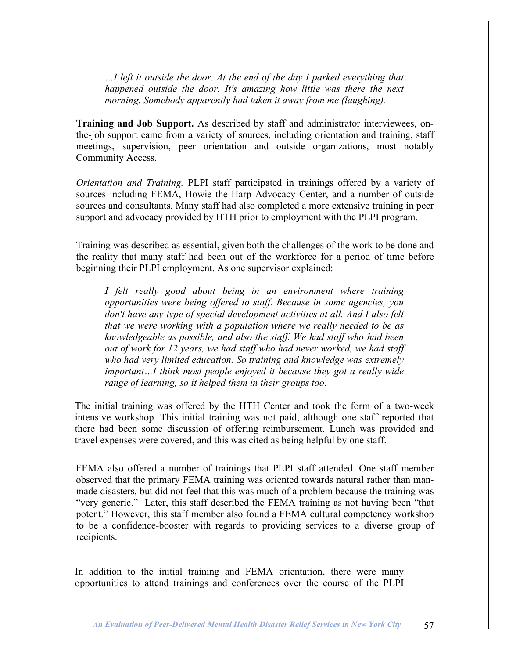*…I left it outside the door. At the end of the day I parked everything that happened outside the door. It's amazing how little was there the next morning. Somebody apparently had taken it away from me (laughing).*

**Training and Job Support.** As described by staff and administrator interviewees, onthe-job support came from a variety of sources, including orientation and training, staff meetings, supervision, peer orientation and outside organizations, most notably Community Access.

*Orientation and Training.* PLPI staff participated in trainings offered by a variety of sources including FEMA, Howie the Harp Advocacy Center, and a number of outside sources and consultants. Many staff had also completed a more extensive training in peer support and advocacy provided by HTH prior to employment with the PLPI program.

Training was described as essential, given both the challenges of the work to be done and the reality that many staff had been out of the workforce for a period of time before beginning their PLPI employment. As one supervisor explained:

*I felt really good about being in an environment where training opportunities were being offered to staff. Because in some agencies, you don't have any type of special development activities at all. And I also felt that we were working with a population where we really needed to be as knowledgeable as possible, and also the staff. We had staff who had been out of work for 12 years, we had staff who had never worked, we had staff who had very limited education. So training and knowledge was extremely important…I think most people enjoyed it because they got a really wide range of learning, so it helped them in their groups too.*

The initial training was offered by the HTH Center and took the form of a two-week intensive workshop. This initial training was not paid, although one staff reported that there had been some discussion of offering reimbursement. Lunch was provided and travel expenses were covered, and this was cited as being helpful by one staff.

FEMA also offered a number of trainings that PLPI staff attended. One staff member observed that the primary FEMA training was oriented towards natural rather than manmade disasters, but did not feel that this was much of a problem because the training was "very generic." Later, this staff described the FEMA training as not having been "that potent." However, this staff member also found a FEMA cultural competency workshop to be a confidence-booster with regards to providing services to a diverse group of recipients.

In addition to the initial training and FEMA orientation, there were many opportunities to attend trainings and conferences over the course of the PLPI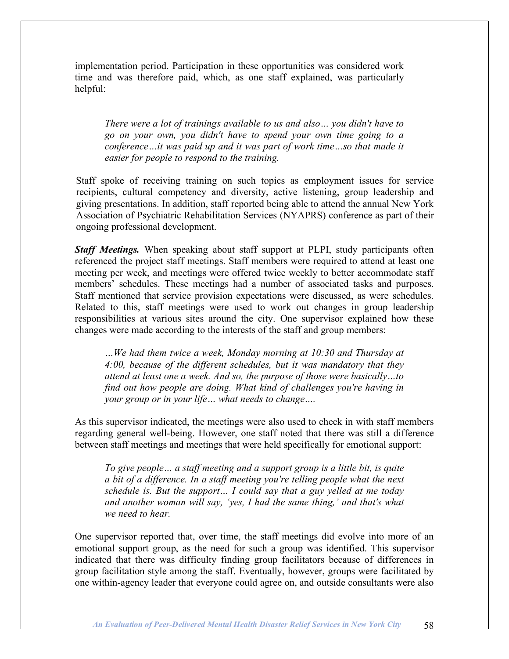implementation period. Participation in these opportunities was considered work time and was therefore paid, which, as one staff explained, was particularly helpful:

*There were a lot of trainings available to us and also… you didn't have to go on your own, you didn't have to spend your own time going to a conference…it was paid up and it was part of work time…so that made it easier for people to respond to the training.*

Staff spoke of receiving training on such topics as employment issues for service recipients, cultural competency and diversity, active listening, group leadership and giving presentations. In addition, staff reported being able to attend the annual New York Association of Psychiatric Rehabilitation Services (NYAPRS) conference as part of their ongoing professional development.

*Staff Meetings.* When speaking about staff support at PLPI, study participants often referenced the project staff meetings. Staff members were required to attend at least one meeting per week, and meetings were offered twice weekly to better accommodate staff members' schedules. These meetings had a number of associated tasks and purposes. Staff mentioned that service provision expectations were discussed, as were schedules. Related to this, staff meetings were used to work out changes in group leadership responsibilities at various sites around the city. One supervisor explained how these changes were made according to the interests of the staff and group members:

*…We had them twice a week, Monday morning at 10:30 and Thursday at 4:00, because of the different schedules, but it was mandatory that they attend at least one a week. And so, the purpose of those were basically…to find out how people are doing. What kind of challenges you're having in your group or in your life… what needs to change….*

As this supervisor indicated, the meetings were also used to check in with staff members regarding general well-being. However, one staff noted that there was still a difference between staff meetings and meetings that were held specifically for emotional support:

*To give people… a staff meeting and a support group is a little bit, is quite a bit of a difference. In a staff meeting you're telling people what the next schedule is. But the support… I could say that a guy yelled at me today and another woman will say, 'yes, I had the same thing,' and that's what we need to hear.*

One supervisor reported that, over time, the staff meetings did evolve into more of an emotional support group, as the need for such a group was identified. This supervisor indicated that there was difficulty finding group facilitators because of differences in group facilitation style among the staff. Eventually, however, groups were facilitated by one within-agency leader that everyone could agree on, and outside consultants were also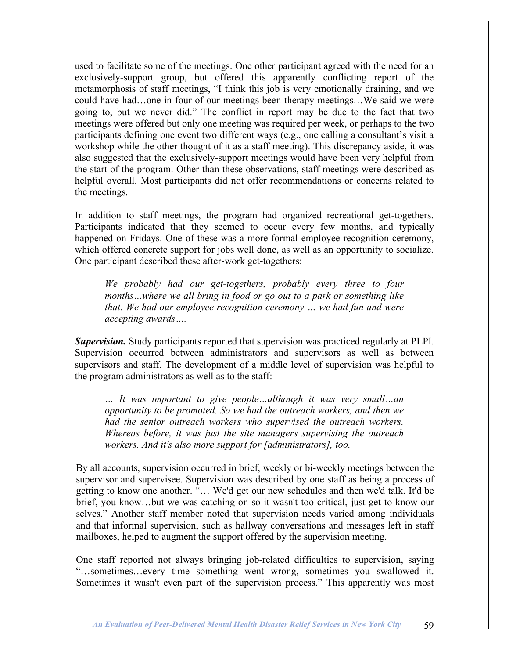used to facilitate some of the meetings. One other participant agreed with the need for an exclusively-support group, but offered this apparently conflicting report of the metamorphosis of staff meetings, "I think this job is very emotionally draining, and we could have had…one in four of our meetings been therapy meetings…We said we were going to, but we never did." The conflict in report may be due to the fact that two meetings were offered but only one meeting was required per week, or perhaps to the two participants defining one event two different ways (e.g., one calling a consultant's visit a workshop while the other thought of it as a staff meeting). This discrepancy aside, it was also suggested that the exclusively-support meetings would have been very helpful from the start of the program. Other than these observations, staff meetings were described as helpful overall. Most participants did not offer recommendations or concerns related to the meetings.

In addition to staff meetings, the program had organized recreational get-togethers. Participants indicated that they seemed to occur every few months, and typically happened on Fridays. One of these was a more formal employee recognition ceremony, which offered concrete support for jobs well done, as well as an opportunity to socialize. One participant described these after-work get-togethers:

*We probably had our get-togethers, probably every three to four months…where we all bring in food or go out to a park or something like that. We had our employee recognition ceremony … we had fun and were accepting awards….*

*Supervision.* Study participants reported that supervision was practiced regularly at PLPI. Supervision occurred between administrators and supervisors as well as between supervisors and staff. The development of a middle level of supervision was helpful to the program administrators as well as to the staff:

*… It was important to give people…although it was very small…an opportunity to be promoted. So we had the outreach workers, and then we had the senior outreach workers who supervised the outreach workers. Whereas before, it was just the site managers supervising the outreach workers. And it's also more support for [administrators], too.*

By all accounts, supervision occurred in brief, weekly or bi-weekly meetings between the supervisor and supervisee. Supervision was described by one staff as being a process of getting to know one another. "… We'd get our new schedules and then we'd talk. It'd be brief, you know…but we was catching on so it wasn't too critical, just get to know our selves." Another staff member noted that supervision needs varied among individuals and that informal supervision, such as hallway conversations and messages left in staff mailboxes, helped to augment the support offered by the supervision meeting.

One staff reported not always bringing job-related difficulties to supervision, saying "…sometimes…every time something went wrong, sometimes you swallowed it. Sometimes it wasn't even part of the supervision process." This apparently was most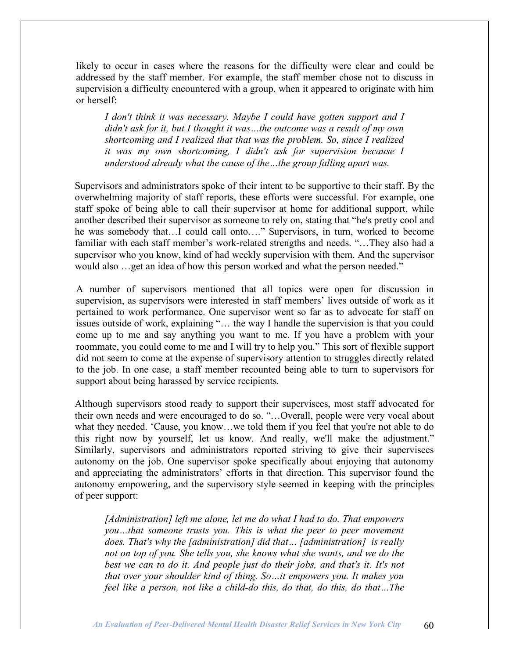likely to occur in cases where the reasons for the difficulty were clear and could be addressed by the staff member. For example, the staff member chose not to discuss in supervision a difficulty encountered with a group, when it appeared to originate with him or herself:

*I don't think it was necessary. Maybe I could have gotten support and I didn't ask for it, but I thought it was…the outcome was a result of my own shortcoming and I realized that that was the problem. So, since I realized it was my own shortcoming, I didn't ask for supervision because I understood already what the cause of the…the group falling apart was.*

Supervisors and administrators spoke of their intent to be supportive to their staff. By the overwhelming majority of staff reports, these efforts were successful. For example, one staff spoke of being able to call their supervisor at home for additional support, while another described their supervisor as someone to rely on, stating that "he's pretty cool and he was somebody that…I could call onto…." Supervisors, in turn, worked to become familiar with each staff member's work-related strengths and needs. "…They also had a supervisor who you know, kind of had weekly supervision with them. And the supervisor would also …get an idea of how this person worked and what the person needed."

A number of supervisors mentioned that all topics were open for discussion in supervision, as supervisors were interested in staff members' lives outside of work as it pertained to work performance. One supervisor went so far as to advocate for staff on issues outside of work, explaining "… the way I handle the supervision is that you could come up to me and say anything you want to me. If you have a problem with your roommate, you could come to me and I will try to help you." This sort of flexible support did not seem to come at the expense of supervisory attention to struggles directly related to the job. In one case, a staff member recounted being able to turn to supervisors for support about being harassed by service recipients.

Although supervisors stood ready to support their supervisees, most staff advocated for their own needs and were encouraged to do so. "…Overall, people were very vocal about what they needed. 'Cause, you know…we told them if you feel that you're not able to do this right now by yourself, let us know. And really, we'll make the adjustment." Similarly, supervisors and administrators reported striving to give their supervisees autonomy on the job. One supervisor spoke specifically about enjoying that autonomy and appreciating the administrators' efforts in that direction. This supervisor found the autonomy empowering, and the supervisory style seemed in keeping with the principles of peer support:

*[Administration] left me alone, let me do what I had to do. That empowers you…that someone trusts you. This is what the peer to peer movement does. That's why the [administration] did that… [administration] is really not on top of you. She tells you, she knows what she wants, and we do the best we can to do it. And people just do their jobs, and that's it. It's not that over your shoulder kind of thing. So…it empowers you. It makes you feel like a person, not like a child-do this, do that, do this, do that…The*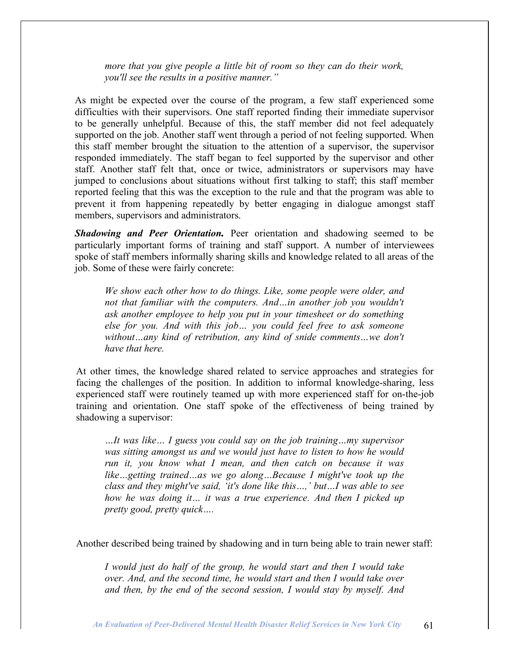*more that you give people a little bit of room so they can do their work, you'll see the results in a positive manner."*

As might be expected over the course of the program, a few staff experienced some difficulties with their supervisors. One staff reported finding their immediate supervisor to be generally unhelpful. Because of this, the staff member did not feel adequately supported on the job. Another staff went through a period of not feeling supported. When this staff member brought the situation to the attention of a supervisor, the supervisor responded immediately. The staff began to feel supported by the supervisor and other staff. Another staff felt that, once or twice, administrators or supervisors may have jumped to conclusions about situations without first talking to staff; this staff member reported feeling that this was the exception to the rule and that the program was able to prevent it from happening repeatedly by better engaging in dialogue amongst staff members, supervisors and administrators.

*Shadowing and Peer Orientation.* Peer orientation and shadowing seemed to be particularly important forms of training and staff support. A number of interviewees spoke of staff members informally sharing skills and knowledge related to all areas of the job. Some of these were fairly concrete:

*We show each other how to do things. Like, some people were older, and not that familiar with the computers. And…in another job you wouldn't ask another employee to help you put in your timesheet or do something else for you. And with this job… you could feel free to ask someone without…any kind of retribution, any kind of snide comments…we don't have that here.*

At other times, the knowledge shared related to service approaches and strategies for facing the challenges of the position. In addition to informal knowledge-sharing, less experienced staff were routinely teamed up with more experienced staff for on-the-job training and orientation. One staff spoke of the effectiveness of being trained by shadowing a supervisor:

*…It was like… I guess you could say on the job training…my supervisor was sitting amongst us and we would just have to listen to how he would run it, you know what I mean, and then catch on because it was like…getting trained…as we go along…Because I might've took up the class and they might've said, 'it's done like this…,' but…I was able to see how he was doing it… it was a true experience. And then I picked up pretty good, pretty quick….*

Another described being trained by shadowing and in turn being able to train newer staff:

*I would just do half of the group, he would start and then I would take over. And, and the second time, he would start and then I would take over and then, by the end of the second session, I would stay by myself. And*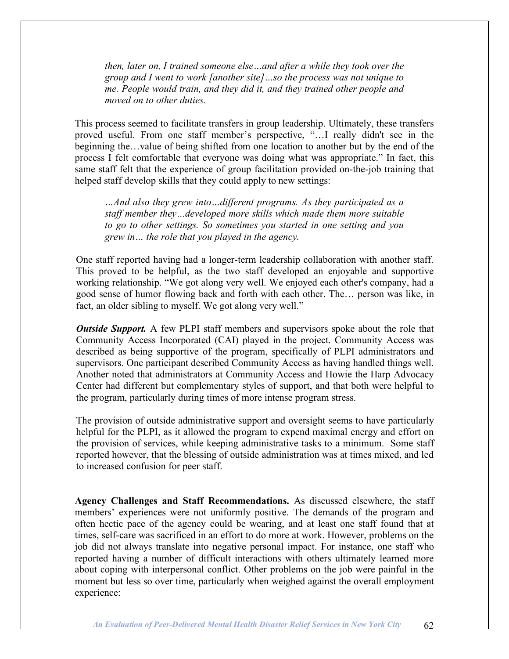*then, later on, I trained someone else…and after a while they took over the group and I went to work [another site]…so the process was not unique to me. People would train, and they did it, and they trained other people and moved on to other duties.*

This process seemed to facilitate transfers in group leadership. Ultimately, these transfers proved useful. From one staff member's perspective, "…I really didn't see in the beginning the…value of being shifted from one location to another but by the end of the process I felt comfortable that everyone was doing what was appropriate." In fact, this same staff felt that the experience of group facilitation provided on-the-job training that helped staff develop skills that they could apply to new settings:

*…And also they grew into…different programs. As they participated as a staff member they…developed more skills which made them more suitable to go to other settings. So sometimes you started in one setting and you grew in… the role that you played in the agency.*

One staff reported having had a longer-term leadership collaboration with another staff. This proved to be helpful, as the two staff developed an enjoyable and supportive working relationship. "We got along very well. We enjoyed each other's company, had a good sense of humor flowing back and forth with each other. The… person was like, in fact, an older sibling to myself. We got along very well."

*Outside Support.* A few PLPI staff members and supervisors spoke about the role that Community Access Incorporated (CAI) played in the project. Community Access was described as being supportive of the program, specifically of PLPI administrators and supervisors. One participant described Community Access as having handled things well. Another noted that administrators at Community Access and Howie the Harp Advocacy Center had different but complementary styles of support, and that both were helpful to the program, particularly during times of more intense program stress.

The provision of outside administrative support and oversight seems to have particularly helpful for the PLPI, as it allowed the program to expend maximal energy and effort on the provision of services, while keeping administrative tasks to a minimum. Some staff reported however, that the blessing of outside administration was at times mixed, and led to increased confusion for peer staff.

**Agency Challenges and Staff Recommendations.** As discussed elsewhere, the staff members' experiences were not uniformly positive. The demands of the program and often hectic pace of the agency could be wearing, and at least one staff found that at times, self-care was sacrificed in an effort to do more at work. However, problems on the job did not always translate into negative personal impact. For instance, one staff who reported having a number of difficult interactions with others ultimately learned more about coping with interpersonal conflict. Other problems on the job were painful in the moment but less so over time, particularly when weighed against the overall employment experience: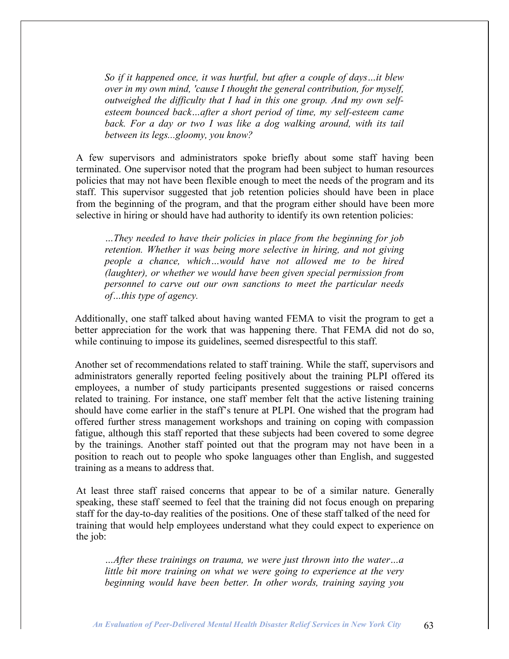*So if it happened once, it was hurtful, but after a couple of days…it blew over in my own mind, 'cause I thought the general contribution, for myself, outweighed the difficulty that I had in this one group. And my own selfesteem bounced back…after a short period of time, my self-esteem came back. For a day or two I was like a dog walking around, with its tail between its legs...gloomy, you know?*

A few supervisors and administrators spoke briefly about some staff having been terminated. One supervisor noted that the program had been subject to human resources policies that may not have been flexible enough to meet the needs of the program and its staff. This supervisor suggested that job retention policies should have been in place from the beginning of the program, and that the program either should have been more selective in hiring or should have had authority to identify its own retention policies:

*…They needed to have their policies in place from the beginning for job retention. Whether it was being more selective in hiring, and not giving people a chance, which…would have not allowed me to be hired (laughter), or whether we would have been given special permission from personnel to carve out our own sanctions to meet the particular needs of…this type of agency.*

Additionally, one staff talked about having wanted FEMA to visit the program to get a better appreciation for the work that was happening there. That FEMA did not do so, while continuing to impose its guidelines, seemed disrespectful to this staff.

Another set of recommendations related to staff training. While the staff, supervisors and administrators generally reported feeling positively about the training PLPI offered its employees, a number of study participants presented suggestions or raised concerns related to training. For instance, one staff member felt that the active listening training should have come earlier in the staff's tenure at PLPI. One wished that the program had offered further stress management workshops and training on coping with compassion fatigue, although this staff reported that these subjects had been covered to some degree by the trainings. Another staff pointed out that the program may not have been in a position to reach out to people who spoke languages other than English, and suggested training as a means to address that.

At least three staff raised concerns that appear to be of a similar nature. Generally speaking, these staff seemed to feel that the training did not focus enough on preparing staff for the day-to-day realities of the positions. One of these staff talked of the need for training that would help employees understand what they could expect to experience on the job:

*…After these trainings on trauma, we were just thrown into the water…a little bit more training on what we were going to experience at the very beginning would have been better. In other words, training saying you*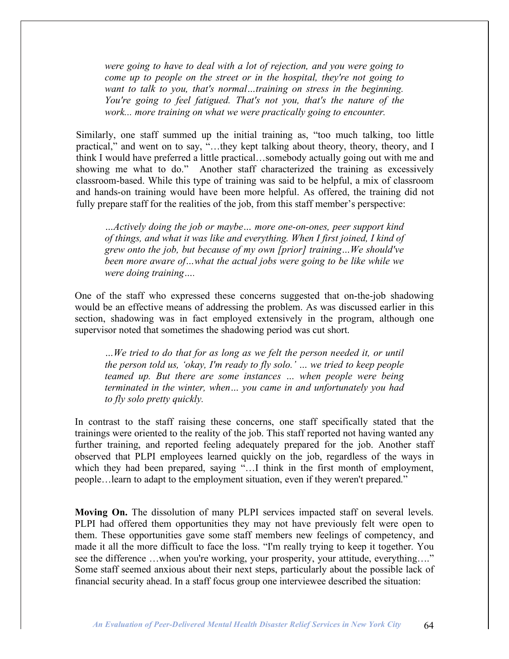*were going to have to deal with a lot of rejection, and you were going to come up to people on the street or in the hospital, they're not going to want to talk to you, that's normal…training on stress in the beginning. You're going to feel fatigued. That's not you, that's the nature of the work... more training on what we were practically going to encounter.*

Similarly, one staff summed up the initial training as, "too much talking, too little practical," and went on to say, "…they kept talking about theory, theory, theory, and I think I would have preferred a little practical…somebody actually going out with me and showing me what to do." Another staff characterized the training as excessively classroom-based. While this type of training was said to be helpful, a mix of classroom and hands-on training would have been more helpful. As offered, the training did not fully prepare staff for the realities of the job, from this staff member's perspective:

*…Actively doing the job or maybe… more one-on-ones, peer support kind of things, and what it was like and everything. When I first joined, I kind of grew onto the job, but because of my own [prior] training…We should've been more aware of…what the actual jobs were going to be like while we were doing training….*

One of the staff who expressed these concerns suggested that on-the-job shadowing would be an effective means of addressing the problem. As was discussed earlier in this section, shadowing was in fact employed extensively in the program, although one supervisor noted that sometimes the shadowing period was cut short.

*…We tried to do that for as long as we felt the person needed it, or until the person told us, 'okay, I'm ready to fly solo.' … we tried to keep people teamed up. But there are some instances … when people were being terminated in the winter, when… you came in and unfortunately you had to fly solo pretty quickly.*

In contrast to the staff raising these concerns, one staff specifically stated that the trainings were oriented to the reality of the job. This staff reported not having wanted any further training, and reported feeling adequately prepared for the job. Another staff observed that PLPI employees learned quickly on the job, regardless of the ways in which they had been prepared, saying "...I think in the first month of employment, people…learn to adapt to the employment situation, even if they weren't prepared."

**Moving On.** The dissolution of many PLPI services impacted staff on several levels. PLPI had offered them opportunities they may not have previously felt were open to them. These opportunities gave some staff members new feelings of competency, and made it all the more difficult to face the loss. "I'm really trying to keep it together. You see the difference …when you're working, your prosperity, your attitude, everything…." Some staff seemed anxious about their next steps, particularly about the possible lack of financial security ahead. In a staff focus group one interviewee described the situation: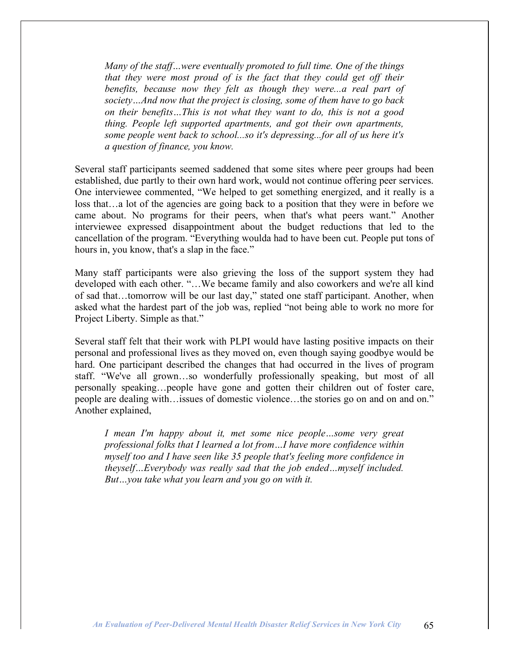*Many of the staff…were eventually promoted to full time. One of the things that they were most proud of is the fact that they could get off their benefits, because now they felt as though they were...a real part of society…And now that the project is closing, some of them have to go back on their benefits…This is not what they want to do, this is not a good thing. People left supported apartments, and got their own apartments, some people went back to school...so it's depressing...for all of us here it's a question of finance, you know.*

Several staff participants seemed saddened that some sites where peer groups had been established, due partly to their own hard work, would not continue offering peer services. One interviewee commented, "We helped to get something energized, and it really is a loss that…a lot of the agencies are going back to a position that they were in before we came about. No programs for their peers, when that's what peers want." Another interviewee expressed disappointment about the budget reductions that led to the cancellation of the program. "Everything woulda had to have been cut. People put tons of hours in, you know, that's a slap in the face."

Many staff participants were also grieving the loss of the support system they had developed with each other. "…We became family and also coworkers and we're all kind of sad that…tomorrow will be our last day," stated one staff participant. Another, when asked what the hardest part of the job was, replied "not being able to work no more for Project Liberty. Simple as that."

Several staff felt that their work with PLPI would have lasting positive impacts on their personal and professional lives as they moved on, even though saying goodbye would be hard. One participant described the changes that had occurred in the lives of program staff. "We've all grown…so wonderfully professionally speaking, but most of all personally speaking…people have gone and gotten their children out of foster care, people are dealing with…issues of domestic violence…the stories go on and on and on." Another explained,

*I mean I'm happy about it, met some nice people…some very great professional folks that I learned a lot from…I have more confidence within myself too and I have seen like 35 people that's feeling more confidence in theyself…Everybody was really sad that the job ended…myself included. But…you take what you learn and you go on with it.*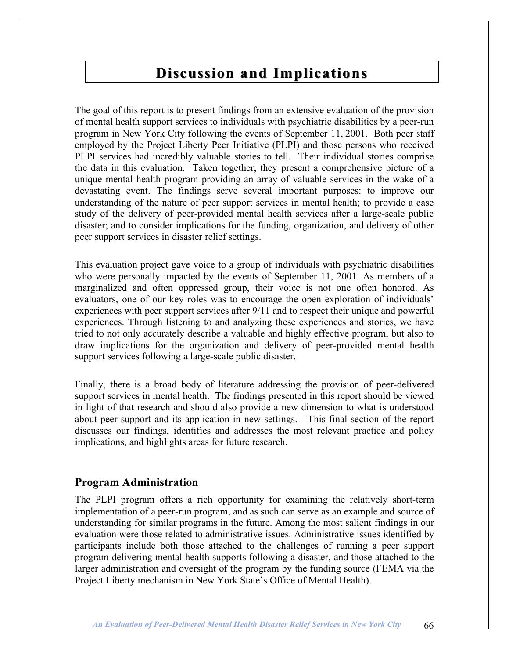# **Discussion and Implications**

The goal of this report is to present findings from an extensive evaluation of the provision of mental health support services to individuals with psychiatric disabilities by a peer-run program in New York City following the events of September 11, 2001. Both peer staff employed by the Project Liberty Peer Initiative (PLPI) and those persons who received PLPI services had incredibly valuable stories to tell. Their individual stories comprise the data in this evaluation. Taken together, they present a comprehensive picture of a unique mental health program providing an array of valuable services in the wake of a devastating event. The findings serve several important purposes: to improve our understanding of the nature of peer support services in mental health; to provide a case study of the delivery of peer-provided mental health services after a large-scale public disaster; and to consider implications for the funding, organization, and delivery of other peer support services in disaster relief settings.

This evaluation project gave voice to a group of individuals with psychiatric disabilities who were personally impacted by the events of September 11, 2001. As members of a marginalized and often oppressed group, their voice is not one often honored. As evaluators, one of our key roles was to encourage the open exploration of individuals' experiences with peer support services after 9/11 and to respect their unique and powerful experiences. Through listening to and analyzing these experiences and stories, we have tried to not only accurately describe a valuable and highly effective program, but also to draw implications for the organization and delivery of peer-provided mental health support services following a large-scale public disaster.

Finally, there is a broad body of literature addressing the provision of peer-delivered support services in mental health. The findings presented in this report should be viewed in light of that research and should also provide a new dimension to what is understood about peer support and its application in new settings. This final section of the report discusses our findings, identifies and addresses the most relevant practice and policy implications, and highlights areas for future research.

### **Program Administration**

The PLPI program offers a rich opportunity for examining the relatively short-term implementation of a peer-run program, and as such can serve as an example and source of understanding for similar programs in the future. Among the most salient findings in our evaluation were those related to administrative issues. Administrative issues identified by participants include both those attached to the challenges of running a peer support program delivering mental health supports following a disaster, and those attached to the larger administration and oversight of the program by the funding source (FEMA via the Project Liberty mechanism in New York State's Office of Mental Health).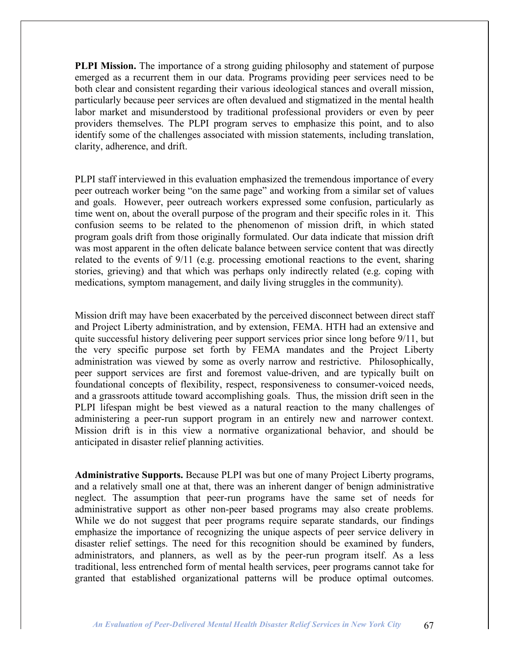**PLPI Mission.** The importance of a strong guiding philosophy and statement of purpose emerged as a recurrent them in our data. Programs providing peer services need to be both clear and consistent regarding their various ideological stances and overall mission, particularly because peer services are often devalued and stigmatized in the mental health labor market and misunderstood by traditional professional providers or even by peer providers themselves. The PLPI program serves to emphasize this point, and to also identify some of the challenges associated with mission statements, including translation, clarity, adherence, and drift.

PLPI staff interviewed in this evaluation emphasized the tremendous importance of every peer outreach worker being "on the same page" and working from a similar set of values and goals. However, peer outreach workers expressed some confusion, particularly as time went on, about the overall purpose of the program and their specific roles in it. This confusion seems to be related to the phenomenon of mission drift, in which stated program goals drift from those originally formulated. Our data indicate that mission drift was most apparent in the often delicate balance between service content that was directly related to the events of 9/11 (e.g. processing emotional reactions to the event, sharing stories, grieving) and that which was perhaps only indirectly related (e.g. coping with medications, symptom management, and daily living struggles in the community).

Mission drift may have been exacerbated by the perceived disconnect between direct staff and Project Liberty administration, and by extension, FEMA. HTH had an extensive and quite successful history delivering peer support services prior since long before 9/11, but the very specific purpose set forth by FEMA mandates and the Project Liberty administration was viewed by some as overly narrow and restrictive. Philosophically, peer support services are first and foremost value-driven, and are typically built on foundational concepts of flexibility, respect, responsiveness to consumer-voiced needs, and a grassroots attitude toward accomplishing goals. Thus, the mission drift seen in the PLPI lifespan might be best viewed as a natural reaction to the many challenges of administering a peer-run support program in an entirely new and narrower context. Mission drift is in this view a normative organizational behavior, and should be anticipated in disaster relief planning activities.

**Administrative Supports.** Because PLPI was but one of many Project Liberty programs, and a relatively small one at that, there was an inherent danger of benign administrative neglect. The assumption that peer-run programs have the same set of needs for administrative support as other non-peer based programs may also create problems. While we do not suggest that peer programs require separate standards, our findings emphasize the importance of recognizing the unique aspects of peer service delivery in disaster relief settings. The need for this recognition should be examined by funders, administrators, and planners, as well as by the peer-run program itself. As a less traditional, less entrenched form of mental health services, peer programs cannot take for granted that established organizational patterns will be produce optimal outcomes.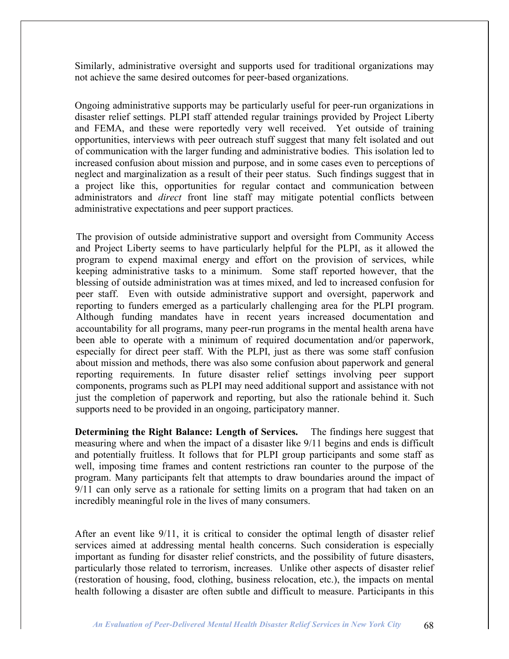Similarly, administrative oversight and supports used for traditional organizations may not achieve the same desired outcomes for peer-based organizations.

Ongoing administrative supports may be particularly useful for peer-run organizations in disaster relief settings. PLPI staff attended regular trainings provided by Project Liberty and FEMA, and these were reportedly very well received. Yet outside of training opportunities, interviews with peer outreach stuff suggest that many felt isolated and out of communication with the larger funding and administrative bodies. This isolation led to increased confusion about mission and purpose, and in some cases even to perceptions of neglect and marginalization as a result of their peer status. Such findings suggest that in a project like this, opportunities for regular contact and communication between administrators and *direct* front line staff may mitigate potential conflicts between administrative expectations and peer support practices.

The provision of outside administrative support and oversight from Community Access and Project Liberty seems to have particularly helpful for the PLPI, as it allowed the program to expend maximal energy and effort on the provision of services, while keeping administrative tasks to a minimum. Some staff reported however, that the blessing of outside administration was at times mixed, and led to increased confusion for peer staff. Even with outside administrative support and oversight, paperwork and reporting to funders emerged as a particularly challenging area for the PLPI program. Although funding mandates have in recent years increased documentation and accountability for all programs, many peer-run programs in the mental health arena have been able to operate with a minimum of required documentation and/or paperwork, especially for direct peer staff. With the PLPI, just as there was some staff confusion about mission and methods, there was also some confusion about paperwork and general reporting requirements. In future disaster relief settings involving peer support components, programs such as PLPI may need additional support and assistance with not just the completion of paperwork and reporting, but also the rationale behind it. Such supports need to be provided in an ongoing, participatory manner.

**Determining the Right Balance: Length of Services.** The findings here suggest that measuring where and when the impact of a disaster like 9/11 begins and ends is difficult and potentially fruitless. It follows that for PLPI group participants and some staff as well, imposing time frames and content restrictions ran counter to the purpose of the program. Many participants felt that attempts to draw boundaries around the impact of 9/11 can only serve as a rationale for setting limits on a program that had taken on an incredibly meaningful role in the lives of many consumers.

After an event like 9/11, it is critical to consider the optimal length of disaster relief services aimed at addressing mental health concerns. Such consideration is especially important as funding for disaster relief constricts, and the possibility of future disasters, particularly those related to terrorism, increases. Unlike other aspects of disaster relief (restoration of housing, food, clothing, business relocation, etc.), the impacts on mental health following a disaster are often subtle and difficult to measure. Participants in this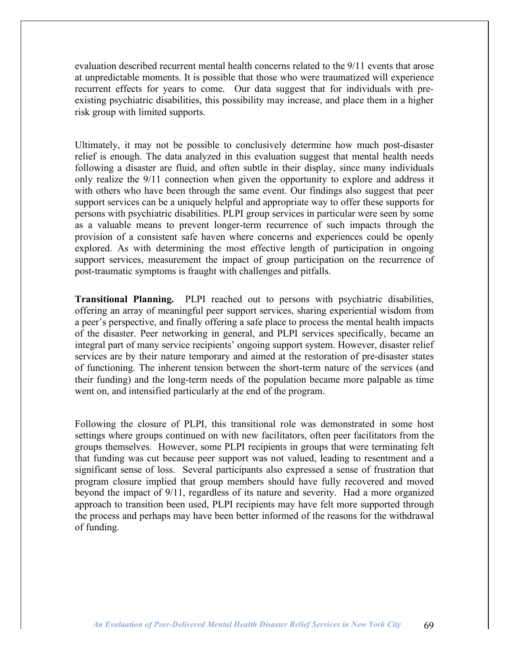evaluation described recurrent mental health concerns related to the 9/11 events that arose at unpredictable moments. It is possible that those who were traumatized will experience recurrent effects for years to come. Our data suggest that for individuals with preexisting psychiatric disabilities, this possibility may increase, and place them in a higher risk group with limited supports.

Ultimately, it may not be possible to conclusively determine how much post-disaster relief is enough. The data analyzed in this evaluation suggest that mental health needs following a disaster are fluid, and often subtle in their display, since many individuals only realize the 9/11 connection when given the opportunity to explore and address it with others who have been through the same event. Our findings also suggest that peer support services can be a uniquely helpful and appropriate way to offer these supports for persons with psychiatric disabilities. PLPI group services in particular were seen by some as a valuable means to prevent longer-term recurrence of such impacts through the provision of a consistent safe haven where concerns and experiences could be openly explored. As with determining the most effective length of participation in ongoing support services, measurement the impact of group participation on the recurrence of post-traumatic symptoms is fraught with challenges and pitfalls.

**Transitional Planning.** PLPI reached out to persons with psychiatric disabilities, offering an array of meaningful peer support services, sharing experiential wisdom from a peer's perspective, and finally offering a safe place to process the mental health impacts of the disaster. Peer networking in general, and PLPI services specifically, became an integral part of many service recipients' ongoing support system. However, disaster relief services are by their nature temporary and aimed at the restoration of pre-disaster states of functioning. The inherent tension between the short-term nature of the services (and their funding) and the long-term needs of the population became more palpable as time went on, and intensified particularly at the end of the program.

Following the closure of PLPI, this transitional role was demonstrated in some host settings where groups continued on with new facilitators, often peer facilitators from the groups themselves. However, some PLPI recipients in groups that were terminating felt that funding was cut because peer support was not valued, leading to resentment and a significant sense of loss. Several participants also expressed a sense of frustration that program closure implied that group members should have fully recovered and moved beyond the impact of 9/11, regardless of its nature and severity. Had a more organized approach to transition been used, PLPI recipients may have felt more supported through the process and perhaps may have been better informed of the reasons for the withdrawal of funding.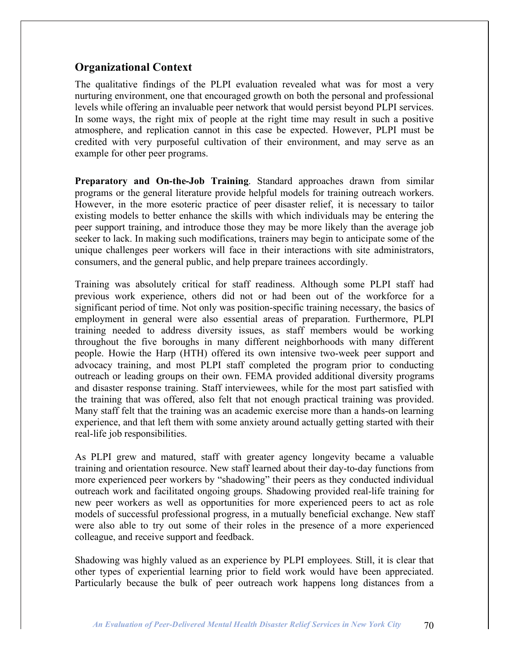## **Organizational Context**

The qualitative findings of the PLPI evaluation revealed what was for most a very nurturing environment, one that encouraged growth on both the personal and professional levels while offering an invaluable peer network that would persist beyond PLPI services. In some ways, the right mix of people at the right time may result in such a positive atmosphere, and replication cannot in this case be expected. However, PLPI must be credited with very purposeful cultivation of their environment, and may serve as an example for other peer programs.

**Preparatory and On-the-Job Training**. Standard approaches drawn from similar programs or the general literature provide helpful models for training outreach workers. However, in the more esoteric practice of peer disaster relief, it is necessary to tailor existing models to better enhance the skills with which individuals may be entering the peer support training, and introduce those they may be more likely than the average job seeker to lack. In making such modifications, trainers may begin to anticipate some of the unique challenges peer workers will face in their interactions with site administrators, consumers, and the general public, and help prepare trainees accordingly.

Training was absolutely critical for staff readiness. Although some PLPI staff had previous work experience, others did not or had been out of the workforce for a significant period of time. Not only was position-specific training necessary, the basics of employment in general were also essential areas of preparation. Furthermore, PLPI training needed to address diversity issues, as staff members would be working throughout the five boroughs in many different neighborhoods with many different people. Howie the Harp (HTH) offered its own intensive two-week peer support and advocacy training, and most PLPI staff completed the program prior to conducting outreach or leading groups on their own. FEMA provided additional diversity programs and disaster response training. Staff interviewees, while for the most part satisfied with the training that was offered, also felt that not enough practical training was provided. Many staff felt that the training was an academic exercise more than a hands-on learning experience, and that left them with some anxiety around actually getting started with their real-life job responsibilities.

As PLPI grew and matured, staff with greater agency longevity became a valuable training and orientation resource. New staff learned about their day-to-day functions from more experienced peer workers by "shadowing" their peers as they conducted individual outreach work and facilitated ongoing groups. Shadowing provided real-life training for new peer workers as well as opportunities for more experienced peers to act as role models of successful professional progress, in a mutually beneficial exchange. New staff were also able to try out some of their roles in the presence of a more experienced colleague, and receive support and feedback.

Shadowing was highly valued as an experience by PLPI employees. Still, it is clear that other types of experiential learning prior to field work would have been appreciated. Particularly because the bulk of peer outreach work happens long distances from a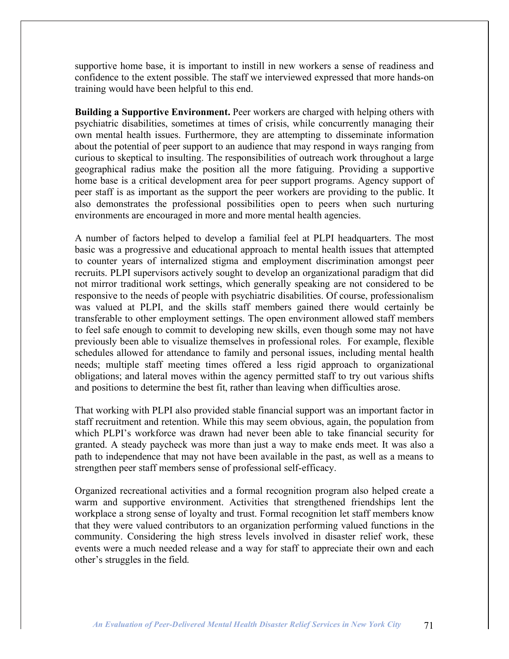supportive home base, it is important to instill in new workers a sense of readiness and confidence to the extent possible. The staff we interviewed expressed that more hands-on training would have been helpful to this end.

**Building a Supportive Environment.** Peer workers are charged with helping others with psychiatric disabilities, sometimes at times of crisis, while concurrently managing their own mental health issues. Furthermore, they are attempting to disseminate information about the potential of peer support to an audience that may respond in ways ranging from curious to skeptical to insulting. The responsibilities of outreach work throughout a large geographical radius make the position all the more fatiguing. Providing a supportive home base is a critical development area for peer support programs. Agency support of peer staff is as important as the support the peer workers are providing to the public. It also demonstrates the professional possibilities open to peers when such nurturing environments are encouraged in more and more mental health agencies.

A number of factors helped to develop a familial feel at PLPI headquarters. The most basic was a progressive and educational approach to mental health issues that attempted to counter years of internalized stigma and employment discrimination amongst peer recruits. PLPI supervisors actively sought to develop an organizational paradigm that did not mirror traditional work settings, which generally speaking are not considered to be responsive to the needs of people with psychiatric disabilities. Of course, professionalism was valued at PLPI, and the skills staff members gained there would certainly be transferable to other employment settings. The open environment allowed staff members to feel safe enough to commit to developing new skills, even though some may not have previously been able to visualize themselves in professional roles. For example, flexible schedules allowed for attendance to family and personal issues, including mental health needs; multiple staff meeting times offered a less rigid approach to organizational obligations; and lateral moves within the agency permitted staff to try out various shifts and positions to determine the best fit, rather than leaving when difficulties arose.

That working with PLPI also provided stable financial support was an important factor in staff recruitment and retention. While this may seem obvious, again, the population from which PLPI's workforce was drawn had never been able to take financial security for granted. A steady paycheck was more than just a way to make ends meet. It was also a path to independence that may not have been available in the past, as well as a means to strengthen peer staff members sense of professional self-efficacy.

Organized recreational activities and a formal recognition program also helped create a warm and supportive environment. Activities that strengthened friendships lent the workplace a strong sense of loyalty and trust. Formal recognition let staff members know that they were valued contributors to an organization performing valued functions in the community. Considering the high stress levels involved in disaster relief work, these events were a much needed release and a way for staff to appreciate their own and each other's struggles in the field.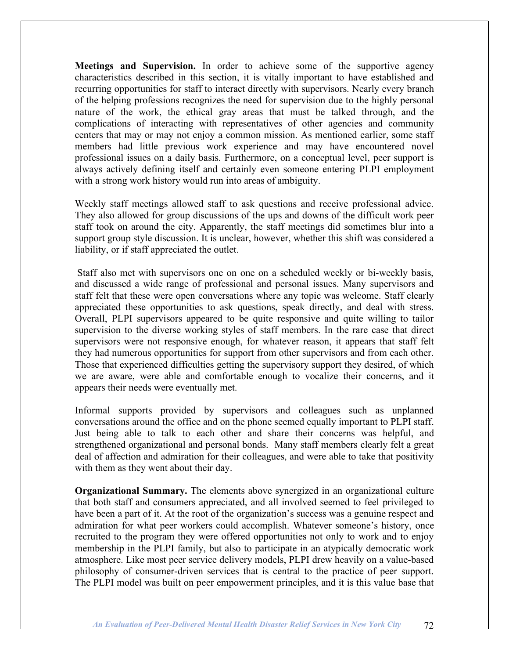**Meetings and Supervision.** In order to achieve some of the supportive agency characteristics described in this section, it is vitally important to have established and recurring opportunities for staff to interact directly with supervisors. Nearly every branch of the helping professions recognizes the need for supervision due to the highly personal nature of the work, the ethical gray areas that must be talked through, and the complications of interacting with representatives of other agencies and community centers that may or may not enjoy a common mission. As mentioned earlier, some staff members had little previous work experience and may have encountered novel professional issues on a daily basis. Furthermore, on a conceptual level, peer support is always actively defining itself and certainly even someone entering PLPI employment with a strong work history would run into areas of ambiguity.

Weekly staff meetings allowed staff to ask questions and receive professional advice. They also allowed for group discussions of the ups and downs of the difficult work peer staff took on around the city. Apparently, the staff meetings did sometimes blur into a support group style discussion. It is unclear, however, whether this shift was considered a liability, or if staff appreciated the outlet.

Staff also met with supervisors one on one on a scheduled weekly or bi-weekly basis, and discussed a wide range of professional and personal issues. Many supervisors and staff felt that these were open conversations where any topic was welcome. Staff clearly appreciated these opportunities to ask questions, speak directly, and deal with stress. Overall, PLPI supervisors appeared to be quite responsive and quite willing to tailor supervision to the diverse working styles of staff members. In the rare case that direct supervisors were not responsive enough, for whatever reason, it appears that staff felt they had numerous opportunities for support from other supervisors and from each other. Those that experienced difficulties getting the supervisory support they desired, of which we are aware, were able and comfortable enough to vocalize their concerns, and it appears their needs were eventually met.

Informal supports provided by supervisors and colleagues such as unplanned conversations around the office and on the phone seemed equally important to PLPI staff. Just being able to talk to each other and share their concerns was helpful, and strengthened organizational and personal bonds. Many staff members clearly felt a great deal of affection and admiration for their colleagues, and were able to take that positivity with them as they went about their day.

**Organizational Summary.** The elements above synergized in an organizational culture that both staff and consumers appreciated, and all involved seemed to feel privileged to have been a part of it. At the root of the organization's success was a genuine respect and admiration for what peer workers could accomplish. Whatever someone's history, once recruited to the program they were offered opportunities not only to work and to enjoy membership in the PLPI family, but also to participate in an atypically democratic work atmosphere. Like most peer service delivery models, PLPI drew heavily on a value-based philosophy of consumer-driven services that is central to the practice of peer support. The PLPI model was built on peer empowerment principles, and it is this value base that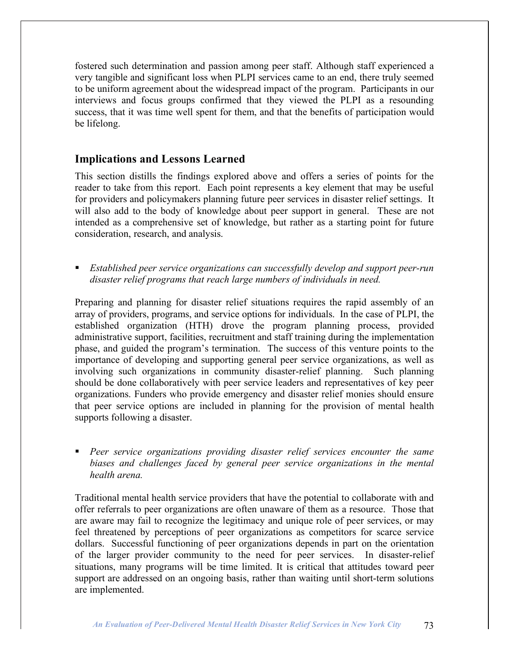fostered such determination and passion among peer staff. Although staff experienced a very tangible and significant loss when PLPI services came to an end, there truly seemed to be uniform agreement about the widespread impact of the program. Participants in our interviews and focus groups confirmed that they viewed the PLPI as a resounding success, that it was time well spent for them, and that the benefits of participation would be lifelong.

## **Implications and Lessons Learned**

This section distills the findings explored above and offers a series of points for the reader to take from this report. Each point represents a key element that may be useful for providers and policymakers planning future peer services in disaster relief settings. It will also add to the body of knowledge about peer support in general. These are not intended as a comprehensive set of knowledge, but rather as a starting point for future consideration, research, and analysis.

 *Established peer service organizations can successfully develop and support peer-run disaster relief programs that reach large numbers of individuals in need.*

Preparing and planning for disaster relief situations requires the rapid assembly of an array of providers, programs, and service options for individuals. In the case of PLPI, the established organization (HTH) drove the program planning process, provided administrative support, facilities, recruitment and staff training during the implementation phase, and guided the program's termination. The success of this venture points to the importance of developing and supporting general peer service organizations, as well as involving such organizations in community disaster-relief planning. Such planning should be done collaboratively with peer service leaders and representatives of key peer organizations. Funders who provide emergency and disaster relief monies should ensure that peer service options are included in planning for the provision of mental health supports following a disaster.

 *Peer service organizations providing disaster relief services encounter the same biases and challenges faced by general peer service organizations in the mental health arena.*

Traditional mental health service providers that have the potential to collaborate with and offer referrals to peer organizations are often unaware of them as a resource. Those that are aware may fail to recognize the legitimacy and unique role of peer services, or may feel threatened by perceptions of peer organizations as competitors for scarce service dollars. Successful functioning of peer organizations depends in part on the orientation of the larger provider community to the need for peer services. In disaster-relief situations, many programs will be time limited. It is critical that attitudes toward peer support are addressed on an ongoing basis, rather than waiting until short-term solutions are implemented.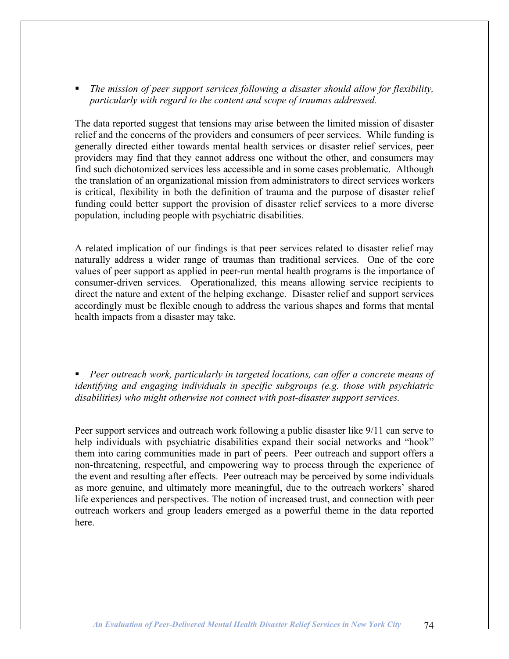*The mission of peer support services following a disaster should allow for flexibility, particularly with regard to the content and scope of traumas addressed.*

The data reported suggest that tensions may arise between the limited mission of disaster relief and the concerns of the providers and consumers of peer services. While funding is generally directed either towards mental health services or disaster relief services, peer providers may find that they cannot address one without the other, and consumers may find such dichotomized services less accessible and in some cases problematic. Although the translation of an organizational mission from administrators to direct services workers is critical, flexibility in both the definition of trauma and the purpose of disaster relief funding could better support the provision of disaster relief services to a more diverse population, including people with psychiatric disabilities.

A related implication of our findings is that peer services related to disaster relief may naturally address a wider range of traumas than traditional services. One of the core values of peer support as applied in peer-run mental health programs is the importance of consumer-driven services. Operationalized, this means allowing service recipients to direct the nature and extent of the helping exchange. Disaster relief and support services accordingly must be flexible enough to address the various shapes and forms that mental health impacts from a disaster may take.

 *Peer outreach work, particularly in targeted locations, can offer a concrete means of identifying and engaging individuals in specific subgroups (e.g. those with psychiatric disabilities) who might otherwise not connect with post-disaster support services.*

Peer support services and outreach work following a public disaster like 9/11 can serve to help individuals with psychiatric disabilities expand their social networks and "hook" them into caring communities made in part of peers. Peer outreach and support offers a non-threatening, respectful, and empowering way to process through the experience of the event and resulting after effects. Peer outreach may be perceived by some individuals as more genuine, and ultimately more meaningful, due to the outreach workers' shared life experiences and perspectives. The notion of increased trust, and connection with peer outreach workers and group leaders emerged as a powerful theme in the data reported here.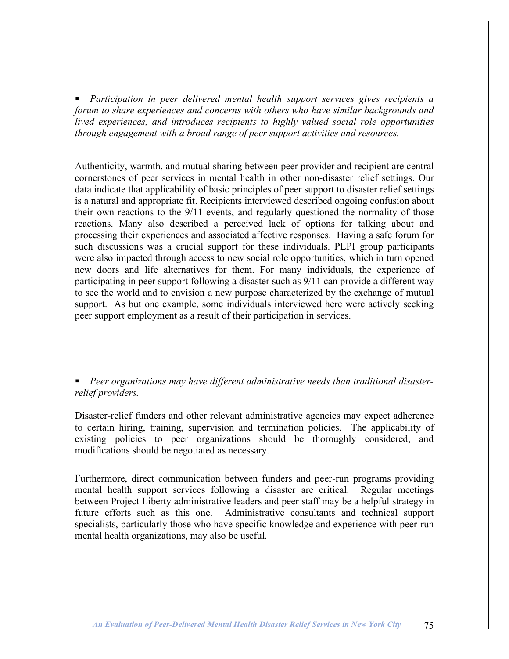*Participation in peer delivered mental health support services gives recipients a forum to share experiences and concerns with others who have similar backgrounds and lived experiences, and introduces recipients to highly valued social role opportunities through engagement with a broad range of peer support activities and resources.*

Authenticity, warmth, and mutual sharing between peer provider and recipient are central cornerstones of peer services in mental health in other non-disaster relief settings. Our data indicate that applicability of basic principles of peer support to disaster relief settings is a natural and appropriate fit. Recipients interviewed described ongoing confusion about their own reactions to the 9/11 events, and regularly questioned the normality of those reactions. Many also described a perceived lack of options for talking about and processing their experiences and associated affective responses. Having a safe forum for such discussions was a crucial support for these individuals. PLPI group participants were also impacted through access to new social role opportunities, which in turn opened new doors and life alternatives for them. For many individuals, the experience of participating in peer support following a disaster such as 9/11 can provide a different way to see the world and to envision a new purpose characterized by the exchange of mutual support. As but one example, some individuals interviewed here were actively seeking peer support employment as a result of their participation in services.

 *Peer organizations may have different administrative needs than traditional disasterrelief providers.*

Disaster-relief funders and other relevant administrative agencies may expect adherence to certain hiring, training, supervision and termination policies. The applicability of existing policies to peer organizations should be thoroughly considered, and modifications should be negotiated as necessary.

Furthermore, direct communication between funders and peer-run programs providing mental health support services following a disaster are critical. Regular meetings between Project Liberty administrative leaders and peer staff may be a helpful strategy in future efforts such as this one. Administrative consultants and technical support specialists, particularly those who have specific knowledge and experience with peer-run mental health organizations, may also be useful.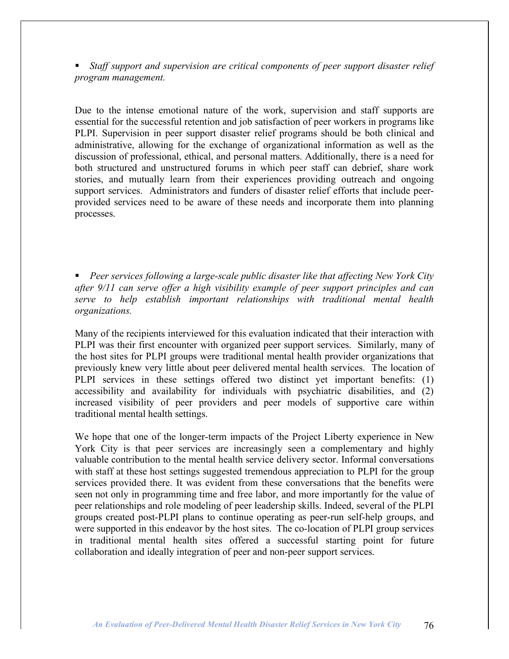*Staff support and supervision are critical components of peer support disaster relief program management.*

Due to the intense emotional nature of the work, supervision and staff supports are essential for the successful retention and job satisfaction of peer workers in programs like PLPI. Supervision in peer support disaster relief programs should be both clinical and administrative, allowing for the exchange of organizational information as well as the discussion of professional, ethical, and personal matters. Additionally, there is a need for both structured and unstructured forums in which peer staff can debrief, share work stories, and mutually learn from their experiences providing outreach and ongoing support services. Administrators and funders of disaster relief efforts that include peerprovided services need to be aware of these needs and incorporate them into planning processes.

 *Peer services following a large-scale public disaster like that affecting New York City after 9/11 can serve offer a high visibility example of peer support principles and can serve to help establish important relationships with traditional mental health organizations.*

Many of the recipients interviewed for this evaluation indicated that their interaction with PLPI was their first encounter with organized peer support services. Similarly, many of the host sites for PLPI groups were traditional mental health provider organizations that previously knew very little about peer delivered mental health services. The location of PLPI services in these settings offered two distinct yet important benefits: (1) accessibility and availability for individuals with psychiatric disabilities, and (2) increased visibility of peer providers and peer models of supportive care within traditional mental health settings.

We hope that one of the longer-term impacts of the Project Liberty experience in New York City is that peer services are increasingly seen a complementary and highly valuable contribution to the mental health service delivery sector. Informal conversations with staff at these host settings suggested tremendous appreciation to PLPI for the group services provided there. It was evident from these conversations that the benefits were seen not only in programming time and free labor, and more importantly for the value of peer relationships and role modeling of peer leadership skills. Indeed, several of the PLPI groups created post-PLPI plans to continue operating as peer-run self-help groups, and were supported in this endeavor by the host sites. The co-location of PLPI group services in traditional mental health sites offered a successful starting point for future collaboration and ideally integration of peer and non-peer support services.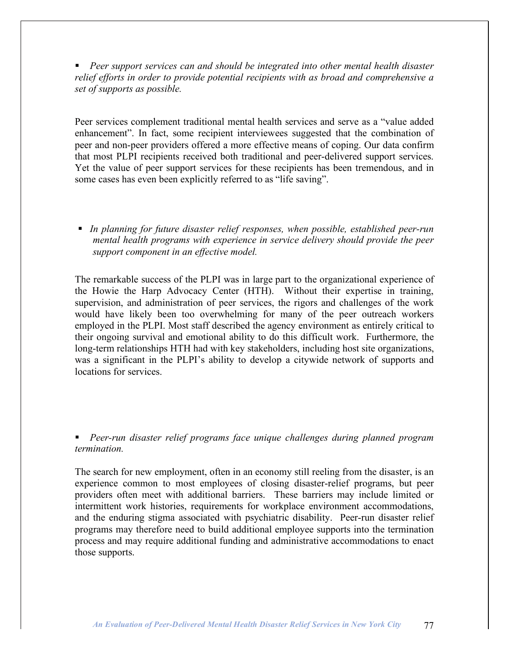*Peer support services can and should be integrated into other mental health disaster relief efforts in order to provide potential recipients with as broad and comprehensive a set of supports as possible.*

Peer services complement traditional mental health services and serve as a "value added enhancement". In fact, some recipient interviewees suggested that the combination of peer and non-peer providers offered a more effective means of coping. Our data confirm that most PLPI recipients received both traditional and peer-delivered support services. Yet the value of peer support services for these recipients has been tremendous, and in some cases has even been explicitly referred to as "life saving".

 *In planning for future disaster relief responses, when possible, established peer-run mental health programs with experience in service delivery should provide the peer support component in an effective model.*

The remarkable success of the PLPI was in large part to the organizational experience of the Howie the Harp Advocacy Center (HTH). Without their expertise in training, supervision, and administration of peer services, the rigors and challenges of the work would have likely been too overwhelming for many of the peer outreach workers employed in the PLPI. Most staff described the agency environment as entirely critical to their ongoing survival and emotional ability to do this difficult work. Furthermore, the long-term relationships HTH had with key stakeholders, including host site organizations, was a significant in the PLPI's ability to develop a citywide network of supports and locations for services.

 *Peer-run disaster relief programs face unique challenges during planned program termination.*

The search for new employment, often in an economy still reeling from the disaster, is an experience common to most employees of closing disaster-relief programs, but peer providers often meet with additional barriers. These barriers may include limited or intermittent work histories, requirements for workplace environment accommodations, and the enduring stigma associated with psychiatric disability. Peer-run disaster relief programs may therefore need to build additional employee supports into the termination process and may require additional funding and administrative accommodations to enact those supports.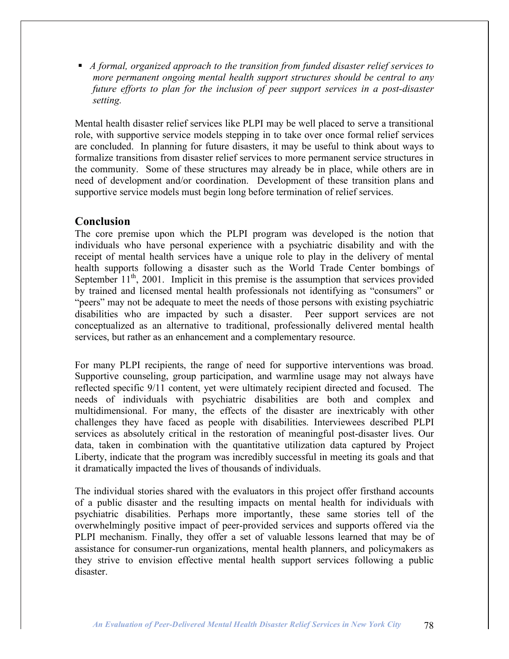*A formal, organized approach to the transition from funded disaster relief services to more permanent ongoing mental health support structures should be central to any future efforts to plan for the inclusion of peer support services in a post-disaster setting.*

Mental health disaster relief services like PLPI may be well placed to serve a transitional role, with supportive service models stepping in to take over once formal relief services are concluded. In planning for future disasters, it may be useful to think about ways to formalize transitions from disaster relief services to more permanent service structures in the community. Some of these structures may already be in place, while others are in need of development and/or coordination. Development of these transition plans and supportive service models must begin long before termination of relief services.

## **Conclusion**

The core premise upon which the PLPI program was developed is the notion that individuals who have personal experience with a psychiatric disability and with the receipt of mental health services have a unique role to play in the delivery of mental health supports following a disaster such as the World Trade Center bombings of September  $11<sup>th</sup>$ , 2001. Implicit in this premise is the assumption that services provided by trained and licensed mental health professionals not identifying as "consumers" or "peers" may not be adequate to meet the needs of those persons with existing psychiatric disabilities who are impacted by such a disaster. Peer support services are not conceptualized as an alternative to traditional, professionally delivered mental health services, but rather as an enhancement and a complementary resource.

For many PLPI recipients, the range of need for supportive interventions was broad. Supportive counseling, group participation, and warmline usage may not always have reflected specific 9/11 content, yet were ultimately recipient directed and focused. The needs of individuals with psychiatric disabilities are both and complex and multidimensional. For many, the effects of the disaster are inextricably with other challenges they have faced as people with disabilities. Interviewees described PLPI services as absolutely critical in the restoration of meaningful post-disaster lives. Our data, taken in combination with the quantitative utilization data captured by Project Liberty, indicate that the program was incredibly successful in meeting its goals and that it dramatically impacted the lives of thousands of individuals.

The individual stories shared with the evaluators in this project offer firsthand accounts of a public disaster and the resulting impacts on mental health for individuals with psychiatric disabilities. Perhaps more importantly, these same stories tell of the overwhelmingly positive impact of peer-provided services and supports offered via the PLPI mechanism. Finally, they offer a set of valuable lessons learned that may be of assistance for consumer-run organizations, mental health planners, and policymakers as they strive to envision effective mental health support services following a public disaster.